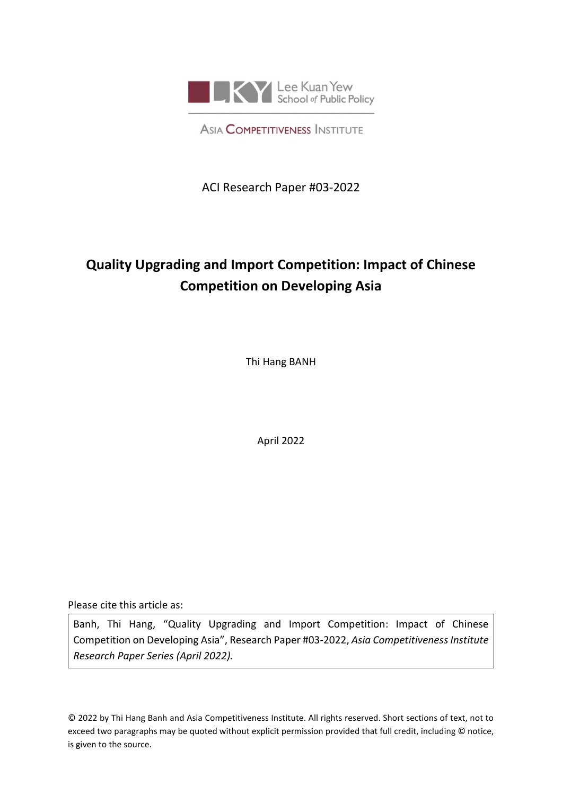<span id="page-0-0"></span>

**ASIA COMPETITIVENESS INSTITUTE** 

ACI Research Paper #03-2022

# **Quality Upgrading and Import Competition: Impact of Chinese Competition on Developing Asia**

Thi Hang BANH

April 2022

Please cite this article as:

Banh, Thi Hang, "Quality Upgrading and Import Competition: Impact of Chinese Competition on Developing Asia", Research Paper #03-2022, *Asia Competitiveness Institute Research Paper Series (April 2022).*

© 2022 by Thi Hang Banh and Asia Competitiveness Institute. All rights reserved. Short sections of text, not to exceed two paragraphs may be quoted without explicit permission provided that full credit, including © notice, is given to the source.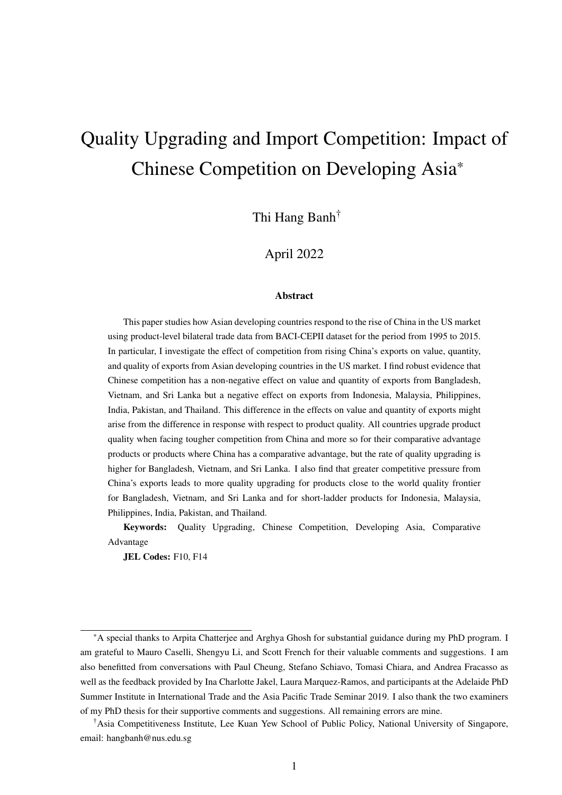# Quality Upgrading and Import Competition: Impact of Chinese Competition on Developing Asia\*

Thi Hang Banh†

### April 2022

#### Abstract

This paper studies how Asian developing countries respond to the rise of China in the US market using product-level bilateral trade data from BACI-CEPII dataset for the period from 1995 to 2015. In particular, I investigate the effect of competition from rising China's exports on value, quantity, and quality of exports from Asian developing countries in the US market. I find robust evidence that Chinese competition has a non-negative effect on value and quantity of exports from Bangladesh, Vietnam, and Sri Lanka but a negative effect on exports from Indonesia, Malaysia, Philippines, India, Pakistan, and Thailand. This difference in the effects on value and quantity of exports might arise from the difference in response with respect to product quality. All countries upgrade product quality when facing tougher competition from China and more so for their comparative advantage products or products where China has a comparative advantage, but the rate of quality upgrading is higher for Bangladesh, Vietnam, and Sri Lanka. I also find that greater competitive pressure from China's exports leads to more quality upgrading for products close to the world quality frontier for Bangladesh, Vietnam, and Sri Lanka and for short-ladder products for Indonesia, Malaysia, Philippines, India, Pakistan, and Thailand.

Keywords: Quality Upgrading, Chinese Competition, Developing Asia, Comparative Advantage

JEL Codes: F10, F14

<sup>\*</sup>A special thanks to Arpita Chatterjee and Arghya Ghosh for substantial guidance during my PhD program. I am grateful to Mauro Caselli, Shengyu Li, and Scott French for their valuable comments and suggestions. I am also benefitted from conversations with Paul Cheung, Stefano Schiavo, Tomasi Chiara, and Andrea Fracasso as well as the feedback provided by Ina Charlotte Jakel, Laura Marquez-Ramos, and participants at the Adelaide PhD Summer Institute in International Trade and the Asia Pacific Trade Seminar 2019. I also thank the two examiners of my PhD thesis for their supportive comments and suggestions. All remaining errors are mine.

<sup>†</sup>Asia Competitiveness Institute, Lee Kuan Yew School of Public Policy, National University of Singapore, email: hangbanh@nus.edu.sg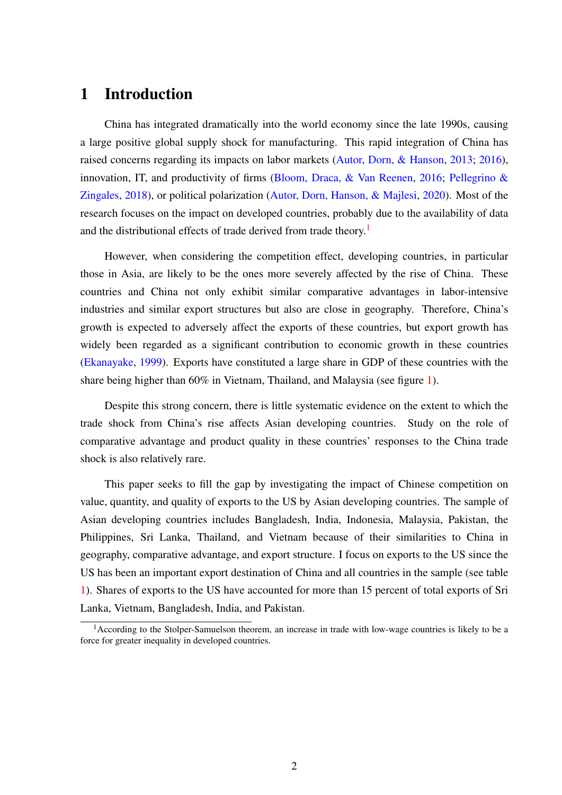## 1 Introduction

China has integrated dramatically into the world economy since the late 1990s, causing a large positive global supply shock for manufacturing. This rapid integration of China has raised concerns regarding its impacts on labor markets [\(Autor, Dorn, & Hanson,](#page-27-0) [2013;](#page-27-0) [2016\)](#page-27-1), innovation, IT, and productivity of firms [\(Bloom, Draca, & Van Reenen,](#page-28-0) [2016;](#page-28-0) [Pellegrino &](#page-30-0) [Zingales,](#page-30-0) [2018\)](#page-30-0), or political polarization [\(Autor, Dorn, Hanson, & Majlesi,](#page-27-2) [2020\)](#page-27-2). Most of the research focuses on the impact on developed countries, probably due to the availability of data and the distributional effects of trade derived from trade theory.<sup>[1](#page-0-0)</sup>

However, when considering the competition effect, developing countries, in particular those in Asia, are likely to be the ones more severely affected by the rise of China. These countries and China not only exhibit similar comparative advantages in labor-intensive industries and similar export structures but also are close in geography. Therefore, China's growth is expected to adversely affect the exports of these countries, but export growth has widely been regarded as a significant contribution to economic growth in these countries [\(Ekanayake,](#page-28-1) [1999\)](#page-28-1). Exports have constituted a large share in GDP of these countries with the share being higher than 60% in Vietnam, Thailand, and Malaysia (see figure [1\)](#page-3-0).

Despite this strong concern, there is little systematic evidence on the extent to which the trade shock from China's rise affects Asian developing countries. Study on the role of comparative advantage and product quality in these countries' responses to the China trade shock is also relatively rare.

This paper seeks to fill the gap by investigating the impact of Chinese competition on value, quantity, and quality of exports to the US by Asian developing countries. The sample of Asian developing countries includes Bangladesh, India, Indonesia, Malaysia, Pakistan, the Philippines, Sri Lanka, Thailand, and Vietnam because of their similarities to China in geography, comparative advantage, and export structure. I focus on exports to the US since the US has been an important export destination of China and all countries in the sample (see table [1\)](#page-31-0). Shares of exports to the US have accounted for more than 15 percent of total exports of Sri Lanka, Vietnam, Bangladesh, India, and Pakistan.

<sup>&</sup>lt;sup>1</sup> According to the Stolper-Samuelson theorem, an increase in trade with low-wage countries is likely to be a force for greater inequality in developed countries.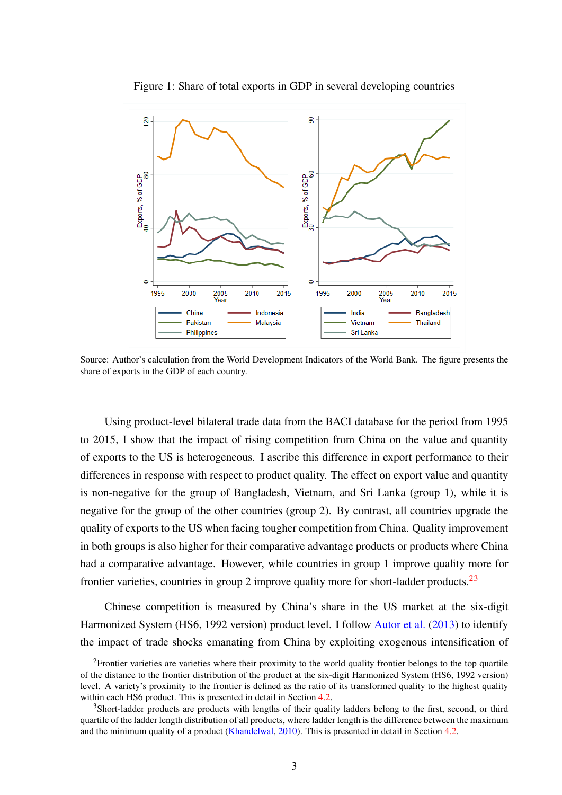<span id="page-3-0"></span>

Figure 1: Share of total exports in GDP in several developing countries

Source: Author's calculation from the World Development Indicators of the World Bank. The figure presents the share of exports in the GDP of each country.

Using product-level bilateral trade data from the BACI database for the period from 1995 to 2015, I show that the impact of rising competition from China on the value and quantity of exports to the US is heterogeneous. I ascribe this difference in export performance to their differences in response with respect to product quality. The effect on export value and quantity is non-negative for the group of Bangladesh, Vietnam, and Sri Lanka (group 1), while it is negative for the group of the other countries (group 2). By contrast, all countries upgrade the quality of exports to the US when facing tougher competition from China. Quality improvement in both groups is also higher for their comparative advantage products or products where China had a comparative advantage. However, while countries in group 1 improve quality more for frontier varieties, countries in group 2 improve quality more for short-ladder products.[23](#page-0-0)

Chinese competition is measured by China's share in the US market at the six-digit Harmonized System (HS6, 1992 version) product level. I follow [Autor et al.](#page-27-0) [\(2013\)](#page-27-0) to identify the impact of trade shocks emanating from China by exploiting exogenous intensification of

<sup>&</sup>lt;sup>2</sup>Frontier varieties are varieties where their proximity to the world quality frontier belongs to the top quartile of the distance to the frontier distribution of the product at the six-digit Harmonized System (HS6, 1992 version) level. A variety's proximity to the frontier is defined as the ratio of its transformed quality to the highest quality within each HS6 product. This is presented in detail in Section [4.2.](#page-18-0)

<sup>&</sup>lt;sup>3</sup>Short-ladder products are products with lengths of their quality ladders belong to the first, second, or third quartile of the ladder length distribution of all products, where ladder length is the difference between the maximum and the minimum quality of a product [\(Khandelwal,](#page-29-0) [2010\)](#page-29-0). This is presented in detail in Section [4.2.](#page-18-0)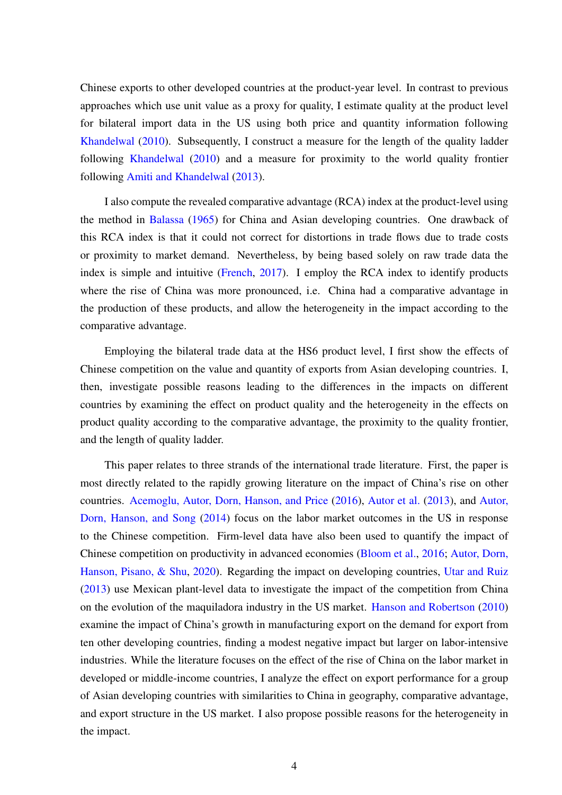Chinese exports to other developed countries at the product-year level. In contrast to previous approaches which use unit value as a proxy for quality, I estimate quality at the product level for bilateral import data in the US using both price and quantity information following [Khandelwal](#page-29-0) [\(2010\)](#page-29-0). Subsequently, I construct a measure for the length of the quality ladder following [Khandelwal](#page-29-0) [\(2010\)](#page-29-0) and a measure for proximity to the world quality frontier following [Amiti and Khandelwal](#page-27-3) [\(2013\)](#page-27-3).

I also compute the revealed comparative advantage (RCA) index at the product-level using the method in [Balassa](#page-28-2) [\(1965\)](#page-28-2) for China and Asian developing countries. One drawback of this RCA index is that it could not correct for distortions in trade flows due to trade costs or proximity to market demand. Nevertheless, by being based solely on raw trade data the index is simple and intuitive [\(French,](#page-29-1) [2017\)](#page-29-1). I employ the RCA index to identify products where the rise of China was more pronounced, i.e. China had a comparative advantage in the production of these products, and allow the heterogeneity in the impact according to the comparative advantage.

Employing the bilateral trade data at the HS6 product level, I first show the effects of Chinese competition on the value and quantity of exports from Asian developing countries. I, then, investigate possible reasons leading to the differences in the impacts on different countries by examining the effect on product quality and the heterogeneity in the effects on product quality according to the comparative advantage, the proximity to the quality frontier, and the length of quality ladder.

This paper relates to three strands of the international trade literature. First, the paper is most directly related to the rapidly growing literature on the impact of China's rise on other countries. [Acemoglu, Autor, Dorn, Hanson, and Price](#page-27-4) [\(2016\)](#page-27-4), [Autor et al.](#page-27-0) [\(2013\)](#page-27-0), and [Autor,](#page-27-5) [Dorn, Hanson, and Song](#page-27-5) [\(2014\)](#page-27-5) focus on the labor market outcomes in the US in response to the Chinese competition. Firm-level data have also been used to quantify the impact of Chinese competition on productivity in advanced economies [\(Bloom et al.,](#page-28-0) [2016;](#page-28-0) [Autor, Dorn,](#page-27-6) [Hanson, Pisano, & Shu,](#page-27-6) [2020\)](#page-27-6). Regarding the impact on developing countries, [Utar and Ruiz](#page-30-1) [\(2013\)](#page-30-1) use Mexican plant-level data to investigate the impact of the competition from China on the evolution of the maquiladora industry in the US market. [Hanson and Robertson](#page-29-2) [\(2010\)](#page-29-2) examine the impact of China's growth in manufacturing export on the demand for export from ten other developing countries, finding a modest negative impact but larger on labor-intensive industries. While the literature focuses on the effect of the rise of China on the labor market in developed or middle-income countries, I analyze the effect on export performance for a group of Asian developing countries with similarities to China in geography, comparative advantage, and export structure in the US market. I also propose possible reasons for the heterogeneity in the impact.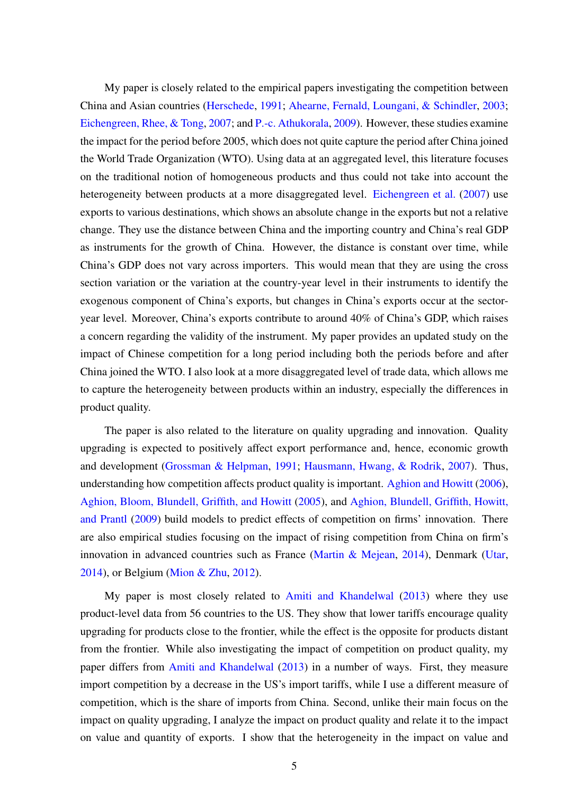My paper is closely related to the empirical papers investigating the competition between China and Asian countries [\(Herschede,](#page-29-3) [1991;](#page-29-3) [Ahearne, Fernald, Loungani, & Schindler,](#page-27-7) [2003;](#page-27-7) [Eichengreen, Rhee, & Tong,](#page-28-3) [2007;](#page-28-3) and [P.-c. Athukorala,](#page-27-8) [2009\)](#page-27-8). However, these studies examine the impact for the period before 2005, which does not quite capture the period after China joined the World Trade Organization (WTO). Using data at an aggregated level, this literature focuses on the traditional notion of homogeneous products and thus could not take into account the heterogeneity between products at a more disaggregated level. [Eichengreen et al.](#page-28-3) [\(2007\)](#page-28-3) use exports to various destinations, which shows an absolute change in the exports but not a relative change. They use the distance between China and the importing country and China's real GDP as instruments for the growth of China. However, the distance is constant over time, while China's GDP does not vary across importers. This would mean that they are using the cross section variation or the variation at the country-year level in their instruments to identify the exogenous component of China's exports, but changes in China's exports occur at the sectoryear level. Moreover, China's exports contribute to around 40% of China's GDP, which raises a concern regarding the validity of the instrument. My paper provides an updated study on the impact of Chinese competition for a long period including both the periods before and after China joined the WTO. I also look at a more disaggregated level of trade data, which allows me to capture the heterogeneity between products within an industry, especially the differences in product quality.

The paper is also related to the literature on quality upgrading and innovation. Quality upgrading is expected to positively affect export performance and, hence, economic growth and development [\(Grossman & Helpman,](#page-29-4) [1991;](#page-29-4) [Hausmann, Hwang, & Rodrik,](#page-29-5) [2007\)](#page-29-5). Thus, understanding how competition affects product quality is important. [Aghion and Howitt](#page-27-9) [\(2006\)](#page-27-9), [Aghion, Bloom, Blundell, Griffith, and Howitt](#page-27-10) [\(2005\)](#page-27-10), and [Aghion, Blundell, Griffith, Howitt,](#page-27-11) [and Prantl](#page-27-11) [\(2009\)](#page-27-11) build models to predict effects of competition on firms' innovation. There are also empirical studies focusing on the impact of rising competition from China on firm's innovation in advanced countries such as France (Martin  $\&$  Mejean, [2014\)](#page-30-2), Denmark [\(Utar,](#page-30-3) [2014\)](#page-30-3), or Belgium [\(Mion & Zhu,](#page-30-4) [2012\)](#page-30-4).

My paper is most closely related to [Amiti and Khandelwal](#page-27-3) [\(2013\)](#page-27-3) where they use product-level data from 56 countries to the US. They show that lower tariffs encourage quality upgrading for products close to the frontier, while the effect is the opposite for products distant from the frontier. While also investigating the impact of competition on product quality, my paper differs from [Amiti and Khandelwal](#page-27-3) [\(2013\)](#page-27-3) in a number of ways. First, they measure import competition by a decrease in the US's import tariffs, while I use a different measure of competition, which is the share of imports from China. Second, unlike their main focus on the impact on quality upgrading, I analyze the impact on product quality and relate it to the impact on value and quantity of exports. I show that the heterogeneity in the impact on value and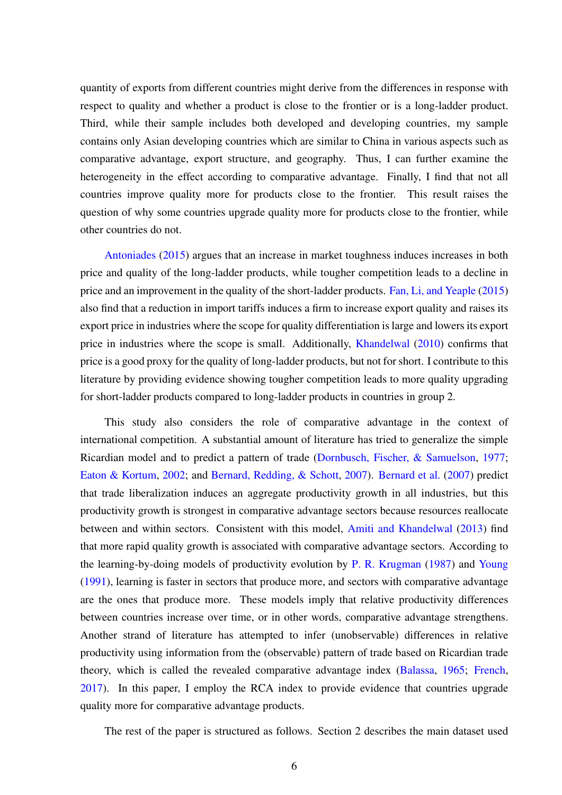quantity of exports from different countries might derive from the differences in response with respect to quality and whether a product is close to the frontier or is a long-ladder product. Third, while their sample includes both developed and developing countries, my sample contains only Asian developing countries which are similar to China in various aspects such as comparative advantage, export structure, and geography. Thus, I can further examine the heterogeneity in the effect according to comparative advantage. Finally, I find that not all countries improve quality more for products close to the frontier. This result raises the question of why some countries upgrade quality more for products close to the frontier, while other countries do not.

[Antoniades](#page-27-12) [\(2015\)](#page-27-12) argues that an increase in market toughness induces increases in both price and quality of the long-ladder products, while tougher competition leads to a decline in price and an improvement in the quality of the short-ladder products. [Fan, Li, and Yeaple](#page-29-6) [\(2015\)](#page-29-6) also find that a reduction in import tariffs induces a firm to increase export quality and raises its export price in industries where the scope for quality differentiation is large and lowers its export price in industries where the scope is small. Additionally, [Khandelwal](#page-29-0) [\(2010\)](#page-29-0) confirms that price is a good proxy for the quality of long-ladder products, but not for short. I contribute to this literature by providing evidence showing tougher competition leads to more quality upgrading for short-ladder products compared to long-ladder products in countries in group 2.

This study also considers the role of comparative advantage in the context of international competition. A substantial amount of literature has tried to generalize the simple Ricardian model and to predict a pattern of trade [\(Dornbusch, Fischer, & Samuelson,](#page-28-4) [1977;](#page-28-4) [Eaton & Kortum,](#page-28-5) [2002;](#page-28-5) and [Bernard, Redding, & Schott,](#page-28-6) [2007\)](#page-28-6). [Bernard et al.](#page-28-6) [\(2007\)](#page-28-6) predict that trade liberalization induces an aggregate productivity growth in all industries, but this productivity growth is strongest in comparative advantage sectors because resources reallocate between and within sectors. Consistent with this model, [Amiti and Khandelwal](#page-27-3) [\(2013\)](#page-27-3) find that more rapid quality growth is associated with comparative advantage sectors. According to the learning-by-doing models of productivity evolution by [P. R. Krugman](#page-29-7) [\(1987\)](#page-29-7) and [Young](#page-30-5) [\(1991\)](#page-30-5), learning is faster in sectors that produce more, and sectors with comparative advantage are the ones that produce more. These models imply that relative productivity differences between countries increase over time, or in other words, comparative advantage strengthens. Another strand of literature has attempted to infer (unobservable) differences in relative productivity using information from the (observable) pattern of trade based on Ricardian trade theory, which is called the revealed comparative advantage index [\(Balassa,](#page-28-2) [1965;](#page-28-2) [French,](#page-29-1) [2017\)](#page-29-1). In this paper, I employ the RCA index to provide evidence that countries upgrade quality more for comparative advantage products.

The rest of the paper is structured as follows. Section 2 describes the main dataset used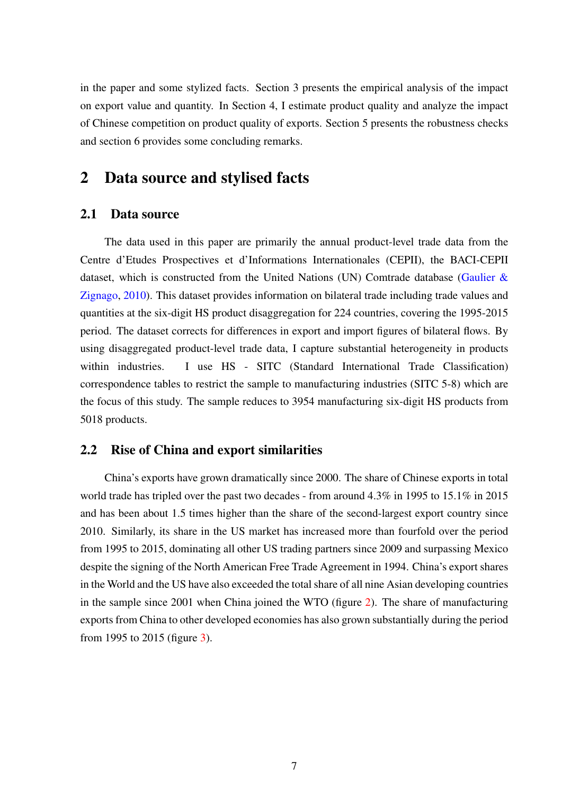in the paper and some stylized facts. Section 3 presents the empirical analysis of the impact on export value and quantity. In Section 4, I estimate product quality and analyze the impact of Chinese competition on product quality of exports. Section 5 presents the robustness checks and section 6 provides some concluding remarks.

## 2 Data source and stylised facts

#### 2.1 Data source

The data used in this paper are primarily the annual product-level trade data from the Centre d'Etudes Prospectives et d'Informations Internationales (CEPII), the BACI-CEPII dataset, which is constructed from the United Nations (UN) Comtrade database (Gaulier  $\&$ [Zignago,](#page-29-8) [2010\)](#page-29-8). This dataset provides information on bilateral trade including trade values and quantities at the six-digit HS product disaggregation for 224 countries, covering the 1995-2015 period. The dataset corrects for differences in export and import figures of bilateral flows. By using disaggregated product-level trade data, I capture substantial heterogeneity in products within industries. I use HS - SITC (Standard International Trade Classification) correspondence tables to restrict the sample to manufacturing industries (SITC 5-8) which are the focus of this study. The sample reduces to 3954 manufacturing six-digit HS products from 5018 products.

#### 2.2 Rise of China and export similarities

China's exports have grown dramatically since 2000. The share of Chinese exports in total world trade has tripled over the past two decades - from around 4.3% in 1995 to 15.1% in 2015 and has been about 1.5 times higher than the share of the second-largest export country since 2010. Similarly, its share in the US market has increased more than fourfold over the period from 1995 to 2015, dominating all other US trading partners since 2009 and surpassing Mexico despite the signing of the North American Free Trade Agreement in 1994. China's export shares in the World and the US have also exceeded the total share of all nine Asian developing countries in the sample since 2001 when China joined the WTO (figure [2\)](#page-8-0). The share of manufacturing exports from China to other developed economies has also grown substantially during the period from 1995 to 2015 (figure [3\)](#page-8-1).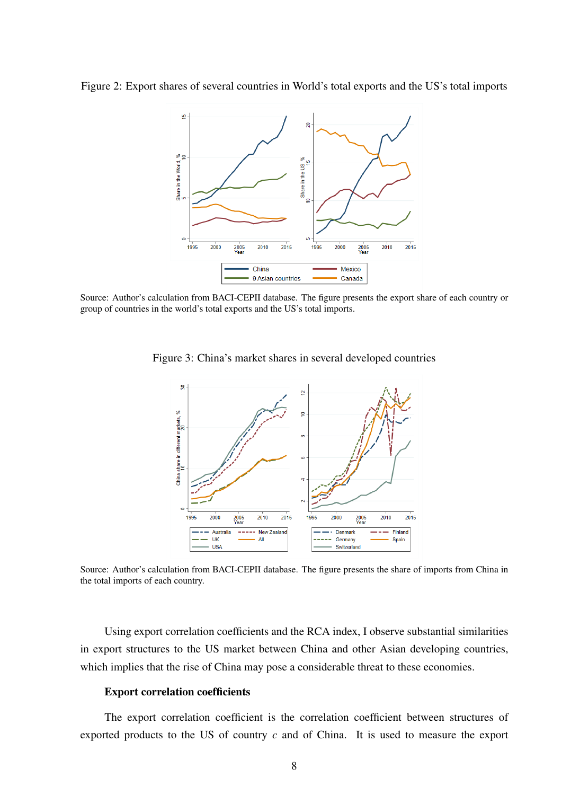<span id="page-8-0"></span>Figure 2: Export shares of several countries in World's total exports and the US's total imports



<span id="page-8-1"></span>Source: Author's calculation from BACI-CEPII database. The figure presents the export share of each country or group of countries in the world's total exports and the US's total imports.



Figure 3: China's market shares in several developed countries

Source: Author's calculation from BACI-CEPII database. The figure presents the share of imports from China in the total imports of each country.

Using export correlation coefficients and the RCA index, I observe substantial similarities in export structures to the US market between China and other Asian developing countries, which implies that the rise of China may pose a considerable threat to these economies.

#### Export correlation coefficients

The export correlation coefficient is the correlation coefficient between structures of exported products to the US of country *c* and of China. It is used to measure the export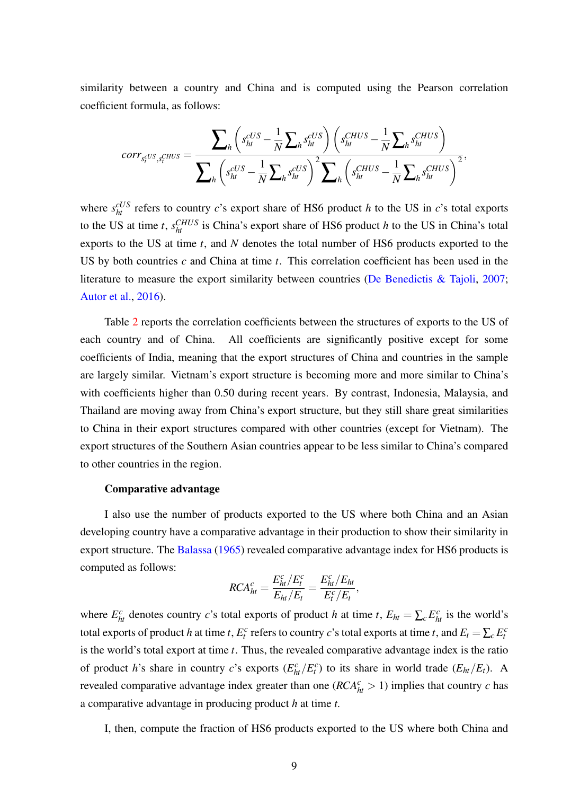similarity between a country and China and is computed using the Pearson correlation coefficient formula, as follows:

$$
corr_{s_t^{cUS}, s_t^{CHUS}} = \frac{\sum_h \left(s_{ht}^{cUS} - \frac{1}{N} \sum_h s_{ht}^{cUS}\right) \left(s_{ht}^{CHUS} - \frac{1}{N} \sum_h s_{ht}^{CHUS}\right)}{\sum_h \left(s_{ht}^{CUS} - \frac{1}{N} \sum_h s_{ht}^{CUS}\right)^2 \sum_h \left(s_{ht}^{CHUS} - \frac{1}{N} \sum_h s_{ht}^{CHUS}\right)^2},
$$

where  $s_{ht}^{cUS}$  refers to country *c*'s export share of HS6 product *h* to the US in *c*'s total exports to the US at time *t*,  $s_{ht}^{CHUS}$  is China's export share of HS6 product *h* to the US in China's total exports to the US at time *t*, and *N* denotes the total number of HS6 products exported to the US by both countries *c* and China at time *t*. This correlation coefficient has been used in the literature to measure the export similarity between countries [\(De Benedictis & Tajoli,](#page-28-7) [2007;](#page-28-7) [Autor et al.,](#page-27-1) [2016\)](#page-27-1).

Table [2](#page-31-1) reports the correlation coefficients between the structures of exports to the US of each country and of China. All coefficients are significantly positive except for some coefficients of India, meaning that the export structures of China and countries in the sample are largely similar. Vietnam's export structure is becoming more and more similar to China's with coefficients higher than 0.50 during recent years. By contrast, Indonesia, Malaysia, and Thailand are moving away from China's export structure, but they still share great similarities to China in their export structures compared with other countries (except for Vietnam). The export structures of the Southern Asian countries appear to be less similar to China's compared to other countries in the region.

#### Comparative advantage

I also use the number of products exported to the US where both China and an Asian developing country have a comparative advantage in their production to show their similarity in export structure. The [Balassa](#page-28-2) [\(1965\)](#page-28-2) revealed comparative advantage index for HS6 products is computed as follows:

$$
RCA_{ht}^c = \frac{E_{ht}^c/E_t^c}{E_{ht}/E_t} = \frac{E_{ht}^c/E_{ht}}{E_t^c/E_t},
$$

where  $E_{ht}^c$  denotes country *c*'s total exports of product *h* at time *t*,  $E_{ht} = \sum_c E_{ht}^c$  is the world's total exports of product *h* at time *t*,  $E_t^c$  refers to country *c*'s total exports at time *t*, and  $E_t = \sum_c E_t^c$ is the world's total export at time *t*. Thus, the revealed comparative advantage index is the ratio of product *h*'s share in country *c*'s exports  $(E_{ht}^c/E_t^c)$  to its share in world trade  $(E_{ht}/E_t)$ . A revealed comparative advantage index greater than one ( $RCA<sub>ht</sub><sup>c</sup> > 1$ ) implies that country *c* has a comparative advantage in producing product *h* at time *t*.

I, then, compute the fraction of HS6 products exported to the US where both China and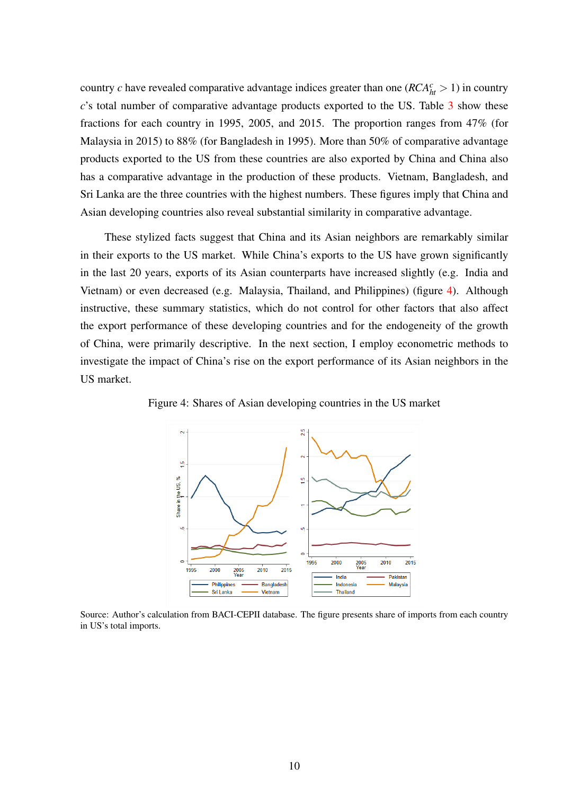country *c* have revealed comparative advantage indices greater than one ( $RCA<sub>ht</sub><sup>c</sup> > 1$ ) in country *c*'s total number of comparative advantage products exported to the US. Table [3](#page-32-0) show these fractions for each country in 1995, 2005, and 2015. The proportion ranges from 47% (for Malaysia in 2015) to 88% (for Bangladesh in 1995). More than 50% of comparative advantage products exported to the US from these countries are also exported by China and China also has a comparative advantage in the production of these products. Vietnam, Bangladesh, and Sri Lanka are the three countries with the highest numbers. These figures imply that China and Asian developing countries also reveal substantial similarity in comparative advantage.

These stylized facts suggest that China and its Asian neighbors are remarkably similar in their exports to the US market. While China's exports to the US have grown significantly in the last 20 years, exports of its Asian counterparts have increased slightly (e.g. India and Vietnam) or even decreased (e.g. Malaysia, Thailand, and Philippines) (figure [4\)](#page-10-0). Although instructive, these summary statistics, which do not control for other factors that also affect the export performance of these developing countries and for the endogeneity of the growth of China, were primarily descriptive. In the next section, I employ econometric methods to investigate the impact of China's rise on the export performance of its Asian neighbors in the US market.



<span id="page-10-0"></span>Figure 4: Shares of Asian developing countries in the US market

Source: Author's calculation from BACI-CEPII database. The figure presents share of imports from each country in US's total imports.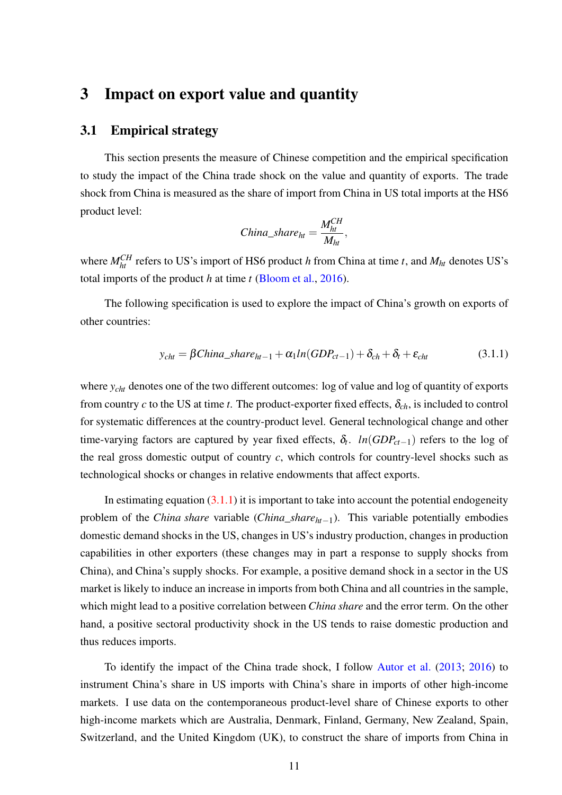# 3 Impact on export value and quantity

#### 3.1 Empirical strategy

This section presents the measure of Chinese competition and the empirical specification to study the impact of the China trade shock on the value and quantity of exports. The trade shock from China is measured as the share of import from China in US total imports at the HS6 product level:

$$
China\_share_{ht} = \frac{M_{ht}^{CH}}{M_{ht}},
$$

where  $M_{ht}^{CH}$  refers to US's import of HS6 product *h* from China at time *t*, and  $M_{ht}$  denotes US's total imports of the product *h* at time *t* [\(Bloom et al.,](#page-28-0) [2016\)](#page-28-0).

The following specification is used to explore the impact of China's growth on exports of other countries:

<span id="page-11-0"></span>
$$
y_{cht} = \beta China\_share_{ht-1} + \alpha_1 ln(GDP_{ct-1}) + \delta_{ch} + \delta_t + \varepsilon_{cht}
$$
\n(3.1.1)

where *y<sub>cht</sub>* denotes one of the two different outcomes: log of value and log of quantity of exports from country  $c$  to the US at time  $t$ . The product-exporter fixed effects,  $\delta_{ch}$ , is included to control for systematic differences at the country-product level. General technological change and other time-varying factors are captured by year fixed effects,  $\delta_t$ . *ln*(*GDP*<sub>*ct*−1</sub>) refers to the log of the real gross domestic output of country *c*, which controls for country-level shocks such as technological shocks or changes in relative endowments that affect exports.

In estimating equation  $(3.1.1)$  it is important to take into account the potential endogeneity problem of the *China share* variable (*China*\_*shareht*−1). This variable potentially embodies domestic demand shocks in the US, changes in US's industry production, changes in production capabilities in other exporters (these changes may in part a response to supply shocks from China), and China's supply shocks. For example, a positive demand shock in a sector in the US market is likely to induce an increase in imports from both China and all countries in the sample, which might lead to a positive correlation between *China share* and the error term. On the other hand, a positive sectoral productivity shock in the US tends to raise domestic production and thus reduces imports.

To identify the impact of the China trade shock, I follow [Autor et al.](#page-27-0) [\(2013;](#page-27-0) [2016\)](#page-27-1) to instrument China's share in US imports with China's share in imports of other high-income markets. I use data on the contemporaneous product-level share of Chinese exports to other high-income markets which are Australia, Denmark, Finland, Germany, New Zealand, Spain, Switzerland, and the United Kingdom (UK), to construct the share of imports from China in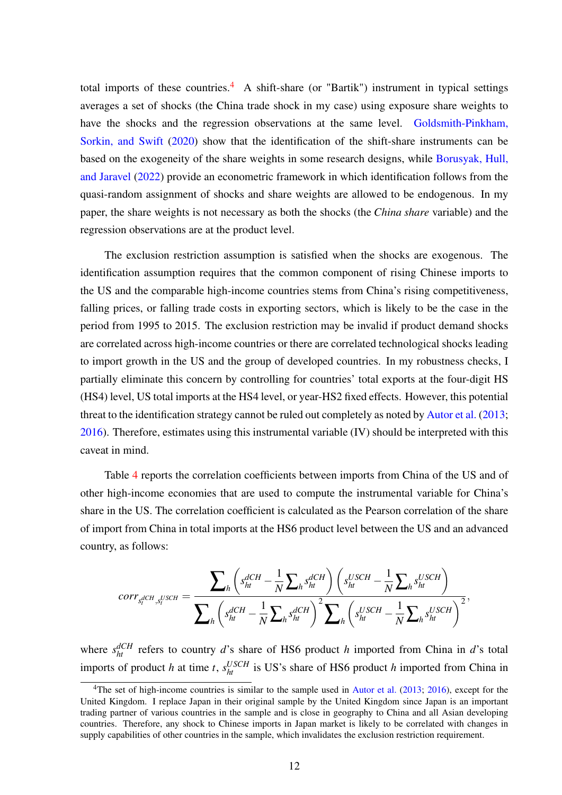total imports of these countries.<sup>[4](#page-0-0)</sup> A shift-share (or "Bartik") instrument in typical settings averages a set of shocks (the China trade shock in my case) using exposure share weights to have the shocks and the regression observations at the same level. [Goldsmith-Pinkham,](#page-29-9) [Sorkin, and Swift](#page-29-9) [\(2020\)](#page-29-9) show that the identification of the shift-share instruments can be based on the exogeneity of the share weights in some research designs, while [Borusyak, Hull,](#page-28-8) [and Jaravel](#page-28-8) [\(2022\)](#page-28-8) provide an econometric framework in which identification follows from the quasi-random assignment of shocks and share weights are allowed to be endogenous. In my paper, the share weights is not necessary as both the shocks (the *China share* variable) and the regression observations are at the product level.

The exclusion restriction assumption is satisfied when the shocks are exogenous. The identification assumption requires that the common component of rising Chinese imports to the US and the comparable high-income countries stems from China's rising competitiveness, falling prices, or falling trade costs in exporting sectors, which is likely to be the case in the period from 1995 to 2015. The exclusion restriction may be invalid if product demand shocks are correlated across high-income countries or there are correlated technological shocks leading to import growth in the US and the group of developed countries. In my robustness checks, I partially eliminate this concern by controlling for countries' total exports at the four-digit HS (HS4) level, US total imports at the HS4 level, or year-HS2 fixed effects. However, this potential threat to the identification strategy cannot be ruled out completely as noted by [Autor et al.](#page-27-0) [\(2013;](#page-27-0) [2016\)](#page-27-1). Therefore, estimates using this instrumental variable (IV) should be interpreted with this caveat in mind.

Table [4](#page-32-1) reports the correlation coefficients between imports from China of the US and of other high-income economies that are used to compute the instrumental variable for China's share in the US. The correlation coefficient is calculated as the Pearson correlation of the share of import from China in total imports at the HS6 product level between the US and an advanced country, as follows:

$$
corr_{s_t^{dCH},s_t^{USCH}} = \frac{\sum_h \left( s_{ht}^{dCH} - \frac{1}{N} \sum_h s_{ht}^{dCH} \right) \left( s_{ht}^{USCH} - \frac{1}{N} \sum_h s_{ht}^{USCH} \right)}{\sum_h \left( s_{ht}^{dCH} - \frac{1}{N} \sum_h s_{ht}^{dCH} \right)^2 \sum_h \left( s_{ht}^{USCH} - \frac{1}{N} \sum_h s_{ht}^{USCH} \right)^2},
$$

where  $s_{ht}^{dCH}$  refers to country *d*'s share of HS6 product *h* imported from China in *d*'s total imports of product *h* at time *t*,  $s_{ht}^{USCH}$  is US's share of HS6 product *h* imported from China in

<sup>&</sup>lt;sup>4</sup>The set of high-income countries is similar to the sample used in [Autor et al.](#page-27-0) [\(2013;](#page-27-0) [2016\)](#page-27-1), except for the United Kingdom. I replace Japan in their original sample by the United Kingdom since Japan is an important trading partner of various countries in the sample and is close in geography to China and all Asian developing countries. Therefore, any shock to Chinese imports in Japan market is likely to be correlated with changes in supply capabilities of other countries in the sample, which invalidates the exclusion restriction requirement.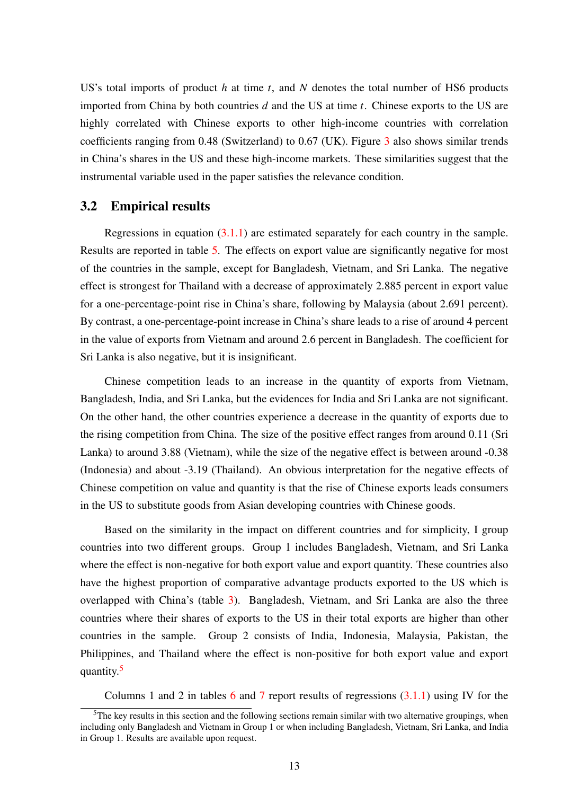US's total imports of product *h* at time *t*, and *N* denotes the total number of HS6 products imported from China by both countries *d* and the US at time *t*. Chinese exports to the US are highly correlated with Chinese exports to other high-income countries with correlation coefficients ranging from 0.48 (Switzerland) to 0.67 (UK). Figure [3](#page-8-1) also shows similar trends in China's shares in the US and these high-income markets. These similarities suggest that the instrumental variable used in the paper satisfies the relevance condition.

#### 3.2 Empirical results

Regressions in equation [\(3.1.1\)](#page-11-0) are estimated separately for each country in the sample. Results are reported in table [5.](#page-33-0) The effects on export value are significantly negative for most of the countries in the sample, except for Bangladesh, Vietnam, and Sri Lanka. The negative effect is strongest for Thailand with a decrease of approximately 2.885 percent in export value for a one-percentage-point rise in China's share, following by Malaysia (about 2.691 percent). By contrast, a one-percentage-point increase in China's share leads to a rise of around 4 percent in the value of exports from Vietnam and around 2.6 percent in Bangladesh. The coefficient for Sri Lanka is also negative, but it is insignificant.

Chinese competition leads to an increase in the quantity of exports from Vietnam, Bangladesh, India, and Sri Lanka, but the evidences for India and Sri Lanka are not significant. On the other hand, the other countries experience a decrease in the quantity of exports due to the rising competition from China. The size of the positive effect ranges from around 0.11 (Sri Lanka) to around 3.88 (Vietnam), while the size of the negative effect is between around -0.38 (Indonesia) and about -3.19 (Thailand). An obvious interpretation for the negative effects of Chinese competition on value and quantity is that the rise of Chinese exports leads consumers in the US to substitute goods from Asian developing countries with Chinese goods.

Based on the similarity in the impact on different countries and for simplicity, I group countries into two different groups. Group 1 includes Bangladesh, Vietnam, and Sri Lanka where the effect is non-negative for both export value and export quantity. These countries also have the highest proportion of comparative advantage products exported to the US which is overlapped with China's (table [3\)](#page-32-0). Bangladesh, Vietnam, and Sri Lanka are also the three countries where their shares of exports to the US in their total exports are higher than other countries in the sample. Group 2 consists of India, Indonesia, Malaysia, Pakistan, the Philippines, and Thailand where the effect is non-positive for both export value and export quantity.<sup>[5](#page-0-0)</sup>

Columns 1 and 2 in tables [6](#page-34-0) and [7](#page-34-1) report results of regressions  $(3.1.1)$  using IV for the

 $5$ The key results in this section and the following sections remain similar with two alternative groupings, when including only Bangladesh and Vietnam in Group 1 or when including Bangladesh, Vietnam, Sri Lanka, and India in Group 1. Results are available upon request.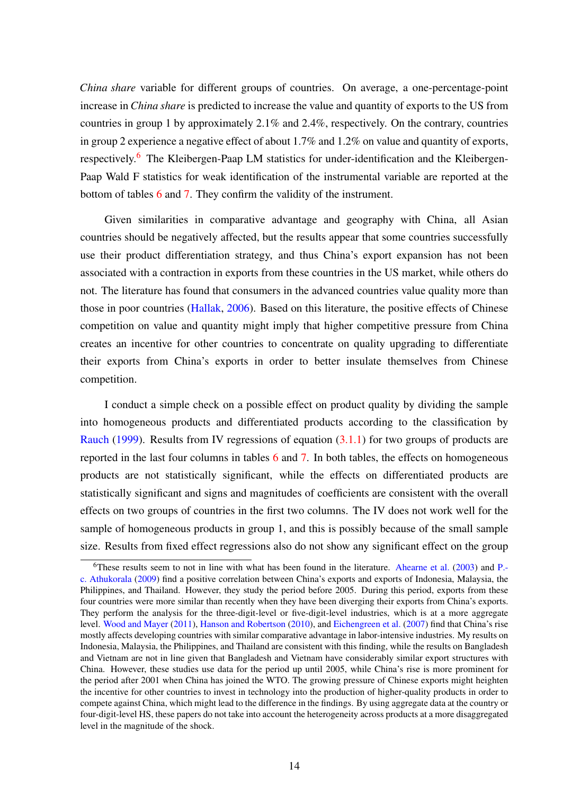*China share* variable for different groups of countries. On average, a one-percentage-point increase in *China share* is predicted to increase the value and quantity of exports to the US from countries in group 1 by approximately 2.1% and 2.4%, respectively. On the contrary, countries in group 2 experience a negative effect of about 1.7% and 1.2% on value and quantity of exports, respectively.<sup>[6](#page-0-0)</sup> The Kleibergen-Paap LM statistics for under-identification and the Kleibergen-Paap Wald F statistics for weak identification of the instrumental variable are reported at the bottom of tables [6](#page-34-0) and [7.](#page-34-1) They confirm the validity of the instrument.

Given similarities in comparative advantage and geography with China, all Asian countries should be negatively affected, but the results appear that some countries successfully use their product differentiation strategy, and thus China's export expansion has not been associated with a contraction in exports from these countries in the US market, while others do not. The literature has found that consumers in the advanced countries value quality more than those in poor countries [\(Hallak,](#page-29-10) [2006\)](#page-29-10). Based on this literature, the positive effects of Chinese competition on value and quantity might imply that higher competitive pressure from China creates an incentive for other countries to concentrate on quality upgrading to differentiate their exports from China's exports in order to better insulate themselves from Chinese competition.

I conduct a simple check on a possible effect on product quality by dividing the sample into homogeneous products and differentiated products according to the classification by [Rauch](#page-30-6) [\(1999\)](#page-30-6). Results from IV regressions of equation [\(3.1.1\)](#page-11-0) for two groups of products are reported in the last four columns in tables [6](#page-34-0) and [7.](#page-34-1) In both tables, the effects on homogeneous products are not statistically significant, while the effects on differentiated products are statistically significant and signs and magnitudes of coefficients are consistent with the overall effects on two groups of countries in the first two columns. The IV does not work well for the sample of homogeneous products in group 1, and this is possibly because of the small sample size. Results from fixed effect regressions also do not show any significant effect on the group

<sup>&</sup>lt;sup>6</sup>These results seem to not in line with what has been found in the literature. [Ahearne et al.](#page-27-7) [\(2003\)](#page-27-7) and [P.](#page-27-8) [c. Athukorala](#page-27-8) [\(2009\)](#page-27-8) find a positive correlation between China's exports and exports of Indonesia, Malaysia, the Philippines, and Thailand. However, they study the period before 2005. During this period, exports from these four countries were more similar than recently when they have been diverging their exports from China's exports. They perform the analysis for the three-digit-level or five-digit-level industries, which is at a more aggregate level. [Wood and Mayer](#page-30-7) [\(2011\)](#page-30-7), [Hanson and Robertson](#page-29-2) [\(2010\)](#page-29-2), and [Eichengreen et al.](#page-28-3) [\(2007\)](#page-28-3) find that China's rise mostly affects developing countries with similar comparative advantage in labor-intensive industries. My results on Indonesia, Malaysia, the Philippines, and Thailand are consistent with this finding, while the results on Bangladesh and Vietnam are not in line given that Bangladesh and Vietnam have considerably similar export structures with China. However, these studies use data for the period up until 2005, while China's rise is more prominent for the period after 2001 when China has joined the WTO. The growing pressure of Chinese exports might heighten the incentive for other countries to invest in technology into the production of higher-quality products in order to compete against China, which might lead to the difference in the findings. By using aggregate data at the country or four-digit-level HS, these papers do not take into account the heterogeneity across products at a more disaggregated level in the magnitude of the shock.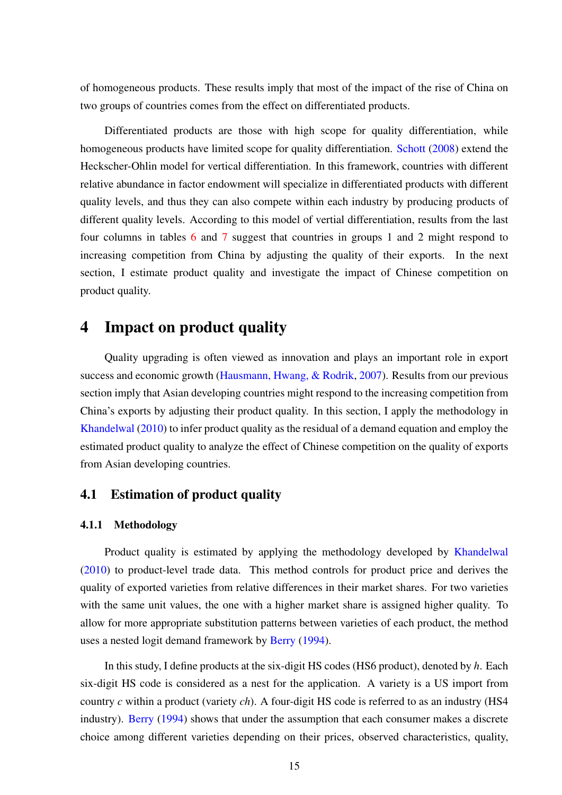of homogeneous products. These results imply that most of the impact of the rise of China on two groups of countries comes from the effect on differentiated products.

Differentiated products are those with high scope for quality differentiation, while homogeneous products have limited scope for quality differentiation. [Schott](#page-30-8) [\(2008\)](#page-30-8) extend the Heckscher-Ohlin model for vertical differentiation. In this framework, countries with different relative abundance in factor endowment will specialize in differentiated products with different quality levels, and thus they can also compete within each industry by producing products of different quality levels. According to this model of vertial differentiation, results from the last four columns in tables [6](#page-34-0) and [7](#page-34-1) suggest that countries in groups 1 and 2 might respond to increasing competition from China by adjusting the quality of their exports. In the next section, I estimate product quality and investigate the impact of Chinese competition on product quality.

# 4 Impact on product quality

Quality upgrading is often viewed as innovation and plays an important role in export success and economic growth [\(Hausmann, Hwang, & Rodrik,](#page-29-5) [2007\)](#page-29-5). Results from our previous section imply that Asian developing countries might respond to the increasing competition from China's exports by adjusting their product quality. In this section, I apply the methodology in [Khandelwal](#page-29-0) [\(2010\)](#page-29-0) to infer product quality as the residual of a demand equation and employ the estimated product quality to analyze the effect of Chinese competition on the quality of exports from Asian developing countries.

### <span id="page-15-0"></span>4.1 Estimation of product quality

#### 4.1.1 Methodology

Product quality is estimated by applying the methodology developed by [Khandelwal](#page-29-0) [\(2010\)](#page-29-0) to product-level trade data. This method controls for product price and derives the quality of exported varieties from relative differences in their market shares. For two varieties with the same unit values, the one with a higher market share is assigned higher quality. To allow for more appropriate substitution patterns between varieties of each product, the method uses a nested logit demand framework by [Berry](#page-28-9) [\(1994\)](#page-28-9).

In this study, I define products at the six-digit HS codes (HS6 product), denoted by *h*. Each six-digit HS code is considered as a nest for the application. A variety is a US import from country *c* within a product (variety *ch*). A four-digit HS code is referred to as an industry (HS4 industry). [Berry](#page-28-9) [\(1994\)](#page-28-9) shows that under the assumption that each consumer makes a discrete choice among different varieties depending on their prices, observed characteristics, quality,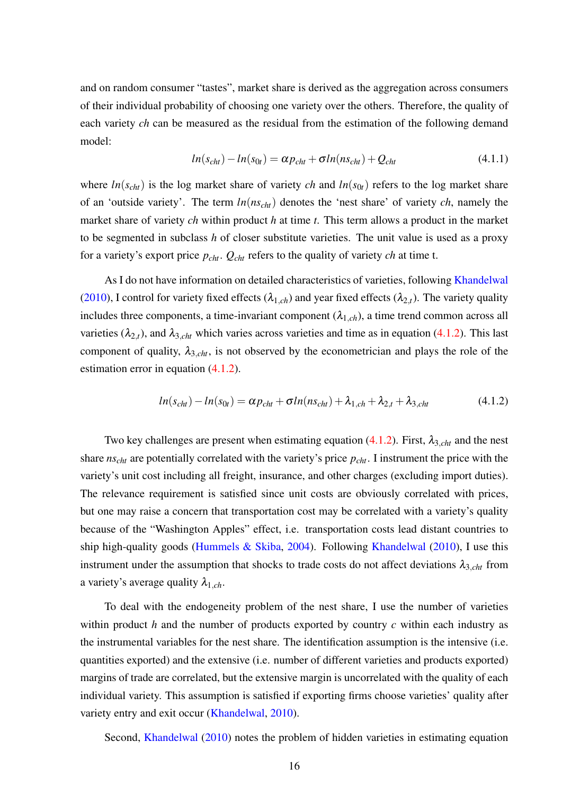and on random consumer "tastes", market share is derived as the aggregation across consumers of their individual probability of choosing one variety over the others. Therefore, the quality of each variety *ch* can be measured as the residual from the estimation of the following demand model:

$$
ln(s_{cht}) - ln(s_{0t}) = \alpha p_{cht} + \sigma ln(ns_{cht}) + Q_{cht}
$$
\n(4.1.1)

where  $ln(s_{\text{cht}})$  is the log market share of variety *ch* and  $ln(s_{0t})$  refers to the log market share of an 'outside variety'. The term *ln*(*nscht*) denotes the 'nest share' of variety *ch*, namely the market share of variety *ch* within product *h* at time *t*. This term allows a product in the market to be segmented in subclass *h* of closer substitute varieties. The unit value is used as a proxy for a variety's export price *pcht*. *Qcht* refers to the quality of variety *ch* at time t.

As I do not have information on detailed characteristics of varieties, following [Khandelwal](#page-29-0) [\(2010\)](#page-29-0), I control for variety fixed effects ( $\lambda_{1,ch}$ ) and year fixed effects ( $\lambda_{2,t}$ ). The variety quality includes three components, a time-invariant component  $(\lambda_{1,ch})$ , a time trend common across all varieties  $(\lambda_{2,t})$ , and  $\lambda_{3,cht}$  which varies across varieties and time as in equation [\(4.1.2\)](#page-16-0). This last component of quality,  $\lambda_{3,cht}$ , is not observed by the econometrician and plays the role of the estimation error in equation [\(4.1.2\)](#page-16-0).

<span id="page-16-0"></span>
$$
ln(s_{cht}) - ln(s_{0t}) = \alpha p_{cht} + \sigma ln(n_{Scht}) + \lambda_{1,ch} + \lambda_{2,t} + \lambda_{3,cht}
$$
\n(4.1.2)

Two key challenges are present when estimating equation  $(4.1.2)$ . First,  $\lambda_{3,cht}$  and the nest share *nscht* are potentially correlated with the variety's price *pcht*. I instrument the price with the variety's unit cost including all freight, insurance, and other charges (excluding import duties). The relevance requirement is satisfied since unit costs are obviously correlated with prices, but one may raise a concern that transportation cost may be correlated with a variety's quality because of the "Washington Apples" effect, i.e. transportation costs lead distant countries to ship high-quality goods [\(Hummels & Skiba,](#page-29-11) [2004\)](#page-29-11). Following [Khandelwal](#page-29-0) [\(2010\)](#page-29-0), I use this instrument under the assumption that shocks to trade costs do not affect deviations  $\lambda_{3,cht}$  from a variety's average quality  $\lambda_{1,ch}$ .

To deal with the endogeneity problem of the nest share, I use the number of varieties within product *h* and the number of products exported by country *c* within each industry as the instrumental variables for the nest share. The identification assumption is the intensive (i.e. quantities exported) and the extensive (i.e. number of different varieties and products exported) margins of trade are correlated, but the extensive margin is uncorrelated with the quality of each individual variety. This assumption is satisfied if exporting firms choose varieties' quality after variety entry and exit occur [\(Khandelwal,](#page-29-0) [2010\)](#page-29-0).

Second, [Khandelwal](#page-29-0) [\(2010\)](#page-29-0) notes the problem of hidden varieties in estimating equation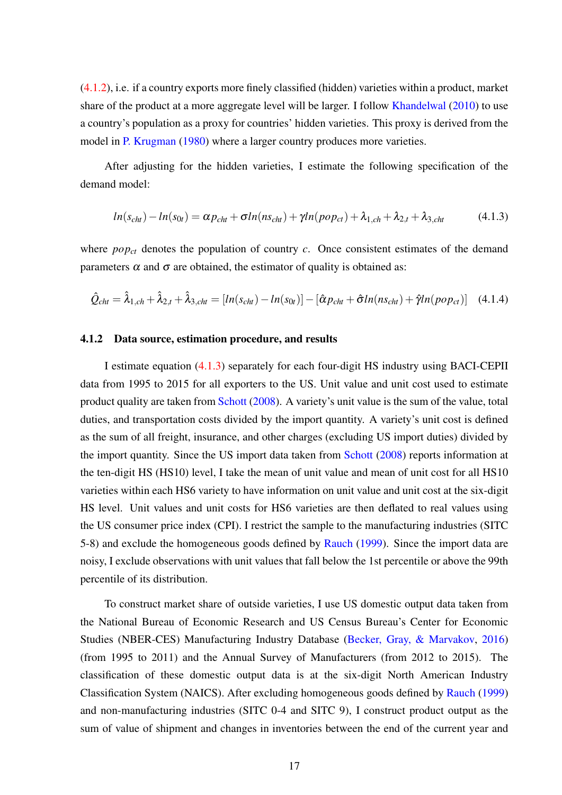[\(4.1.2\)](#page-16-0), i.e. if a country exports more finely classified (hidden) varieties within a product, market share of the product at a more aggregate level will be larger. I follow [Khandelwal](#page-29-0) [\(2010\)](#page-29-0) to use a country's population as a proxy for countries' hidden varieties. This proxy is derived from the model in [P. Krugman](#page-29-12) [\(1980\)](#page-29-12) where a larger country produces more varieties.

After adjusting for the hidden varieties, I estimate the following specification of the demand model:

<span id="page-17-0"></span>
$$
ln(s_{cht}) - ln(s_{0t}) = \alpha p_{cht} + \sigma ln(ns_{cht}) + \gamma ln(p_{0pt}) + \lambda_{1,ch} + \lambda_{2,t} + \lambda_{3,cht}
$$
(4.1.3)

where *pop<sub>ct</sub>* denotes the population of country *c*. Once consistent estimates of the demand parameters  $\alpha$  and  $\sigma$  are obtained, the estimator of quality is obtained as:

<span id="page-17-1"></span>
$$
\hat{Q}_{cht} = \hat{\lambda}_{1, ch} + \hat{\lambda}_{2, t} + \hat{\lambda}_{3, cht} = [ln(s_{cht}) - ln(s_{0t})] - [\hat{\alpha}p_{cht} + \hat{\sigma}ln(ns_{cht}) + \hat{\gamma}ln(p_{O}p_{ct})]
$$
(4.1.4)

#### 4.1.2 Data source, estimation procedure, and results

I estimate equation [\(4.1.3\)](#page-17-0) separately for each four-digit HS industry using BACI-CEPII data from 1995 to 2015 for all exporters to the US. Unit value and unit cost used to estimate product quality are taken from [Schott](#page-30-8) [\(2008\)](#page-30-8). A variety's unit value is the sum of the value, total duties, and transportation costs divided by the import quantity. A variety's unit cost is defined as the sum of all freight, insurance, and other charges (excluding US import duties) divided by the import quantity. Since the US import data taken from [Schott](#page-30-8) [\(2008\)](#page-30-8) reports information at the ten-digit HS (HS10) level, I take the mean of unit value and mean of unit cost for all HS10 varieties within each HS6 variety to have information on unit value and unit cost at the six-digit HS level. Unit values and unit costs for HS6 varieties are then deflated to real values using the US consumer price index (CPI). I restrict the sample to the manufacturing industries (SITC 5-8) and exclude the homogeneous goods defined by [Rauch](#page-30-6) [\(1999\)](#page-30-6). Since the import data are noisy, I exclude observations with unit values that fall below the 1st percentile or above the 99th percentile of its distribution.

To construct market share of outside varieties, I use US domestic output data taken from the National Bureau of Economic Research and US Census Bureau's Center for Economic Studies (NBER-CES) Manufacturing Industry Database [\(Becker, Gray, & Marvakov,](#page-28-10) [2016\)](#page-28-10) (from 1995 to 2011) and the Annual Survey of Manufacturers (from 2012 to 2015). The classification of these domestic output data is at the six-digit North American Industry Classification System (NAICS). After excluding homogeneous goods defined by [Rauch](#page-30-6) [\(1999\)](#page-30-6) and non-manufacturing industries (SITC 0-4 and SITC 9), I construct product output as the sum of value of shipment and changes in inventories between the end of the current year and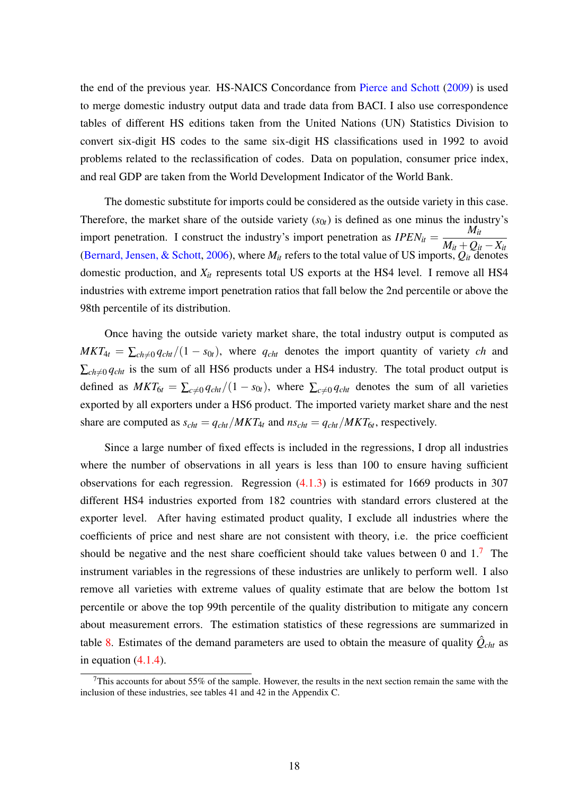the end of the previous year. HS-NAICS Concordance from [Pierce and Schott](#page-30-9) [\(2009\)](#page-30-9) is used to merge domestic industry output data and trade data from BACI. I also use correspondence tables of different HS editions taken from the United Nations (UN) Statistics Division to convert six-digit HS codes to the same six-digit HS classifications used in 1992 to avoid problems related to the reclassification of codes. Data on population, consumer price index, and real GDP are taken from the World Development Indicator of the World Bank.

The domestic substitute for imports could be considered as the outside variety in this case. Therefore, the market share of the outside variety  $(s_{0t})$  is defined as one minus the industry's import penetration. I construct the industry's import penetration as  $IPEN_{it}$  =  $M_{it}$  $M_{it}$  +  $Q_{it}$  −  $X_{it}$ [\(Bernard, Jensen, & Schott,](#page-28-11) [2006\)](#page-28-11), where  $M_{it}$  refers to the total value of US imports,  $Q_{it}$  denotes domestic production, and *Xit* represents total US exports at the HS4 level. I remove all HS4 industries with extreme import penetration ratios that fall below the 2nd percentile or above the 98th percentile of its distribution.

Once having the outside variety market share, the total industry output is computed as  $MKT_{4t} = \sum_{ch \neq 0} q_{cht}/(1 - s_{0t})$ , where  $q_{cht}$  denotes the import quantity of variety *ch* and  $\sum_{ch \neq 0} q_{cht}$  is the sum of all HS6 products under a HS4 industry. The total product output is defined as  $MKT_{6t} = \sum_{c\neq 0} q_{cht}/(1 - s_{0t})$ , where  $\sum_{c\neq 0} q_{cht}$  denotes the sum of all varieties exported by all exporters under a HS6 product. The imported variety market share and the nest share are computed as  $s_{cht} = q_{cht}/MKT_{4t}$  and  $ns_{cht} = q_{cht}/MKT_{6t}$ , respectively.

Since a large number of fixed effects is included in the regressions, I drop all industries where the number of observations in all years is less than 100 to ensure having sufficient observations for each regression. Regression  $(4.1.3)$  is estimated for 1669 products in 307 different HS4 industries exported from 182 countries with standard errors clustered at the exporter level. After having estimated product quality, I exclude all industries where the coefficients of price and nest share are not consistent with theory, i.e. the price coefficient should be negative and the nest share coefficient should take values between 0 and  $1<sup>7</sup>$  $1<sup>7</sup>$  $1<sup>7</sup>$  The instrument variables in the regressions of these industries are unlikely to perform well. I also remove all varieties with extreme values of quality estimate that are below the bottom 1st percentile or above the top 99th percentile of the quality distribution to mitigate any concern about measurement errors. The estimation statistics of these regressions are summarized in table [8.](#page-35-0) Estimates of the demand parameters are used to obtain the measure of quality  $\hat{Q}_{cht}$  as in equation  $(4.1.4)$ .

<span id="page-18-0"></span> $7$ This accounts for about 55% of the sample. However, the results in the next section remain the same with the inclusion of these industries, see tables 41 and 42 in the Appendix C.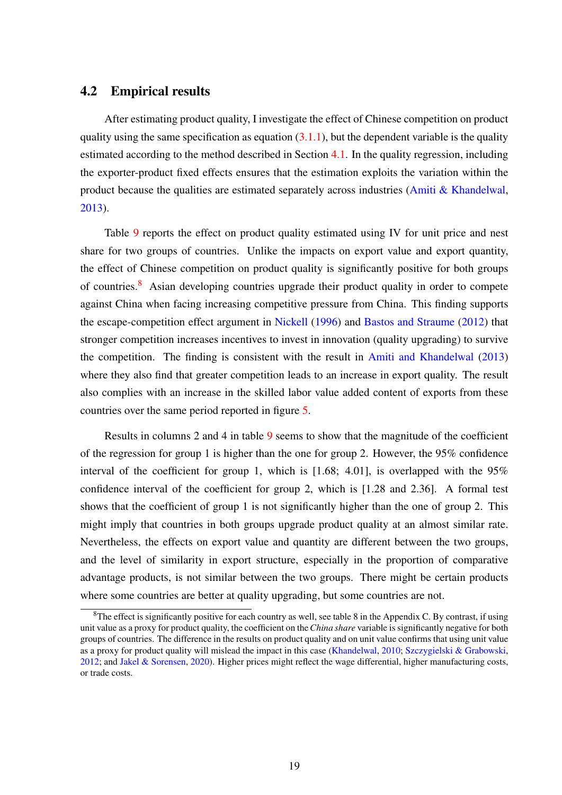#### 4.2 Empirical results

After estimating product quality, I investigate the effect of Chinese competition on product quality using the same specification as equation  $(3.1.1)$ , but the dependent variable is the quality estimated according to the method described in Section [4.1.](#page-15-0) In the quality regression, including the exporter-product fixed effects ensures that the estimation exploits the variation within the product because the qualities are estimated separately across industries [\(Amiti & Khandelwal,](#page-27-3) [2013\)](#page-27-3).

Table [9](#page-35-1) reports the effect on product quality estimated using IV for unit price and nest share for two groups of countries. Unlike the impacts on export value and export quantity, the effect of Chinese competition on product quality is significantly positive for both groups of countries.<sup>[8](#page-0-0)</sup> Asian developing countries upgrade their product quality in order to compete against China when facing increasing competitive pressure from China. This finding supports the escape-competition effect argument in [Nickell](#page-30-10) [\(1996\)](#page-30-10) and [Bastos and Straume](#page-28-12) [\(2012\)](#page-28-12) that stronger competition increases incentives to invest in innovation (quality upgrading) to survive the competition. The finding is consistent with the result in [Amiti and Khandelwal](#page-27-3) [\(2013\)](#page-27-3) where they also find that greater competition leads to an increase in export quality. The result also complies with an increase in the skilled labor value added content of exports from these countries over the same period reported in figure [5.](#page-20-0)

Results in columns 2 and 4 in table [9](#page-35-1) seems to show that the magnitude of the coefficient of the regression for group 1 is higher than the one for group 2. However, the 95% confidence interval of the coefficient for group 1, which is  $[1.68; 4.01]$ , is overlapped with the 95% confidence interval of the coefficient for group 2, which is [1.28 and 2.36]. A formal test shows that the coefficient of group 1 is not significantly higher than the one of group 2. This might imply that countries in both groups upgrade product quality at an almost similar rate. Nevertheless, the effects on export value and quantity are different between the two groups, and the level of similarity in export structure, especially in the proportion of comparative advantage products, is not similar between the two groups. There might be certain products where some countries are better at quality upgrading, but some countries are not.

 $8$ The effect is significantly positive for each country as well, see table 8 in the Appendix C. By contrast, if using unit value as a proxy for product quality, the coefficient on the*China share* variable is significantly negative for both groups of countries. The difference in the results on product quality and on unit value confirms that using unit value as a proxy for product quality will mislead the impact in this case [\(Khandelwal,](#page-29-0) [2010;](#page-29-0) [Szczygielski & Grabowski,](#page-30-11) [2012;](#page-30-11) and [Jakel & Sorensen,](#page-29-13) [2020\)](#page-29-13). Higher prices might reflect the wage differential, higher manufacturing costs, or trade costs.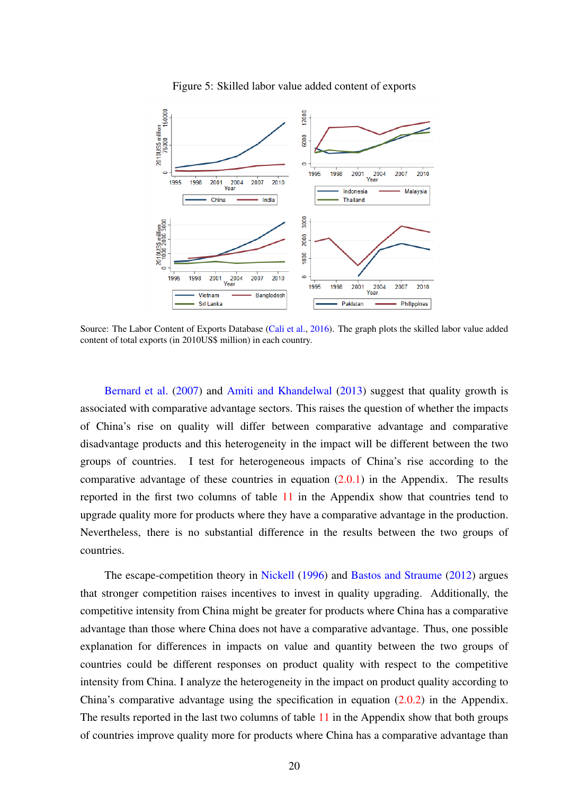<span id="page-20-0"></span>

Figure 5: Skilled labor value added content of exports

Source: The Labor Content of Exports Database [\(Cali et al.,](#page-28-13) [2016\)](#page-28-13). The graph plots the skilled labor value added content of total exports (in 2010US\$ million) in each country.

[Bernard et al.](#page-28-6) [\(2007\)](#page-28-6) and [Amiti and Khandelwal](#page-27-3) [\(2013\)](#page-27-3) suggest that quality growth is associated with comparative advantage sectors. This raises the question of whether the impacts of China's rise on quality will differ between comparative advantage and comparative disadvantage products and this heterogeneity in the impact will be different between the two groups of countries. I test for heterogeneous impacts of China's rise according to the comparative advantage of these countries in equation  $(2.0.1)$  in the Appendix. The results reported in the first two columns of table [11](#page-37-0) in the Appendix show that countries tend to upgrade quality more for products where they have a comparative advantage in the production. Nevertheless, there is no substantial difference in the results between the two groups of countries.

The escape-competition theory in [Nickell](#page-30-10) [\(1996\)](#page-30-10) and [Bastos and Straume](#page-28-12) [\(2012\)](#page-28-12) argues that stronger competition raises incentives to invest in quality upgrading. Additionally, the competitive intensity from China might be greater for products where China has a comparative advantage than those where China does not have a comparative advantage. Thus, one possible explanation for differences in impacts on value and quantity between the two groups of countries could be different responses on product quality with respect to the competitive intensity from China. I analyze the heterogeneity in the impact on product quality according to China's comparative advantage using the specification in equation [\(2.0.2\)](#page-38-0) in the Appendix. The results reported in the last two columns of table [11](#page-37-0) in the Appendix show that both groups of countries improve quality more for products where China has a comparative advantage than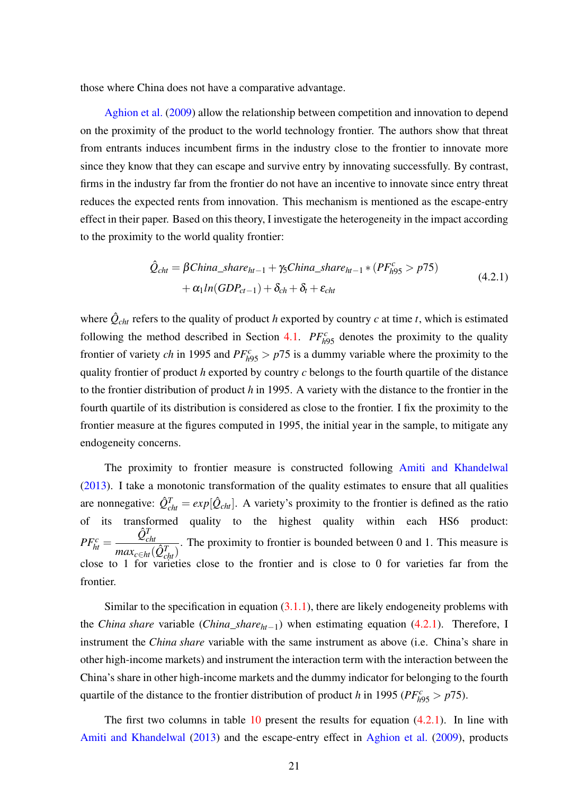those where China does not have a comparative advantage.

[Aghion et al.](#page-27-11) [\(2009\)](#page-27-11) allow the relationship between competition and innovation to depend on the proximity of the product to the world technology frontier. The authors show that threat from entrants induces incumbent firms in the industry close to the frontier to innovate more since they know that they can escape and survive entry by innovating successfully. By contrast, firms in the industry far from the frontier do not have an incentive to innovate since entry threat reduces the expected rents from innovation. This mechanism is mentioned as the escape-entry effect in their paper. Based on this theory, I investigate the heterogeneity in the impact according to the proximity to the world quality frontier:

<span id="page-21-0"></span>
$$
\hat{Q}_{cht} = \beta China\_share_{ht-1} + \gamma_5 China\_share_{ht-1} * (PF_{h95}^c > p75)
$$
  
+  $\alpha_1 ln(GDP_{ct-1}) + \delta_{ch} + \delta_t + \varepsilon_{cht}$  (4.2.1)

where  $\hat{Q}_{\text{cht}}$  refers to the quality of product *h* exported by country *c* at time *t*, which is estimated following the method described in Section [4.1.](#page-15-0)  $PF_{h95}^c$  denotes the proximity to the quality frontier of variety *ch* in 1995 and  $PF_{h95}^c > p75$  is a dummy variable where the proximity to the quality frontier of product *h* exported by country *c* belongs to the fourth quartile of the distance to the frontier distribution of product *h* in 1995. A variety with the distance to the frontier in the fourth quartile of its distribution is considered as close to the frontier. I fix the proximity to the frontier measure at the figures computed in 1995, the initial year in the sample, to mitigate any endogeneity concerns.

The proximity to frontier measure is constructed following [Amiti and Khandelwal](#page-27-3) [\(2013\)](#page-27-3). I take a monotonic transformation of the quality estimates to ensure that all qualities are nonnegative:  $\hat{Q}_{cht}^T = exp[\hat{Q}_{cht}]$ . A variety's proximity to the frontier is defined as the ratio of its transformed quality to the highest quality within each HS6 product:  $PF_{ht}^c =$  $\hat{\mathcal{Q}}^{T}_{cht}$  $max_{c \in ht}(\hat{Q}^T_{cht})$ . The proximity to frontier is bounded between 0 and 1. This measure is close to 1 for varieties close to the frontier and is close to 0 for varieties far from the frontier.

Similar to the specification in equation  $(3.1.1)$ , there are likely endogeneity problems with the *China share* variable (*China*\_*shareht*−1) when estimating equation [\(4.2.1\)](#page-21-0). Therefore, I instrument the *China share* variable with the same instrument as above (i.e. China's share in other high-income markets) and instrument the interaction term with the interaction between the China's share in other high-income markets and the dummy indicator for belonging to the fourth quartile of the distance to the frontier distribution of product *h* in 1995 ( $PF_{h95}^c > p75$ ).

The first two columns in table [10](#page-36-1) present the results for equation  $(4.2.1)$ . In line with [Amiti and Khandelwal](#page-27-3) [\(2013\)](#page-27-3) and the escape-entry effect in [Aghion et al.](#page-27-11) [\(2009\)](#page-27-11), products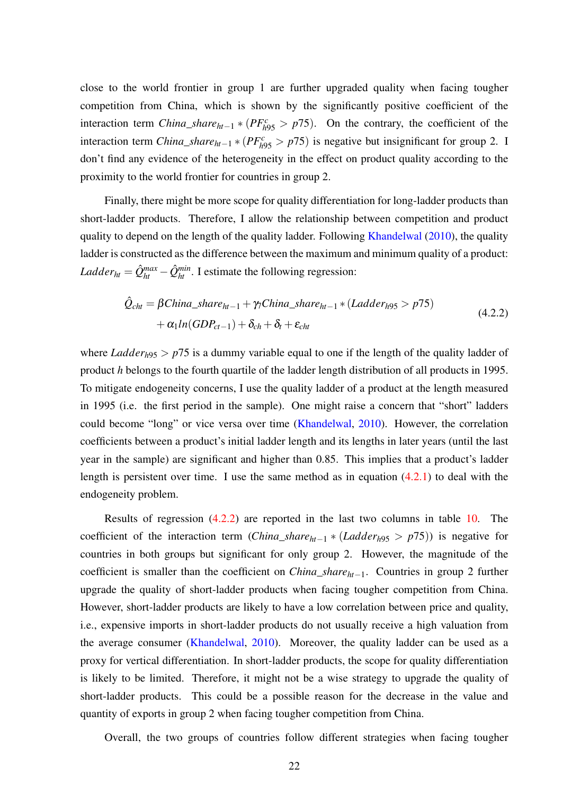close to the world frontier in group 1 are further upgraded quality when facing tougher competition from China, which is shown by the significantly positive coefficient of the interaction term *China\_share*<sub>*ht*−1</sub>  $*(PF_{h95}^c > p75)$ . On the contrary, the coefficient of the interaction term *China\_share*<sub>*ht*−1</sub> \* ( $PF_{h95}^c > p75$ ) is negative but insignificant for group 2. I don't find any evidence of the heterogeneity in the effect on product quality according to the proximity to the world frontier for countries in group 2.

Finally, there might be more scope for quality differentiation for long-ladder products than short-ladder products. Therefore, I allow the relationship between competition and product quality to depend on the length of the quality ladder. Following [Khandelwal](#page-29-0) [\(2010\)](#page-29-0), the quality ladder is constructed as the difference between the maximum and minimum quality of a product: *Ladder*<sub>ht</sub> =  $\hat{Q}_{ht}^{max} - \hat{Q}_{ht}^{min}$ . I estimate the following regression:

<span id="page-22-0"></span>
$$
\hat{Q}_{cht} = \beta China\_share_{ht-1} + \gamma_7 China\_share_{ht-1} * (Ladder_{h95} > p75)
$$
  
+  $\alpha_1 ln(GDP_{ct-1}) + \delta_{ch} + \delta_t + \varepsilon_{cht}$  (4.2.2)

where *Ladder*<sub>h95</sub> >  $p75$  is a dummy variable equal to one if the length of the quality ladder of product *h* belongs to the fourth quartile of the ladder length distribution of all products in 1995. To mitigate endogeneity concerns, I use the quality ladder of a product at the length measured in 1995 (i.e. the first period in the sample). One might raise a concern that "short" ladders could become "long" or vice versa over time [\(Khandelwal,](#page-29-0) [2010\)](#page-29-0). However, the correlation coefficients between a product's initial ladder length and its lengths in later years (until the last year in the sample) are significant and higher than 0.85. This implies that a product's ladder length is persistent over time. I use the same method as in equation  $(4.2.1)$  to deal with the endogeneity problem.

Results of regression [\(4.2.2\)](#page-22-0) are reported in the last two columns in table [10.](#page-36-1) The coefficient of the interaction term (*China\_share*<sub>*ht*−1</sub> \* (*Ladder<sub>h</sub>*95 >  $p75$ )) is negative for countries in both groups but significant for only group 2. However, the magnitude of the coefficient is smaller than the coefficient on *China*\_*shareht*−1. Countries in group 2 further upgrade the quality of short-ladder products when facing tougher competition from China. However, short-ladder products are likely to have a low correlation between price and quality, i.e., expensive imports in short-ladder products do not usually receive a high valuation from the average consumer [\(Khandelwal,](#page-29-0) [2010\)](#page-29-0). Moreover, the quality ladder can be used as a proxy for vertical differentiation. In short-ladder products, the scope for quality differentiation is likely to be limited. Therefore, it might not be a wise strategy to upgrade the quality of short-ladder products. This could be a possible reason for the decrease in the value and quantity of exports in group 2 when facing tougher competition from China.

Overall, the two groups of countries follow different strategies when facing tougher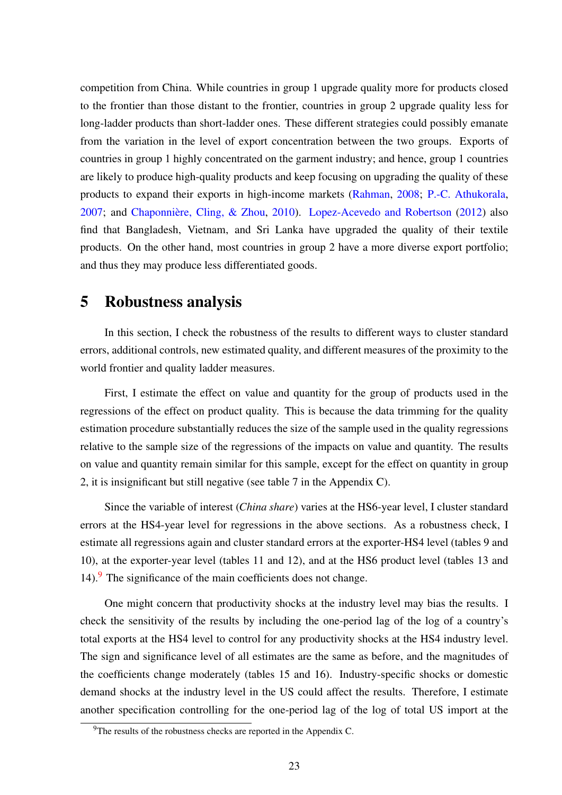competition from China. While countries in group 1 upgrade quality more for products closed to the frontier than those distant to the frontier, countries in group 2 upgrade quality less for long-ladder products than short-ladder ones. These different strategies could possibly emanate from the variation in the level of export concentration between the two groups. Exports of countries in group 1 highly concentrated on the garment industry; and hence, group 1 countries are likely to produce high-quality products and keep focusing on upgrading the quality of these products to expand their exports in high-income markets [\(Rahman,](#page-30-12) [2008;](#page-30-12) [P.-C. Athukorala,](#page-27-13) [2007;](#page-27-13) and [Chaponnière, Cling, & Zhou,](#page-28-14) [2010\)](#page-28-14). [Lopez-Acevedo and Robertson](#page-30-13) [\(2012\)](#page-30-13) also find that Bangladesh, Vietnam, and Sri Lanka have upgraded the quality of their textile products. On the other hand, most countries in group 2 have a more diverse export portfolio; and thus they may produce less differentiated goods.

## 5 Robustness analysis

In this section, I check the robustness of the results to different ways to cluster standard errors, additional controls, new estimated quality, and different measures of the proximity to the world frontier and quality ladder measures.

First, I estimate the effect on value and quantity for the group of products used in the regressions of the effect on product quality. This is because the data trimming for the quality estimation procedure substantially reduces the size of the sample used in the quality regressions relative to the sample size of the regressions of the impacts on value and quantity. The results on value and quantity remain similar for this sample, except for the effect on quantity in group 2, it is insignificant but still negative (see table 7 in the Appendix C).

Since the variable of interest (*China share*) varies at the HS6-year level, I cluster standard errors at the HS4-year level for regressions in the above sections. As a robustness check, I estimate all regressions again and cluster standard errors at the exporter-HS4 level (tables 9 and 10), at the exporter-year level (tables 11 and 12), and at the HS6 product level (tables 13 and 14).<sup>[9](#page-0-0)</sup> The significance of the main coefficients does not change.

One might concern that productivity shocks at the industry level may bias the results. I check the sensitivity of the results by including the one-period lag of the log of a country's total exports at the HS4 level to control for any productivity shocks at the HS4 industry level. The sign and significance level of all estimates are the same as before, and the magnitudes of the coefficients change moderately (tables 15 and 16). Industry-specific shocks or domestic demand shocks at the industry level in the US could affect the results. Therefore, I estimate another specification controlling for the one-period lag of the log of total US import at the

 $9^9$ The results of the robustness checks are reported in the Appendix C.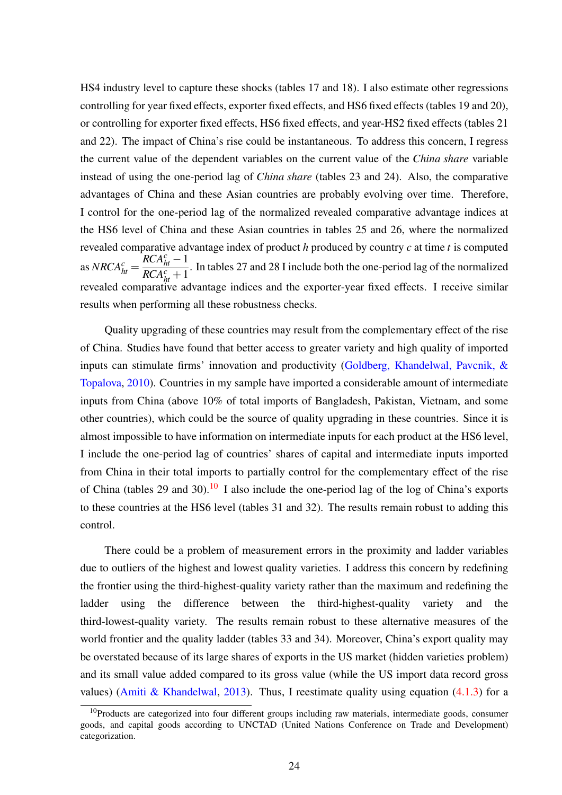HS4 industry level to capture these shocks (tables 17 and 18). I also estimate other regressions controlling for year fixed effects, exporter fixed effects, and HS6 fixed effects (tables 19 and 20), or controlling for exporter fixed effects, HS6 fixed effects, and year-HS2 fixed effects (tables 21 and 22). The impact of China's rise could be instantaneous. To address this concern, I regress the current value of the dependent variables on the current value of the *China share* variable instead of using the one-period lag of *China share* (tables 23 and 24). Also, the comparative advantages of China and these Asian countries are probably evolving over time. Therefore, I control for the one-period lag of the normalized revealed comparative advantage indices at the HS6 level of China and these Asian countries in tables 25 and 26, where the normalized revealed comparative advantage index of product *h* produced by country *c* at time *t* is computed as  $NRCA_{ht}^c =$  $RCA<sub>ht</sub><sup>c</sup>$  − 1  $\frac{RCA_{ht}^{c}}{RCA_{ht}^{c}+1}$ . In tables 27 and 28 I include both the one-period lag of the normalized revealed comparative advantage indices and the exporter-year fixed effects. I receive similar results when performing all these robustness checks.

Quality upgrading of these countries may result from the complementary effect of the rise of China. Studies have found that better access to greater variety and high quality of imported inputs can stimulate firms' innovation and productivity [\(Goldberg, Khandelwal, Pavcnik, &](#page-29-14) [Topalova,](#page-29-14) [2010\)](#page-29-14). Countries in my sample have imported a considerable amount of intermediate inputs from China (above 10% of total imports of Bangladesh, Pakistan, Vietnam, and some other countries), which could be the source of quality upgrading in these countries. Since it is almost impossible to have information on intermediate inputs for each product at the HS6 level, I include the one-period lag of countries' shares of capital and intermediate inputs imported from China in their total imports to partially control for the complementary effect of the rise of China (tables 29 and 30).<sup>[10](#page-0-0)</sup> I also include the one-period lag of the log of China's exports to these countries at the HS6 level (tables 31 and 32). The results remain robust to adding this control.

There could be a problem of measurement errors in the proximity and ladder variables due to outliers of the highest and lowest quality varieties. I address this concern by redefining the frontier using the third-highest-quality variety rather than the maximum and redefining the ladder using the difference between the third-highest-quality variety and the third-lowest-quality variety. The results remain robust to these alternative measures of the world frontier and the quality ladder (tables 33 and 34). Moreover, China's export quality may be overstated because of its large shares of exports in the US market (hidden varieties problem) and its small value added compared to its gross value (while the US import data record gross values) [\(Amiti & Khandelwal,](#page-27-3) [2013\)](#page-27-3). Thus, I reestimate quality using equation  $(4.1.3)$  for a

 $10P$  Products are categorized into four different groups including raw materials, intermediate goods, consumer goods, and capital goods according to UNCTAD (United Nations Conference on Trade and Development) categorization.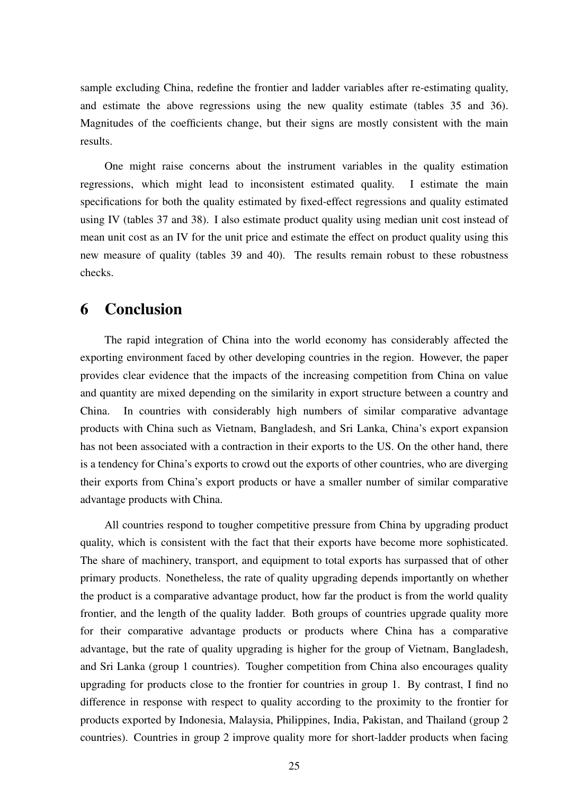sample excluding China, redefine the frontier and ladder variables after re-estimating quality, and estimate the above regressions using the new quality estimate (tables 35 and 36). Magnitudes of the coefficients change, but their signs are mostly consistent with the main results.

One might raise concerns about the instrument variables in the quality estimation regressions, which might lead to inconsistent estimated quality. I estimate the main specifications for both the quality estimated by fixed-effect regressions and quality estimated using IV (tables 37 and 38). I also estimate product quality using median unit cost instead of mean unit cost as an IV for the unit price and estimate the effect on product quality using this new measure of quality (tables 39 and 40). The results remain robust to these robustness checks.

# 6 Conclusion

The rapid integration of China into the world economy has considerably affected the exporting environment faced by other developing countries in the region. However, the paper provides clear evidence that the impacts of the increasing competition from China on value and quantity are mixed depending on the similarity in export structure between a country and China. In countries with considerably high numbers of similar comparative advantage products with China such as Vietnam, Bangladesh, and Sri Lanka, China's export expansion has not been associated with a contraction in their exports to the US. On the other hand, there is a tendency for China's exports to crowd out the exports of other countries, who are diverging their exports from China's export products or have a smaller number of similar comparative advantage products with China.

All countries respond to tougher competitive pressure from China by upgrading product quality, which is consistent with the fact that their exports have become more sophisticated. The share of machinery, transport, and equipment to total exports has surpassed that of other primary products. Nonetheless, the rate of quality upgrading depends importantly on whether the product is a comparative advantage product, how far the product is from the world quality frontier, and the length of the quality ladder. Both groups of countries upgrade quality more for their comparative advantage products or products where China has a comparative advantage, but the rate of quality upgrading is higher for the group of Vietnam, Bangladesh, and Sri Lanka (group 1 countries). Tougher competition from China also encourages quality upgrading for products close to the frontier for countries in group 1. By contrast, I find no difference in response with respect to quality according to the proximity to the frontier for products exported by Indonesia, Malaysia, Philippines, India, Pakistan, and Thailand (group 2 countries). Countries in group 2 improve quality more for short-ladder products when facing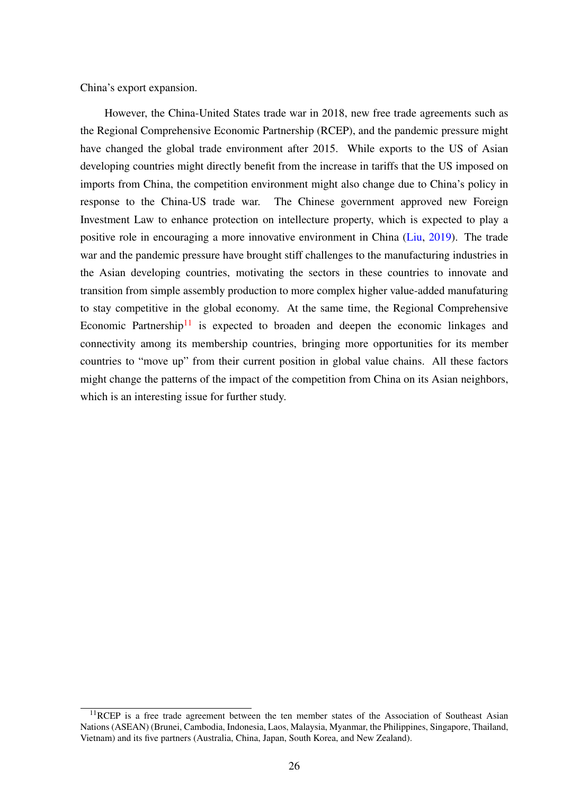China's export expansion.

However, the China-United States trade war in 2018, new free trade agreements such as the Regional Comprehensive Economic Partnership (RCEP), and the pandemic pressure might have changed the global trade environment after 2015. While exports to the US of Asian developing countries might directly benefit from the increase in tariffs that the US imposed on imports from China, the competition environment might also change due to China's policy in response to the China-US trade war. The Chinese government approved new Foreign Investment Law to enhance protection on intellecture property, which is expected to play a positive role in encouraging a more innovative environment in China [\(Liu,](#page-29-15) [2019\)](#page-29-15). The trade war and the pandemic pressure have brought stiff challenges to the manufacturing industries in the Asian developing countries, motivating the sectors in these countries to innovate and transition from simple assembly production to more complex higher value-added manufaturing to stay competitive in the global economy. At the same time, the Regional Comprehensive Economic Partnership<sup>[11](#page-0-0)</sup> is expected to broaden and deepen the economic linkages and connectivity among its membership countries, bringing more opportunities for its member countries to "move up" from their current position in global value chains. All these factors might change the patterns of the impact of the competition from China on its Asian neighbors, which is an interesting issue for further study.

<sup>&</sup>lt;sup>11</sup>RCEP is a free trade agreement between the ten member states of the Association of Southeast Asian Nations (ASEAN) (Brunei, Cambodia, Indonesia, Laos, Malaysia, Myanmar, the Philippines, Singapore, Thailand, Vietnam) and its five partners (Australia, China, Japan, South Korea, and New Zealand).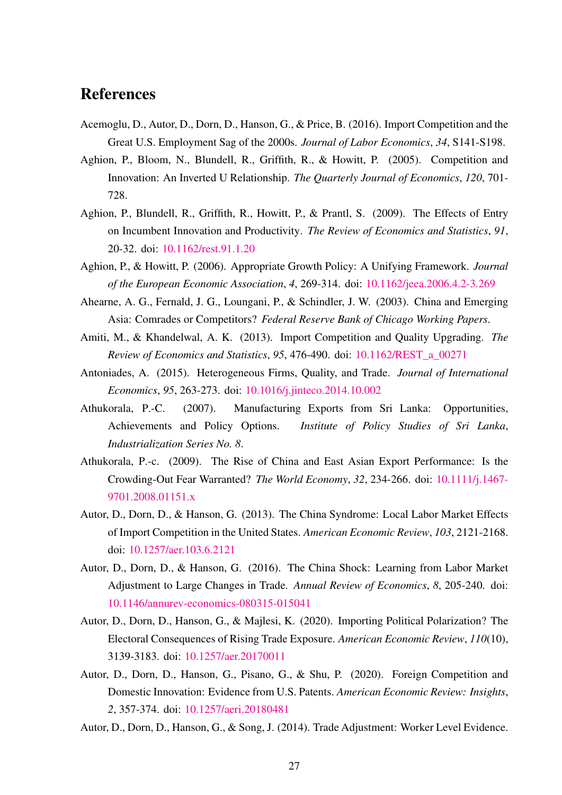# References

- <span id="page-27-4"></span>Acemoglu, D., Autor, D., Dorn, D., Hanson, G., & Price, B. (2016). Import Competition and the Great U.S. Employment Sag of the 2000s. *Journal of Labor Economics*, *34*, S141-S198.
- <span id="page-27-10"></span>Aghion, P., Bloom, N., Blundell, R., Griffith, R., & Howitt, P. (2005). Competition and Innovation: An Inverted U Relationship. *The Quarterly Journal of Economics*, *120*, 701- 728.
- <span id="page-27-11"></span>Aghion, P., Blundell, R., Griffith, R., Howitt, P., & Prantl, S. (2009). The Effects of Entry on Incumbent Innovation and Productivity. *The Review of Economics and Statistics*, *91*, 20-32. doi: [10.1162/rest.91.1.20](https://doi.org/10.1162/rest.91.1.20)
- <span id="page-27-9"></span>Aghion, P., & Howitt, P. (2006). Appropriate Growth Policy: A Unifying Framework. *Journal of the European Economic Association*, *4*, 269-314. doi: [10.1162/jeea.2006.4.2-3.269](https://doi.org/10.1162/jeea.2006.4.2-3.269)
- <span id="page-27-7"></span>Ahearne, A. G., Fernald, J. G., Loungani, P., & Schindler, J. W. (2003). China and Emerging Asia: Comrades or Competitors? *Federal Reserve Bank of Chicago Working Papers*.
- <span id="page-27-3"></span>Amiti, M., & Khandelwal, A. K. (2013). Import Competition and Quality Upgrading. *The Review of Economics and Statistics*, *95*, 476-490. doi: [10.1162/REST\\_a\\_00271](https://doi.org/10.1162/REST_a_00271)
- <span id="page-27-12"></span>Antoniades, A. (2015). Heterogeneous Firms, Quality, and Trade. *Journal of International Economics*, *95*, 263-273. doi: [10.1016/j.jinteco.2014.10.002](https://doi.org/10.1016/j.jinteco.2014.10.002)
- <span id="page-27-13"></span>Athukorala, P.-C. (2007). Manufacturing Exports from Sri Lanka: Opportunities, Achievements and Policy Options. *Institute of Policy Studies of Sri Lanka*, *Industrialization Series No. 8*.
- <span id="page-27-8"></span>Athukorala, P.-c. (2009). The Rise of China and East Asian Export Performance: Is the Crowding-Out Fear Warranted? *The World Economy*, *32*, 234-266. doi: [10.1111/j.1467-](https://doi.org/10.1111/j.1467-9701.2008.01151.x) [9701.2008.01151.x](https://doi.org/10.1111/j.1467-9701.2008.01151.x)
- <span id="page-27-0"></span>Autor, D., Dorn, D., & Hanson, G. (2013). The China Syndrome: Local Labor Market Effects of Import Competition in the United States. *American Economic Review*, *103*, 2121-2168. doi: [10.1257/aer.103.6.2121](https://doi.org/10.1257/aer.103.6.2121)
- <span id="page-27-1"></span>Autor, D., Dorn, D., & Hanson, G. (2016). The China Shock: Learning from Labor Market Adjustment to Large Changes in Trade. *Annual Review of Economics*, *8*, 205-240. doi: [10.1146/annurev-economics-080315-015041](https://doi.org/10.1146/annurev-economics-080315-015041)
- <span id="page-27-2"></span>Autor, D., Dorn, D., Hanson, G., & Majlesi, K. (2020). Importing Political Polarization? The Electoral Consequences of Rising Trade Exposure. *American Economic Review*, *110*(10), 3139-3183. doi: [10.1257/aer.20170011](https://doi.org/10.1257/aer.20170011)
- <span id="page-27-6"></span>Autor, D., Dorn, D., Hanson, G., Pisano, G., & Shu, P. (2020). Foreign Competition and Domestic Innovation: Evidence from U.S. Patents. *American Economic Review: Insights*, *2*, 357-374. doi: [10.1257/aeri.20180481](https://doi.org/10.1257/aeri.20180481)
- <span id="page-27-5"></span>Autor, D., Dorn, D., Hanson, G., & Song, J. (2014). Trade Adjustment: Worker Level Evidence.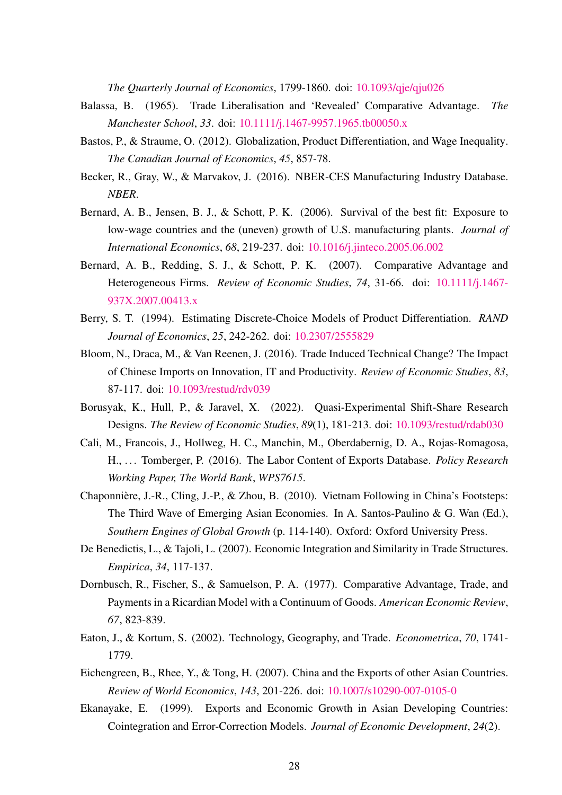*The Quarterly Journal of Economics*, 1799-1860. doi: [10.1093/qje/qju026](https://doi.org/10.1093/qje/qju026)

- <span id="page-28-2"></span>Balassa, B. (1965). Trade Liberalisation and 'Revealed' Comparative Advantage. *The Manchester School*, *33*. doi: [10.1111/j.1467-9957.1965.tb00050.x](https://doi.org/10.1111/j.1467-9957.1965.tb00050.x)
- <span id="page-28-12"></span>Bastos, P., & Straume, O. (2012). Globalization, Product Differentiation, and Wage Inequality. *The Canadian Journal of Economics*, *45*, 857-78.
- <span id="page-28-10"></span>Becker, R., Gray, W., & Marvakov, J. (2016). NBER-CES Manufacturing Industry Database. *NBER*.
- <span id="page-28-11"></span>Bernard, A. B., Jensen, B. J., & Schott, P. K. (2006). Survival of the best fit: Exposure to low-wage countries and the (uneven) growth of U.S. manufacturing plants. *Journal of International Economics*, *68*, 219-237. doi: [10.1016/j.jinteco.2005.06.002](https://doi.org/10.1016/j.jinteco.2005.06.002)
- <span id="page-28-6"></span>Bernard, A. B., Redding, S. J., & Schott, P. K. (2007). Comparative Advantage and Heterogeneous Firms. *Review of Economic Studies*, *74*, 31-66. doi: [10.1111/j.1467-](https://doi.org/10.1111/j.1467-937X.2007.00413.x) [937X.2007.00413.x](https://doi.org/10.1111/j.1467-937X.2007.00413.x)
- <span id="page-28-9"></span>Berry, S. T. (1994). Estimating Discrete-Choice Models of Product Differentiation. *RAND Journal of Economics*, *25*, 242-262. doi: [10.2307/2555829](https://doi.org/10.2307/2555829)
- <span id="page-28-0"></span>Bloom, N., Draca, M., & Van Reenen, J. (2016). Trade Induced Technical Change? The Impact of Chinese Imports on Innovation, IT and Productivity. *Review of Economic Studies*, *83*, 87-117. doi: [10.1093/restud/rdv039](https://doi.org/10.1093/restud/rdv039)
- <span id="page-28-8"></span>Borusyak, K., Hull, P., & Jaravel, X. (2022). Quasi-Experimental Shift-Share Research Designs. *The Review of Economic Studies*, *89*(1), 181-213. doi: [10.1093/restud/rdab030](https://doi.org/10.1093/restud/rdab030)
- <span id="page-28-13"></span>Cali, M., Francois, J., Hollweg, H. C., Manchin, M., Oberdabernig, D. A., Rojas-Romagosa, H., . . . Tomberger, P. (2016). The Labor Content of Exports Database. *Policy Research Working Paper, The World Bank*, *WPS7615*.
- <span id="page-28-14"></span>Chaponnière, J.-R., Cling, J.-P., & Zhou, B. (2010). Vietnam Following in China's Footsteps: The Third Wave of Emerging Asian Economies. In A. Santos-Paulino & G. Wan (Ed.), *Southern Engines of Global Growth* (p. 114-140). Oxford: Oxford University Press.
- <span id="page-28-7"></span>De Benedictis, L., & Tajoli, L. (2007). Economic Integration and Similarity in Trade Structures. *Empirica*, *34*, 117-137.
- <span id="page-28-4"></span>Dornbusch, R., Fischer, S., & Samuelson, P. A. (1977). Comparative Advantage, Trade, and Payments in a Ricardian Model with a Continuum of Goods. *American Economic Review*, *67*, 823-839.
- <span id="page-28-5"></span>Eaton, J., & Kortum, S. (2002). Technology, Geography, and Trade. *Econometrica*, *70*, 1741- 1779.
- <span id="page-28-3"></span>Eichengreen, B., Rhee, Y., & Tong, H. (2007). China and the Exports of other Asian Countries. *Review of World Economics*, *143*, 201-226. doi: [10.1007/s10290-007-0105-0](https://doi.org/10.1007/s10290-007-0105-0)
- <span id="page-28-1"></span>Ekanayake, E. (1999). Exports and Economic Growth in Asian Developing Countries: Cointegration and Error-Correction Models. *Journal of Economic Development*, *24*(2).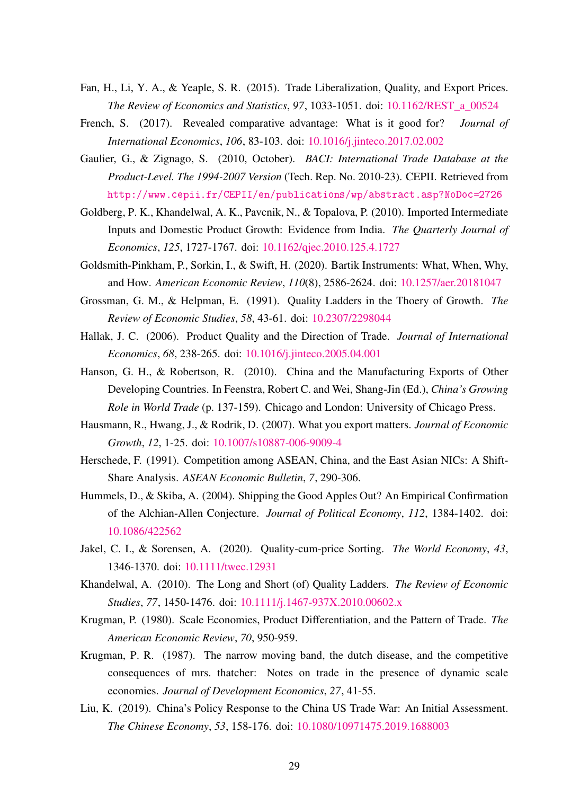- <span id="page-29-6"></span>Fan, H., Li, Y. A., & Yeaple, S. R. (2015). Trade Liberalization, Quality, and Export Prices. *The Review of Economics and Statistics*, *97*, 1033-1051. doi: [10.1162/REST\\_a\\_00524](https://doi.org/10.1162/REST_a_00524)
- <span id="page-29-1"></span>French, S. (2017). Revealed comparative advantage: What is it good for? *Journal of International Economics*, *106*, 83-103. doi: [10.1016/j.jinteco.2017.02.002](https://doi.org/10.1016/j.jinteco.2017.02.002)
- <span id="page-29-8"></span>Gaulier, G., & Zignago, S. (2010, October). *BACI: International Trade Database at the Product-Level. The 1994-2007 Version* (Tech. Rep. No. 2010-23). CEPII. Retrieved from <http://www.cepii.fr/CEPII/en/publications/wp/abstract.asp?NoDoc=2726>
- <span id="page-29-14"></span>Goldberg, P. K., Khandelwal, A. K., Pavcnik, N., & Topalova, P. (2010). Imported Intermediate Inputs and Domestic Product Growth: Evidence from India. *The Quarterly Journal of Economics*, *125*, 1727-1767. doi: [10.1162/qjec.2010.125.4.1727](https://doi.org/10.1162/qjec.2010.125.4.1727)
- <span id="page-29-9"></span>Goldsmith-Pinkham, P., Sorkin, I., & Swift, H. (2020). Bartik Instruments: What, When, Why, and How. *American Economic Review*, *110*(8), 2586-2624. doi: [10.1257/aer.20181047](https://doi.org/10.1257/aer.20181047)
- <span id="page-29-4"></span>Grossman, G. M., & Helpman, E. (1991). Quality Ladders in the Thoery of Growth. *The Review of Economic Studies*, *58*, 43-61. doi: [10.2307/2298044](https://doi.org/10.2307/2298044)
- <span id="page-29-10"></span>Hallak, J. C. (2006). Product Quality and the Direction of Trade. *Journal of International Economics*, *68*, 238-265. doi: [10.1016/j.jinteco.2005.04.001](https://doi.org/10.1016/j.jinteco.2005.04.001)
- <span id="page-29-2"></span>Hanson, G. H., & Robertson, R. (2010). China and the Manufacturing Exports of Other Developing Countries. In Feenstra, Robert C. and Wei, Shang-Jin (Ed.), *China's Growing Role in World Trade* (p. 137-159). Chicago and London: University of Chicago Press.
- <span id="page-29-5"></span>Hausmann, R., Hwang, J., & Rodrik, D. (2007). What you export matters. *Journal of Economic Growth*, *12*, 1-25. doi: [10.1007/s10887-006-9009-4](https://doi.org/10.1007/s10887-006-9009-4)
- <span id="page-29-3"></span>Herschede, F. (1991). Competition among ASEAN, China, and the East Asian NICs: A Shift-Share Analysis. *ASEAN Economic Bulletin*, *7*, 290-306.
- <span id="page-29-11"></span>Hummels, D., & Skiba, A. (2004). Shipping the Good Apples Out? An Empirical Confirmation of the Alchian-Allen Conjecture. *Journal of Political Economy*, *112*, 1384-1402. doi: [10.1086/422562](https://doi.org/10.1086/422562)
- <span id="page-29-13"></span>Jakel, C. I., & Sorensen, A. (2020). Quality-cum-price Sorting. *The World Economy*, *43*, 1346-1370. doi: [10.1111/twec.12931](https://doi.org/10.1111/twec.12931)
- <span id="page-29-0"></span>Khandelwal, A. (2010). The Long and Short (of) Quality Ladders. *The Review of Economic Studies*, *77*, 1450-1476. doi: [10.1111/j.1467-937X.2010.00602.x](https://doi.org/10.1111/j.1467-937X.2010.00602.x)
- <span id="page-29-12"></span>Krugman, P. (1980). Scale Economies, Product Differentiation, and the Pattern of Trade. *The American Economic Review*, *70*, 950-959.
- <span id="page-29-7"></span>Krugman, P. R. (1987). The narrow moving band, the dutch disease, and the competitive consequences of mrs. thatcher: Notes on trade in the presence of dynamic scale economies. *Journal of Development Economics*, *27*, 41-55.
- <span id="page-29-15"></span>Liu, K. (2019). China's Policy Response to the China US Trade War: An Initial Assessment. *The Chinese Economy*, *53*, 158-176. doi: [10.1080/10971475.2019.1688003](https://doi.org/10.1080/10971475.2019.1688003)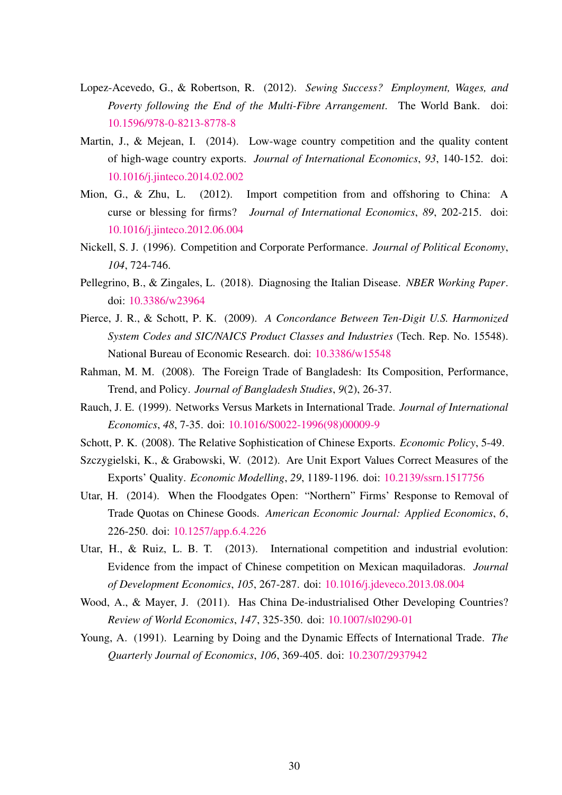- <span id="page-30-13"></span>Lopez-Acevedo, G., & Robertson, R. (2012). *Sewing Success? Employment, Wages, and Poverty following the End of the Multi-Fibre Arrangement*. The World Bank. doi: [10.1596/978-0-8213-8778-8](https://doi.org/10.1596/978-0-8213-8778-8)
- <span id="page-30-2"></span>Martin, J., & Mejean, I. (2014). Low-wage country competition and the quality content of high-wage country exports. *Journal of International Economics*, *93*, 140-152. doi: [10.1016/j.jinteco.2014.02.002](https://doi.org/10.1016/j.jinteco.2014.02.002)
- <span id="page-30-4"></span>Mion, G., & Zhu, L. (2012). Import competition from and offshoring to China: A curse or blessing for firms? *Journal of International Economics*, *89*, 202-215. doi: [10.1016/j.jinteco.2012.06.004](https://doi.org/10.1016/j.jinteco.2012.06.004)
- <span id="page-30-10"></span>Nickell, S. J. (1996). Competition and Corporate Performance. *Journal of Political Economy*, *104*, 724-746.
- <span id="page-30-0"></span>Pellegrino, B., & Zingales, L. (2018). Diagnosing the Italian Disease. *NBER Working Paper*. doi: [10.3386/w23964](https://doi.org/10.3386/w23964)
- <span id="page-30-9"></span>Pierce, J. R., & Schott, P. K. (2009). *A Concordance Between Ten-Digit U.S. Harmonized System Codes and SIC/NAICS Product Classes and Industries* (Tech. Rep. No. 15548). National Bureau of Economic Research. doi: [10.3386/w15548](https://doi.org/10.3386/w15548)
- <span id="page-30-12"></span>Rahman, M. M. (2008). The Foreign Trade of Bangladesh: Its Composition, Performance, Trend, and Policy. *Journal of Bangladesh Studies*, *9*(2), 26-37.
- <span id="page-30-6"></span>Rauch, J. E. (1999). Networks Versus Markets in International Trade. *Journal of International Economics*, *48*, 7-35. doi: [10.1016/S0022-1996\(98\)00009-9](https://doi.org/10.1016/S0022-1996(98)00009-9)
- <span id="page-30-8"></span>Schott, P. K. (2008). The Relative Sophistication of Chinese Exports. *Economic Policy*, 5-49.
- <span id="page-30-11"></span>Szczygielski, K., & Grabowski, W. (2012). Are Unit Export Values Correct Measures of the Exports' Quality. *Economic Modelling*, *29*, 1189-1196. doi: [10.2139/ssrn.1517756](https://doi.org/10.2139/ssrn.1517756)
- <span id="page-30-3"></span>Utar, H. (2014). When the Floodgates Open: "Northern" Firms' Response to Removal of Trade Quotas on Chinese Goods. *American Economic Journal: Applied Economics*, *6*, 226-250. doi: [10.1257/app.6.4.226](https://doi.org/10.1257/app.6.4.226)
- <span id="page-30-1"></span>Utar, H., & Ruiz, L. B. T. (2013). International competition and industrial evolution: Evidence from the impact of Chinese competition on Mexican maquiladoras. *Journal of Development Economics*, *105*, 267-287. doi: [10.1016/j.jdeveco.2013.08.004](https://doi.org/10.1016/j.jdeveco.2013.08.004)
- <span id="page-30-7"></span>Wood, A., & Mayer, J. (2011). Has China De-industrialised Other Developing Countries? *Review of World Economics*, *147*, 325-350. doi: [10.1007/sl0290-01](https://doi.org/10.1007/sl0290-01)
- <span id="page-30-5"></span>Young, A. (1991). Learning by Doing and the Dynamic Effects of International Trade. *The Quarterly Journal of Economics*, *106*, 369-405. doi: [10.2307/2937942](https://doi.org/10.2307/2937942)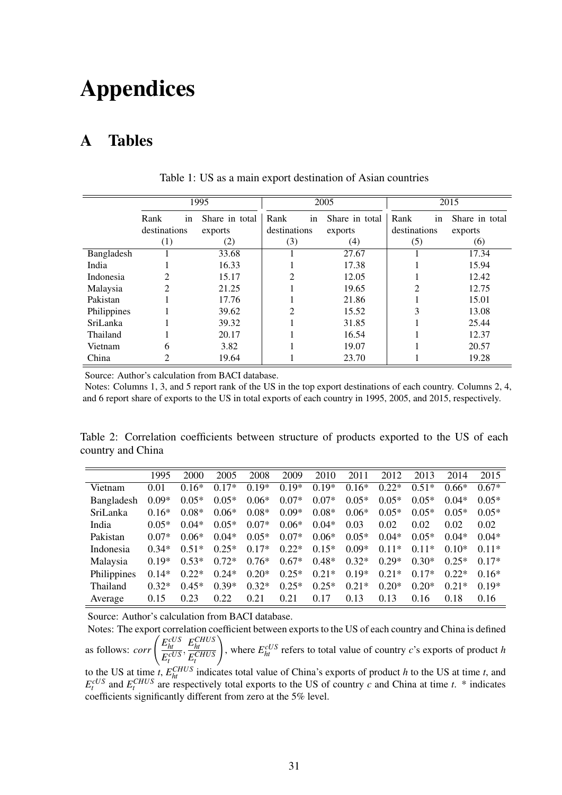# Appendices

# A Tables

<span id="page-31-0"></span>

|             |                        | 1995           |              | 2005           | 2015         |                |
|-------------|------------------------|----------------|--------------|----------------|--------------|----------------|
|             | Rank<br><sub>1</sub> n | Share in total | in<br>Rank   | Share in total | Rank<br>in   | Share in total |
|             | destinations           | exports        | destinations | exports        | destinations | exports        |
|             | $\left(1\right)$       | (2)            | (3)          | (4)            | (5)          | (6)            |
| Bangladesh  |                        | 33.68          |              | 27.67          |              | 17.34          |
| India       |                        | 16.33          |              | 17.38          |              | 15.94          |
| Indonesia   | 2                      | 15.17          | 2            | 12.05          |              | 12.42          |
| Malaysia    | $\mathfrak{D}$         | 21.25          |              | 19.65          | ↑            | 12.75          |
| Pakistan    |                        | 17.76          |              | 21.86          |              | 15.01          |
| Philippines |                        | 39.62          | っ            | 15.52          | 3            | 13.08          |
| SriLanka    |                        | 39.32          |              | 31.85          |              | 25.44          |
| Thailand    |                        | 20.17          |              | 16.54          |              | 12.37          |
| Vietnam     | 6                      | 3.82           |              | 19.07          |              | 20.57          |
| China       | 2                      | 19.64          |              | 23.70          |              | 19.28          |

Table 1: US as a main export destination of Asian countries

Source: Author's calculation from BACI database.

Notes: Columns 1, 3, and 5 report rank of the US in the top export destinations of each country. Columns 2, 4, and 6 report share of exports to the US in total exports of each country in 1995, 2005, and 2015, respectively.

<span id="page-31-1"></span>Table 2: Correlation coefficients between structure of products exported to the US of each country and China

|                 | 1995    | 2000    | 2005    | 2008    | 2009    | 2010    | 2011    | 2012    | 2013    | 2014    | 2015    |
|-----------------|---------|---------|---------|---------|---------|---------|---------|---------|---------|---------|---------|
| Vietnam         | 0.01    | $0.16*$ | $0.17*$ | $0.19*$ | $0.19*$ | $0.19*$ | $0.16*$ | $0.22*$ | $0.51*$ | $0.66*$ | $0.67*$ |
| Bangladesh      | $0.09*$ | $0.05*$ | $0.05*$ | $0.06*$ | $0.07*$ | $0.07*$ | $0.05*$ | $0.05*$ | $0.05*$ | $0.04*$ | $0.05*$ |
| <b>SriLanka</b> | $0.16*$ | $0.08*$ | $0.06*$ | $0.08*$ | $0.09*$ | $0.08*$ | $0.06*$ | $0.05*$ | $0.05*$ | $0.05*$ | $0.05*$ |
| India           | $0.05*$ | $0.04*$ | $0.05*$ | $0.07*$ | $0.06*$ | $0.04*$ | 0.03    | 0.02    | 0.02    | 0.02    | 0.02    |
| Pakistan        | $0.07*$ | $0.06*$ | $0.04*$ | $0.05*$ | $0.07*$ | $0.06*$ | $0.05*$ | $0.04*$ | $0.05*$ | $0.04*$ | $0.04*$ |
| Indonesia       | $0.34*$ | $0.51*$ | $0.25*$ | $0.17*$ | $0.22*$ | $0.15*$ | $0.09*$ | $0.11*$ | $0.11*$ | $0.10*$ | $0.11*$ |
| Malaysia        | $0.19*$ | $0.53*$ | $0.72*$ | $0.76*$ | $0.67*$ | $0.48*$ | $0.32*$ | $0.29*$ | $0.30*$ | $0.25*$ | $0.17*$ |
| Philippines     | $0.14*$ | $0.22*$ | $0.24*$ | $0.20*$ | $0.25*$ | $0.21*$ | $0.19*$ | $0.21*$ | $0.17*$ | $0.22*$ | $0.16*$ |
| Thailand        | $0.32*$ | $0.45*$ | $0.39*$ | $0.32*$ | $0.25*$ | $0.25*$ | $0.21*$ | $0.20*$ | $0.20*$ | $0.21*$ | $0.19*$ |
| Average         | 0.15    | 0.23    | 0.22    | 0.21    | 0.21    | 0.17    | 0.13    | 0.13    | 0.16    | 0.18    | 0.16    |

Source: Author's calculation from BACI database.

Notes: The export correlation coefficient between exports to the US of each country and China is defined as follows: *corr*  $\left(\frac{E_{ht}^{cUS}}{E_{H}^{cUS}}\right)$  $E_t^{cUS}$  $\frac{E_{ht}^{CHUS}}{E_{HUS}}$ *E CHUS t*  $\setminus$ , where  $E_{ht}^{cUS}$  refers to total value of country *c*'s exports of product *h* to the US at time *t*,  $E_{ht}^{CHUS}$  indicates total value of China's exports of product *h* to the US at time *t*, and  $E_t^{cUS}$  and  $E_t^{CHUS}$  are respectively total exports to the US of country *c* and China at time *t*. \* indicates coefficients significantly different from zero at the 5% level.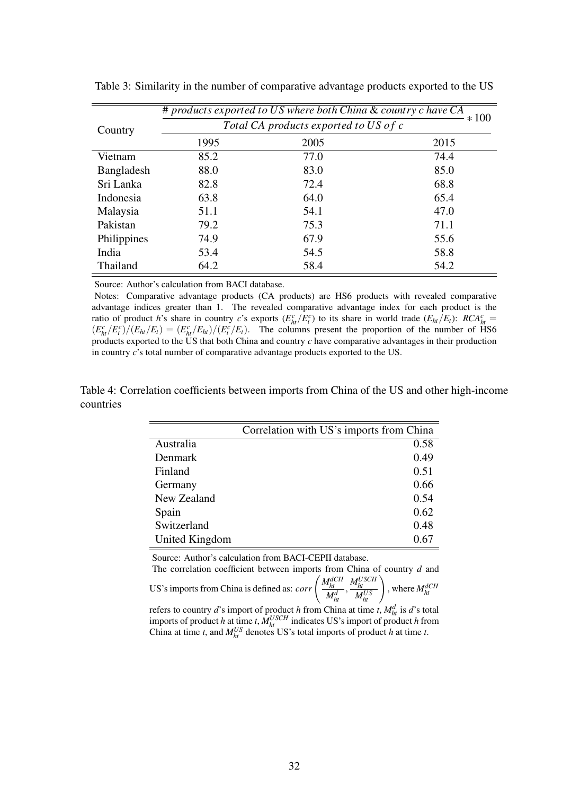|             |      | # products exported to US where both China & country c have CA | $*100$ |
|-------------|------|----------------------------------------------------------------|--------|
| Country     |      | Total CA products exported to US of c                          |        |
|             | 1995 | 2005                                                           | 2015   |
| Vietnam     | 85.2 | 77.0                                                           | 74.4   |
| Bangladesh  | 88.0 | 83.0                                                           | 85.0   |
| Sri Lanka   | 82.8 | 72.4                                                           | 68.8   |
| Indonesia   | 63.8 | 64.0                                                           | 65.4   |
| Malaysia    | 51.1 | 54.1                                                           | 47.0   |
| Pakistan    | 79.2 | 75.3                                                           | 71.1   |
| Philippines | 74.9 | 67.9                                                           | 55.6   |
| India       | 53.4 | 54.5                                                           | 58.8   |
| Thailand    | 64.2 | 58.4                                                           | 54.2   |

<span id="page-32-0"></span>Table 3: Similarity in the number of comparative advantage products exported to the US

Source: Author's calculation from BACI database.

Notes: Comparative advantage products (CA products) are HS6 products with revealed comparative advantage indices greater than 1. The revealed comparative advantage index for each product is the ratio of product *h*'s share in country *c*'s exports  $(E_{ht}^c/E_t^c)$  to its share in world trade  $(E_{ht}/E_t)$ :  $RCA_{ht}^c =$  $(E_{ht}^c/E_t^c)/(E_{ht}/E_t) = (E_{ht}^c/E_{ht})/(E_t^c/E_t)$ . The columns present the proportion of the number of HS6 products exported to the US that both China and country  $c$  have comparative advantages in their production in country *c*'s total number of comparative advantage products exported to the US.

<span id="page-32-1"></span>Table 4: Correlation coefficients between imports from China of the US and other high-income countries

|                | Correlation with US's imports from China |
|----------------|------------------------------------------|
| Australia      | 0.58                                     |
| Denmark        | 0.49                                     |
| Finland        | 0.51                                     |
| Germany        | 0.66                                     |
| New Zealand    | 0.54                                     |
| Spain          | 0.62                                     |
| Switzerland    | 0.48                                     |
| United Kingdom | 0.67                                     |

Source: Author's calculation from BACI-CEPII database.

The correlation coefficient between imports from China of country *d* and US's imports from China is defined as:  $corr \left( \frac{M_{hl}^{dCH}}{M_{hl}^{d}} \right)$  $\left(\frac{M_{ht}^{USCH}}{M_{ht}^{US}}\right)$ , where  $M_{ht}^{dCH}$ refers to country *d*'s import of product *h* from China at time *t*,  $M_{ht}^d$  is *d*'s total

imports of product *h* at time *t*,  $M_{ht}^{USCH}$  indicates US's import of product *h* from China at time *t*, and  $M_{ht}^{US}$  denotes US's total imports of product *h* at time *t*.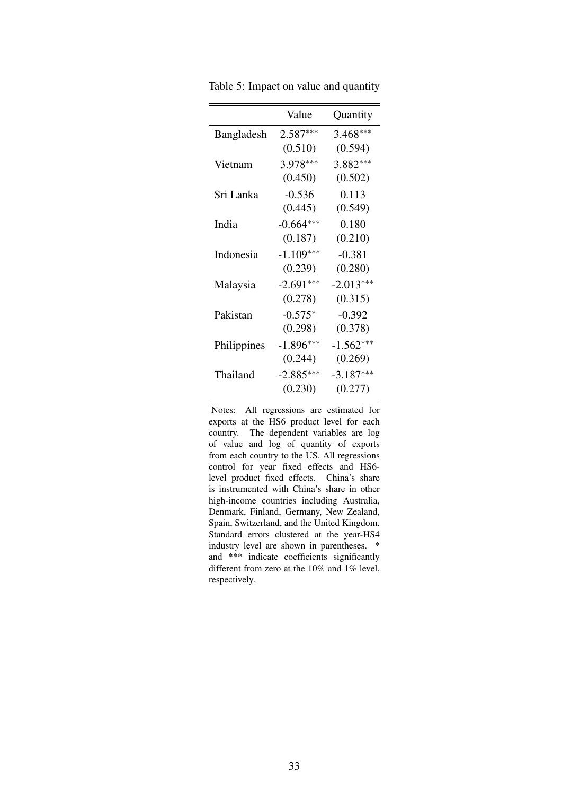|             | Value       | Quantity    |
|-------------|-------------|-------------|
| Bangladesh  | $2.587***$  | $3.468***$  |
|             | (0.510)     | (0.594)     |
| Vietnam     | 3.978***    | $3.882***$  |
|             | (0.450)     | (0.502)     |
| Sri Lanka   | $-0.536$    | 0.113       |
|             | (0.445)     | (0.549)     |
| India       | $-0.664***$ | 0.180       |
|             | (0.187)     | (0.210)     |
| Indonesia   | $-1.109***$ | $-0.381$    |
|             | (0.239)     | (0.280)     |
| Malaysia    | $-2.691***$ | $-2.013***$ |
|             | (0.278)     | (0.315)     |
| Pakistan    | $-0.575*$   | $-0.392$    |
|             | (0.298)     | (0.378)     |
| Philippines | $-1.896***$ | $-1.562***$ |
|             | (0.244)     | (0.269)     |
| Thailand    | $-2.885***$ | $-3.187***$ |
|             | (0.230)     | (0.277)     |
|             |             |             |

<span id="page-33-0"></span>Table 5: Impact on value and quantity

Notes: All regressions are estimated for exports at the HS6 product level for each country. The dependent variables are log of value and log of quantity of exports from each country to the US. All regressions control for year fixed effects and HS6 level product fixed effects. China's share is instrumented with China's share in other high-income countries including Australia, Denmark, Finland, Germany, New Zealand, Spain, Switzerland, and the United Kingdom. Standard errors clustered at the year-HS4 industry level are shown in parentheses. \* and \*\*\* indicate coefficients significantly different from zero at the 10% and 1% level, respectively.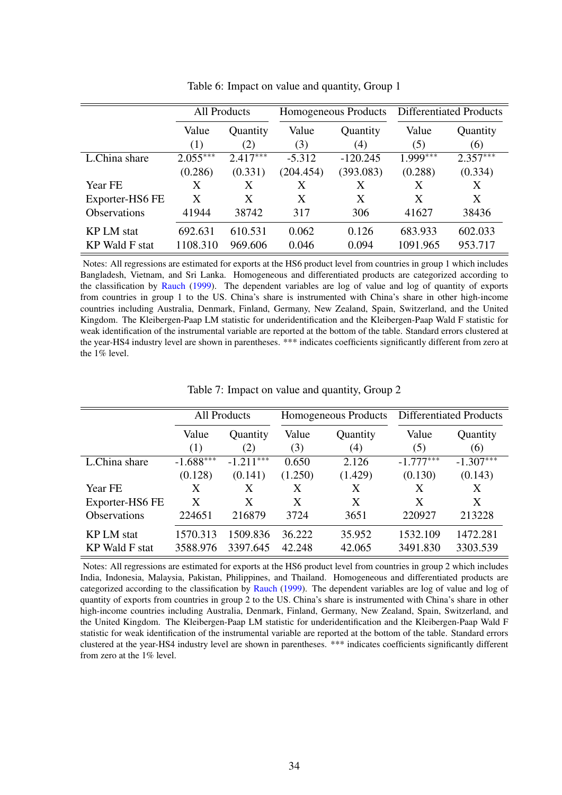<span id="page-34-0"></span>

|                       | <b>All Products</b> |            |           | Homogeneous Products | <b>Differentiated Products</b> |            |
|-----------------------|---------------------|------------|-----------|----------------------|--------------------------------|------------|
|                       | Value               | Quantity   | Value     | Quantity             | Value                          | Quantity   |
|                       | (1)                 | (2)        | (3)       | (4)                  | (5)                            | (6)        |
| L.China share         | $2.055***$          | $2.417***$ | $-5.312$  | $-120.245$           | $1.999***$                     | $2.357***$ |
|                       | (0.286)             | (0.331)    | (204.454) | (393.083)            | (0.288)                        | (0.334)    |
| Year FE               | X                   | X          | X         | X                    | X                              | X          |
| Exporter-HS6 FE       | X                   | X          | X         | X                    | X                              | X          |
| <b>Observations</b>   | 41944               | 38742      | 317       | 306                  | 41627                          | 38436      |
| <b>KP LM</b> stat     | 692.631             | 610.531    | 0.062     | 0.126                | 683.933                        | 602.033    |
| <b>KP</b> Wald F stat | 1108.310            | 969.606    | 0.046     | 0.094                | 1091.965                       | 953.717    |

Table 6: Impact on value and quantity, Group 1

Notes: All regressions are estimated for exports at the HS6 product level from countries in group 1 which includes Bangladesh, Vietnam, and Sri Lanka. Homogeneous and differentiated products are categorized according to the classification by [Rauch](#page-30-6) [\(1999\)](#page-30-6). The dependent variables are log of value and log of quantity of exports from countries in group 1 to the US. China's share is instrumented with China's share in other high-income countries including Australia, Denmark, Finland, Germany, New Zealand, Spain, Switzerland, and the United Kingdom. The Kleibergen-Paap LM statistic for underidentification and the Kleibergen-Paap Wald F statistic for weak identification of the instrumental variable are reported at the bottom of the table. Standard errors clustered at the year-HS4 industry level are shown in parentheses. \*\*\* indicates coefficients significantly different from zero at the 1% level.

<span id="page-34-1"></span>

|                       | <b>All Products</b> |             |         | Homogeneous Products | <b>Differentiated Products</b> |             |
|-----------------------|---------------------|-------------|---------|----------------------|--------------------------------|-------------|
|                       | Value               | Quantity    | Value   | Quantity             | Value                          | Quantity    |
|                       | (1)                 | (2)         | (3)     | (4)                  | (5)                            | (6)         |
| L.China share         | $-1.688***$         | $-1.211***$ | 0.650   | 2.126                | $-1.777***$                    | $-1.307***$ |
|                       | (0.128)             | (0.141)     | (1.250) | (1.429)              | (0.130)                        | (0.143)     |
| <b>Year FE</b>        | X                   | X           | X       | X                    | X                              | X           |
| Exporter-HS6 FE       | X                   | X           | X       | X                    | X                              | X           |
| <b>Observations</b>   | 224651              | 216879      | 3724    | 3651                 | 220927                         | 213228      |
| <b>KP LM</b> stat     | 1570.313            | 1509.836    | 36.222  | 35.952               | 1532.109                       | 1472.281    |
| <b>KP</b> Wald F stat | 3588.976            | 3397.645    | 42.248  | 42.065               | 3491.830                       | 3303.539    |

Table 7: Impact on value and quantity, Group 2

Notes: All regressions are estimated for exports at the HS6 product level from countries in group 2 which includes India, Indonesia, Malaysia, Pakistan, Philippines, and Thailand. Homogeneous and differentiated products are categorized according to the classification by [Rauch](#page-30-6) [\(1999\)](#page-30-6). The dependent variables are log of value and log of quantity of exports from countries in group 2 to the US. China's share is instrumented with China's share in other high-income countries including Australia, Denmark, Finland, Germany, New Zealand, Spain, Switzerland, and the United Kingdom. The Kleibergen-Paap LM statistic for underidentification and the Kleibergen-Paap Wald F statistic for weak identification of the instrumental variable are reported at the bottom of the table. Standard errors clustered at the year-HS4 industry level are shown in parentheses. \*\*\* indicates coefficients significantly different from zero at the 1% level.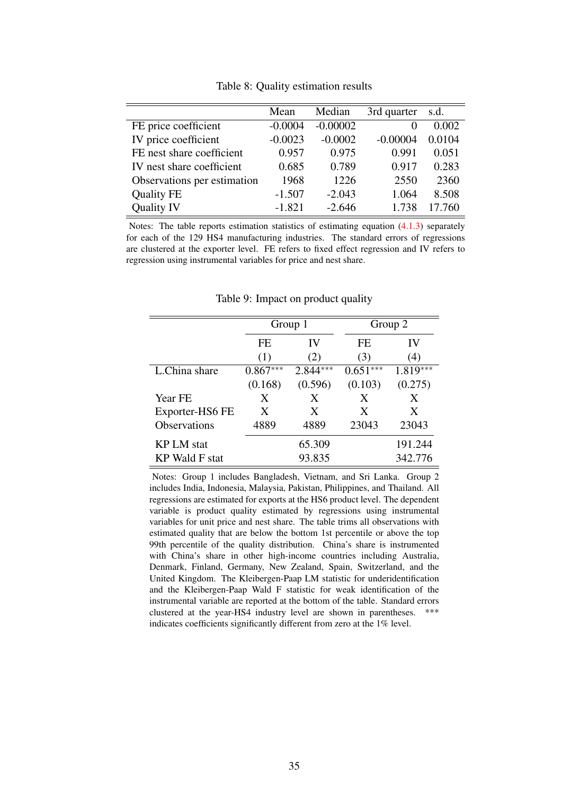<span id="page-35-0"></span>

|                             | Mean      | Median     | 3rd quarter | s.d.   |
|-----------------------------|-----------|------------|-------------|--------|
| FE price coefficient        | $-0.0004$ | $-0.00002$ | $\theta$    | 0.002  |
| IV price coefficient        | $-0.0023$ | $-0.0002$  | $-0.00004$  | 0.0104 |
| FE nest share coefficient   | 0.957     | 0.975      | 0.991       | 0.051  |
| IV nest share coefficient   | 0.685     | 0.789      | 0.917       | 0.283  |
| Observations per estimation | 1968      | 1226       | 2550        | 2360   |
| <b>Quality FE</b>           | $-1.507$  | $-2.043$   | 1.064       | 8.508  |
| <b>Quality IV</b>           | $-1.821$  | $-2.646$   | 1.738       | 17.760 |

Table 8: Quality estimation results

Notes: The table reports estimation statistics of estimating equation  $(4.1.3)$  separately for each of the 129 HS4 manufacturing industries. The standard errors of regressions are clustered at the exporter level. FE refers to fixed effect regression and IV refers to regression using instrumental variables for price and nest share.

<span id="page-35-1"></span>

|                     |            | Group 1    | Group 2    |            |
|---------------------|------------|------------|------------|------------|
|                     | FE.        | IV         | FE         | IV         |
|                     | (1)        | (2)        | (3)        | (4)        |
| L.China share       | $0.867***$ | $2.844***$ | $0.651***$ | $1.819***$ |
|                     | (0.168)    | (0.596)    | (0.103)    | (0.275)    |
| <b>Year FE</b>      | X          | X          | X          | X          |
| Exporter-HS6 FE     | X          | X          | X          | X          |
| <b>Observations</b> | 4889       | 4889       | 23043      | 23043      |
| <b>KP LM</b> stat   |            | 65.309     |            | 191.244    |
| KP Wald F stat      |            | 93.835     |            | 342.776    |

Table 9: Impact on product quality

Notes: Group 1 includes Bangladesh, Vietnam, and Sri Lanka. Group 2 includes India, Indonesia, Malaysia, Pakistan, Philippines, and Thailand. All regressions are estimated for exports at the HS6 product level. The dependent variable is product quality estimated by regressions using instrumental variables for unit price and nest share. The table trims all observations with estimated quality that are below the bottom 1st percentile or above the top 99th percentile of the quality distribution. China's share is instrumented with China's share in other high-income countries including Australia, Denmark, Finland, Germany, New Zealand, Spain, Switzerland, and the United Kingdom. The Kleibergen-Paap LM statistic for underidentification and the Kleibergen-Paap Wald F statistic for weak identification of the instrumental variable are reported at the bottom of the table. Standard errors clustered at the year-HS4 industry level are shown in parentheses. \*\*\* indicates coefficients significantly different from zero at the 1% level.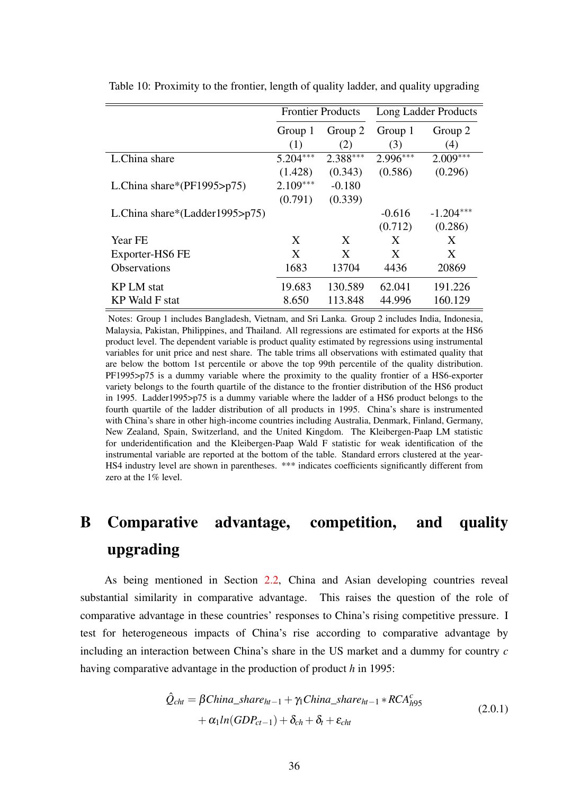|                                |            | <b>Frontier Products</b> |            | Long Ladder Products |
|--------------------------------|------------|--------------------------|------------|----------------------|
|                                | Group 1    | Group 2                  | Group 1    | Group 2              |
|                                | (1)        | (2)                      | (3)        | (4)                  |
| L.China share                  | $5.204***$ | $2.388***$               | $2.996***$ | $2.009***$           |
|                                | (1.428)    | (0.343)                  | (0.586)    | (0.296)              |
| L.China share*( $PF1995$ >p75) | $2.109***$ | $-0.180$                 |            |                      |
|                                | (0.791)    | (0.339)                  |            |                      |
| L.China share*(Ladder1995>p75) |            |                          | $-0.616$   | $-1.204***$          |
|                                |            |                          | (0.712)    | (0.286)              |
| <b>Year FE</b>                 | X          | X                        | X          | X                    |
| Exporter-HS6 FE                | X          | X                        | X          | X                    |
| <b>Observations</b>            | 1683       | 13704                    | 4436       | 20869                |
| <b>KP LM</b> stat              | 19.683     | 130.589                  | 62.041     | 191.226              |
| KP Wald F stat                 | 8.650      | 113.848                  | 44.996     | 160.129              |

Table 10: Proximity to the frontier, length of quality ladder, and quality upgrading

Notes: Group 1 includes Bangladesh, Vietnam, and Sri Lanka. Group 2 includes India, Indonesia, Malaysia, Pakistan, Philippines, and Thailand. All regressions are estimated for exports at the HS6 product level. The dependent variable is product quality estimated by regressions using instrumental variables for unit price and nest share. The table trims all observations with estimated quality that are below the bottom 1st percentile or above the top 99th percentile of the quality distribution. PF1995>p75 is a dummy variable where the proximity to the quality frontier of a HS6-exporter variety belongs to the fourth quartile of the distance to the frontier distribution of the HS6 product in 1995. Ladder1995>p75 is a dummy variable where the ladder of a HS6 product belongs to the fourth quartile of the ladder distribution of all products in 1995. China's share is instrumented with China's share in other high-income countries including Australia, Denmark, Finland, Germany, New Zealand, Spain, Switzerland, and the United Kingdom. The Kleibergen-Paap LM statistic for underidentification and the Kleibergen-Paap Wald F statistic for weak identification of the instrumental variable are reported at the bottom of the table. Standard errors clustered at the year-HS4 industry level are shown in parentheses. \*\*\* indicates coefficients significantly different from zero at the 1% level.

## B Comparative advantage, competition, and quality upgrading

As being mentioned in Section [2.2,](#page-7-0) China and Asian developing countries reveal substantial similarity in comparative advantage. This raises the question of the role of comparative advantage in these countries' responses to China's rising competitive pressure. I test for heterogeneous impacts of China's rise according to comparative advantage by including an interaction between China's share in the US market and a dummy for country *c* having comparative advantage in the production of product *h* in 1995:

<span id="page-36-0"></span>
$$
\hat{Q}_{cht} = \beta China\_share_{ht-1} + \gamma_1 China\_share_{ht-1} * RCA_{h95}^c \n+ \alpha_1 ln(GDP_{ct-1}) + \delta_{ch} + \delta_t + \varepsilon_{cht}
$$
\n(2.0.1)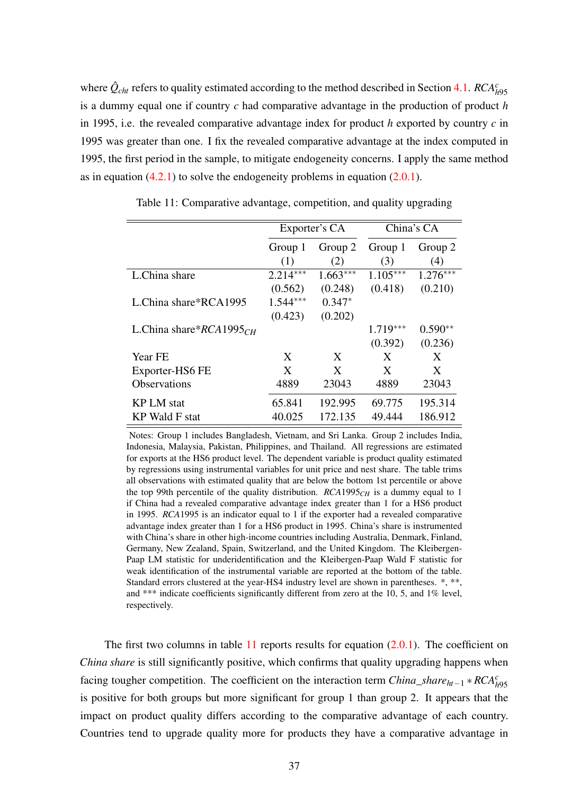where  $\hat{Q}_{cht}$  refers to quality estimated according to the method described in Section [4.1.](#page-15-0)  $RCA_{h95}^c$ is a dummy equal one if country *c* had comparative advantage in the production of product *h* in 1995, i.e. the revealed comparative advantage index for product *h* exported by country *c* in 1995 was greater than one. I fix the revealed comparative advantage at the index computed in 1995, the first period in the sample, to mitigate endogeneity concerns. I apply the same method as in equation  $(4.2.1)$  to solve the endogeneity problems in equation  $(2.0.1)$ .

<span id="page-37-0"></span>

|                            |            | Exporter's CA |            | China's CA |
|----------------------------|------------|---------------|------------|------------|
|                            | Group 1    | Group 2       | Group 1    | Group 2    |
|                            | (1)        | (2)           | (3)        | (4)        |
| L.China share              | $2.214***$ | $1.663***$    | $1.105***$ | $1.276***$ |
|                            | (0.562)    | (0.248)       | (0.418)    | (0.210)    |
| L.China share*RCA1995      | $1.544***$ | $0.347*$      |            |            |
|                            | (0.423)    | (0.202)       |            |            |
| L.China share* $RCA1995CH$ |            |               | $1.719***$ | $0.590**$  |
|                            |            |               | (0.392)    | (0.236)    |
| Year FE                    | X          | X             | X          | X          |
| Exporter-HS6 FE            | X          | X             | X          | X          |
| <b>Observations</b>        | 4889       | 23043         | 4889       | 23043      |
| <b>KP LM</b> stat          | 65.841     | 192.995       | 69.775     | 195.314    |
| <b>KP</b> Wald F stat      | 40.025     | 172.135       | 49.444     | 186.912    |

Table 11: Comparative advantage, competition, and quality upgrading

Notes: Group 1 includes Bangladesh, Vietnam, and Sri Lanka. Group 2 includes India, Indonesia, Malaysia, Pakistan, Philippines, and Thailand. All regressions are estimated for exports at the HS6 product level. The dependent variable is product quality estimated by regressions using instrumental variables for unit price and nest share. The table trims all observations with estimated quality that are below the bottom 1st percentile or above the top 99th percentile of the quality distribution.  $RCA1995<sub>CH</sub>$  is a dummy equal to 1 if China had a revealed comparative advantage index greater than 1 for a HS6 product in 1995. *RCA*1995 is an indicator equal to 1 if the exporter had a revealed comparative advantage index greater than 1 for a HS6 product in 1995. China's share is instrumented with China's share in other high-income countries including Australia, Denmark, Finland, Germany, New Zealand, Spain, Switzerland, and the United Kingdom. The Kleibergen-Paap LM statistic for underidentification and the Kleibergen-Paap Wald F statistic for weak identification of the instrumental variable are reported at the bottom of the table. Standard errors clustered at the year-HS4 industry level are shown in parentheses. \*, \*\*, and \*\*\* indicate coefficients significantly different from zero at the 10, 5, and 1% level, respectively.

The first two columns in table  $11$  reports results for equation  $(2.0.1)$ . The coefficient on *China share* is still significantly positive, which confirms that quality upgrading happens when facing tougher competition. The coefficient on the interaction term *China\_share*<sub>*ht*−1</sub> ∗  $RCA<sup>c</sup><sub>h95</sub>$ is positive for both groups but more significant for group 1 than group 2. It appears that the impact on product quality differs according to the comparative advantage of each country. Countries tend to upgrade quality more for products they have a comparative advantage in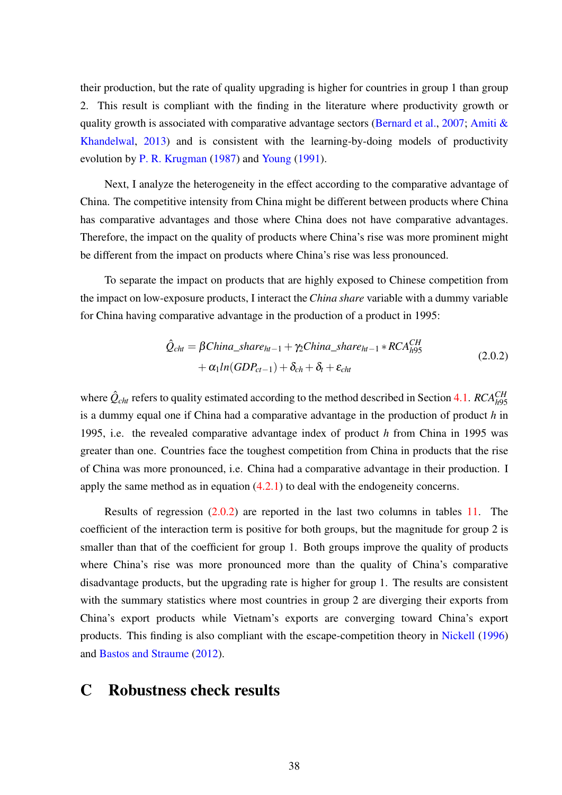their production, but the rate of quality upgrading is higher for countries in group 1 than group 2. This result is compliant with the finding in the literature where productivity growth or quality growth is associated with comparative advantage sectors [\(Bernard et al.,](#page-28-0) [2007;](#page-28-0) Amiti  $\&$ [Khandelwal,](#page-27-0) [2013\)](#page-27-0) and is consistent with the learning-by-doing models of productivity evolution by [P. R. Krugman](#page-29-0) [\(1987\)](#page-29-0) and [Young](#page-30-0) [\(1991\)](#page-30-0).

Next, I analyze the heterogeneity in the effect according to the comparative advantage of China. The competitive intensity from China might be different between products where China has comparative advantages and those where China does not have comparative advantages. Therefore, the impact on the quality of products where China's rise was more prominent might be different from the impact on products where China's rise was less pronounced.

To separate the impact on products that are highly exposed to Chinese competition from the impact on low-exposure products, I interact the *China share* variable with a dummy variable for China having comparative advantage in the production of a product in 1995:

<span id="page-38-0"></span>
$$
\hat{Q}_{cht} = \beta China\_share_{ht-1} + \gamma_2 China\_share_{ht-1} * RCA_{h95}^{CH}
$$
  
+  $\alpha_1 ln(GDP_{ct-1}) + \delta_{ch} + \delta_t + \varepsilon_{cht}$  (2.0.2)

where  $\hat{Q}_{cht}$  refers to quality estimated according to the method described in Section [4.1.](#page-15-0)  $RCA_{h95}^{CH}$ is a dummy equal one if China had a comparative advantage in the production of product *h* in 1995, i.e. the revealed comparative advantage index of product *h* from China in 1995 was greater than one. Countries face the toughest competition from China in products that the rise of China was more pronounced, i.e. China had a comparative advantage in their production. I apply the same method as in equation  $(4.2.1)$  to deal with the endogeneity concerns.

Results of regression [\(2.0.2\)](#page-38-0) are reported in the last two columns in tables [11.](#page-37-0) The coefficient of the interaction term is positive for both groups, but the magnitude for group 2 is smaller than that of the coefficient for group 1. Both groups improve the quality of products where China's rise was more pronounced more than the quality of China's comparative disadvantage products, but the upgrading rate is higher for group 1. The results are consistent with the summary statistics where most countries in group 2 are diverging their exports from China's export products while Vietnam's exports are converging toward China's export products. This finding is also compliant with the escape-competition theory in [Nickell](#page-30-1) [\(1996\)](#page-30-1) and [Bastos and Straume](#page-28-1) [\(2012\)](#page-28-1).

## C Robustness check results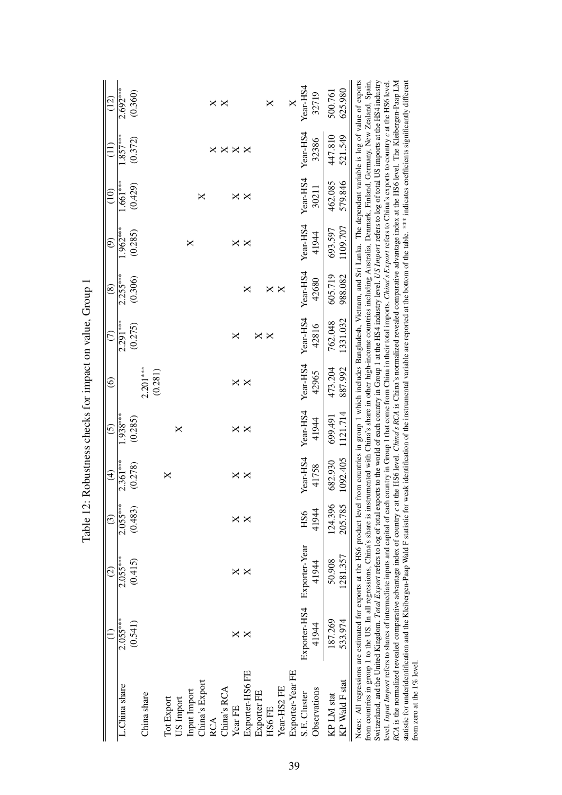|                                              | $\widetilde{\Xi}$ | $2.692***$    | (0.360) |             |         |            |           |              |                | ×   | ×           |                      |                 |             | X      |              | X                | Year-HS4      | 32719        | 500.761    | 625.980        |                                                                                                                                                                                                                                                                                                                                                                                                                                                                                                                                                                                                                                                                                                                                                                                                                                                                                                                                                                                                                                                                                                                                                                                                                             |
|----------------------------------------------|-------------------|---------------|---------|-------------|---------|------------|-----------|--------------|----------------|-----|-------------|----------------------|-----------------|-------------|--------|--------------|------------------|---------------|--------------|------------|----------------|-----------------------------------------------------------------------------------------------------------------------------------------------------------------------------------------------------------------------------------------------------------------------------------------------------------------------------------------------------------------------------------------------------------------------------------------------------------------------------------------------------------------------------------------------------------------------------------------------------------------------------------------------------------------------------------------------------------------------------------------------------------------------------------------------------------------------------------------------------------------------------------------------------------------------------------------------------------------------------------------------------------------------------------------------------------------------------------------------------------------------------------------------------------------------------------------------------------------------------|
|                                              |                   | $.857***$     | (0.372) |             |         |            |           |              |                | ×   |             | $\times\times\times$ |                 |             |        |              |                  | Year-HS4      | 32386        | 447.810    | 521.549        | the HS6 level. Chind's RCA is China's normalized revealed comparative advantage index at the HS6 level. The Kleibergen-Paap LM                                                                                                                                                                                                                                                                                                                                                                                                                                                                                                                                                                                                                                                                                                                                                                                                                                                                                                                                                                                                                                                                                              |
|                                              | $\widehat{\Xi}$   | $1.661***$    | (0.429) |             |         |            |           |              | ×              |     |             | ×                    | ×               |             |        |              |                  | Year-HS4      | 30211        | 462.085    | 579.846        |                                                                                                                                                                                                                                                                                                                                                                                                                                                                                                                                                                                                                                                                                                                                                                                                                                                                                                                                                                                                                                                                                                                                                                                                                             |
|                                              | ම                 | $.962***$     | (0.285) |             |         |            |           | ×            |                |     |             | ×                    | ×               |             |        |              |                  | Year-HS4      | 41944        | 693.597    | 1109.707       |                                                                                                                                                                                                                                                                                                                                                                                                                                                                                                                                                                                                                                                                                                                                                                                                                                                                                                                                                                                                                                                                                                                                                                                                                             |
|                                              | $\circledast$     | $2.255***$    | (0.306) |             |         |            |           |              |                |     |             |                      | ×               |             | ×      | $\mathsf{X}$ |                  | Year-HS4      | 42680        | 605.719    | 988.082        |                                                                                                                                                                                                                                                                                                                                                                                                                                                                                                                                                                                                                                                                                                                                                                                                                                                                                                                                                                                                                                                                                                                                                                                                                             |
|                                              | E                 | $2.291***$    | (0.275) |             |         |            |           |              |                |     |             | ×                    |                 | ×           | ×      |              |                  | Year-HS4      | 42816        | 762.048    | 1331.032       |                                                                                                                                                                                                                                                                                                                                                                                                                                                                                                                                                                                                                                                                                                                                                                                                                                                                                                                                                                                                                                                                                                                                                                                                                             |
|                                              | $\widehat{\circ}$ |               |         | $2.201***$  | (0.281) |            |           |              |                |     |             | ×                    | ×               |             |        |              |                  | Year-HS4      | 42965        | 473.204    | 887.992        |                                                                                                                                                                                                                                                                                                                                                                                                                                                                                                                                                                                                                                                                                                                                                                                                                                                                                                                                                                                                                                                                                                                                                                                                                             |
|                                              | $\widehat{c}$     | $.938***$     | (0.285) |             |         |            | $\times$  |              |                |     |             | ×                    | X               |             |        |              |                  | Year-HS4      | 41944        | 699.491    | 1121.714       |                                                                                                                                                                                                                                                                                                                                                                                                                                                                                                                                                                                                                                                                                                                                                                                                                                                                                                                                                                                                                                                                                                                                                                                                                             |
| Robustness checks for impact on value, Group | $\widehat{\pm}$   | $2.361***$    | (0.278) |             |         | ×          |           |              |                |     |             | ×                    | ×               |             |        |              |                  | Year-HS4      | 41758        | 682.930    | 1092.405       |                                                                                                                                                                                                                                                                                                                                                                                                                                                                                                                                                                                                                                                                                                                                                                                                                                                                                                                                                                                                                                                                                                                                                                                                                             |
| Table 12:                                    | $\widehat{c}$     | $2.055***$    | (0.483) |             |         |            |           |              |                |     |             | ×                    | ×               |             |        |              |                  | HS6           | 41944        | 124.396    | 205.785        |                                                                                                                                                                                                                                                                                                                                                                                                                                                                                                                                                                                                                                                                                                                                                                                                                                                                                                                                                                                                                                                                                                                                                                                                                             |
|                                              | ପି                | $2.055***$    | (0.415) |             |         |            |           |              |                |     |             | ×                    | ×               |             |        |              |                  | Exporter-Year | 41944        | 50.908     | 1281.357       |                                                                                                                                                                                                                                                                                                                                                                                                                                                                                                                                                                                                                                                                                                                                                                                                                                                                                                                                                                                                                                                                                                                                                                                                                             |
|                                              |                   | $2.055***$    | (0.541) |             |         |            |           |              |                |     |             | ×                    | ×               |             |        |              |                  | Exporter-HS4  | 41944        | 187.269    | 533.974        |                                                                                                                                                                                                                                                                                                                                                                                                                                                                                                                                                                                                                                                                                                                                                                                                                                                                                                                                                                                                                                                                                                                                                                                                                             |
|                                              |                   | L.China share |         | China share |         | Tot Export | US Import | Input Import | China's Export | RCA | China's RCA | Year FE              | Exporter-HS6 FE | Exporter FE | HS6 FE | Year-HS2 FE  | Exporter-Year FE | S.E. Cluster  | Observations | KP LM stat | KP Wald F stat | Notes: All regressions are estimated for exports at the HS6 product level from countries in group 1 which includes Bangladesh, Vietnam, and Sri Lanka. The dependent variable is log of value of exports<br>from countries in group 1 to the US. In all regressions, China's share is instrumented with China's share in other high-income countries including Australia, Denmark, Finland, Germany, New Zealand, Spain,<br>statistic for underidentification and the Kleibergen-Paap Wald F statistic for weak identification of the instrumental variable are reported at the bottom of the table. **** indicates coefficients significantly different<br>Switzerland, and the United Kingdom. Total Export refers to log of total exports to the world of each country in Group 1 at the HS4 industry level. US Import refers to log of total US imports at the HS4 industry<br>evel. Input Import refers to shares of intermediate inputs and capital of each country in Group 1 that come from China in their total imports. <i>Chind's Export</i> refers to China's exports to country c at the HS6 level.<br>RCA is the normalized revealed comparative advantage index of country c at<br>from zero at the 1% level |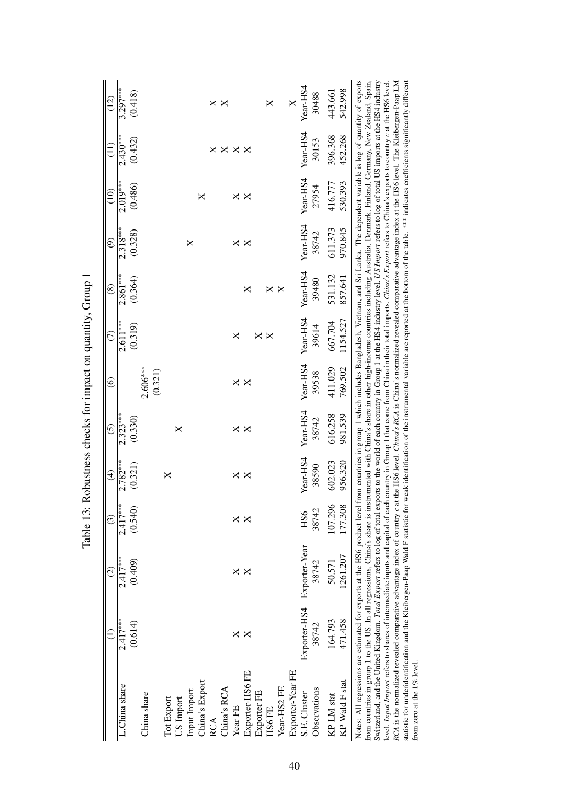|                                                             | $\widetilde{2}$          | $3.297***$    | (0.418) |                       |            |           |              |                | ×   | ×           |                |                 |             | X        |             | X                | Year-HS4      | 30488        | 443.661    | 542.998        |                                                                                                                                                                                                                                                                                                                                                                                                                                                                                                                                                                                                                                                                                                                                                                                                                                                                                                                                                                                                                                                                                                                                                                                                                         |
|-------------------------------------------------------------|--------------------------|---------------|---------|-----------------------|------------|-----------|--------------|----------------|-----|-------------|----------------|-----------------|-------------|----------|-------------|------------------|---------------|--------------|------------|----------------|-------------------------------------------------------------------------------------------------------------------------------------------------------------------------------------------------------------------------------------------------------------------------------------------------------------------------------------------------------------------------------------------------------------------------------------------------------------------------------------------------------------------------------------------------------------------------------------------------------------------------------------------------------------------------------------------------------------------------------------------------------------------------------------------------------------------------------------------------------------------------------------------------------------------------------------------------------------------------------------------------------------------------------------------------------------------------------------------------------------------------------------------------------------------------------------------------------------------------|
|                                                             |                          | $2.430***$    | (0.432) |                       |            |           |              |                | ×   | ×           | $\times\times$ |                 |             |          |             |                  | Year-HS4      | 30153        | 396.368    | 452.268        | the HS6 level. Chind's RCA is China's normalized revealed comparative advantage index at the HS6 level. The Kleibergen-Paap LM                                                                                                                                                                                                                                                                                                                                                                                                                                                                                                                                                                                                                                                                                                                                                                                                                                                                                                                                                                                                                                                                                          |
|                                                             | $\frac{1}{2}$            | $2.019***$    | (0.486) |                       |            |           |              | ×              |     |             | ×.             | ×               |             |          |             |                  | Year-HS4      | 27954        | 416.777    | 530.393        |                                                                                                                                                                                                                                                                                                                                                                                                                                                                                                                                                                                                                                                                                                                                                                                                                                                                                                                                                                                                                                                                                                                                                                                                                         |
|                                                             | ම                        | $2.318***$    | (0.328) |                       |            |           | ×            |                |     |             | ×              | ×               |             |          |             |                  | Year-HS4      | 38742        | 611.373    | 970.845        |                                                                                                                                                                                                                                                                                                                                                                                                                                                                                                                                                                                                                                                                                                                                                                                                                                                                                                                                                                                                                                                                                                                                                                                                                         |
|                                                             | @                        | $2.861***$    | (0.364) |                       |            |           |              |                |     |             |                | ×               |             | ×        | ×           |                  | Year-HS4      | 39480        | 531.132    | 857.641        |                                                                                                                                                                                                                                                                                                                                                                                                                                                                                                                                                                                                                                                                                                                                                                                                                                                                                                                                                                                                                                                                                                                                                                                                                         |
|                                                             | E                        | $2.611***$    | (0.319) |                       |            |           |              |                |     |             | ×              |                 | ×           | $\times$ |             |                  | Year-HS4      | 39614        | 667.704    | 1154.527       |                                                                                                                                                                                                                                                                                                                                                                                                                                                                                                                                                                                                                                                                                                                                                                                                                                                                                                                                                                                                                                                                                                                                                                                                                         |
| Table 13: Robustness checks for impact on quantity, Group 1 | $\widehat{\circ}$        |               |         | $2.606***$<br>(0.321) |            |           |              |                |     |             | ×              | $\times$        |             |          |             |                  | Year-HS4      | 39538        | 411.029    | 769.502        |                                                                                                                                                                                                                                                                                                                                                                                                                                                                                                                                                                                                                                                                                                                                                                                                                                                                                                                                                                                                                                                                                                                                                                                                                         |
|                                                             | <u>ර</u>                 | $2.323***$    | (0.330) |                       |            | X         |              |                |     |             | ×              | $\times$        |             |          |             |                  | Year-HS4      | 38742        | 616.258    | 981.539        |                                                                                                                                                                                                                                                                                                                                                                                                                                                                                                                                                                                                                                                                                                                                                                                                                                                                                                                                                                                                                                                                                                                                                                                                                         |
|                                                             | $\widehat{\mathfrak{t}}$ | $2.782***$    | (0.321) |                       | ×          |           |              |                |     |             | ×              | ×               |             |          |             |                  | Year-HS4      | 38590        | 602.023    | 956.320        |                                                                                                                                                                                                                                                                                                                                                                                                                                                                                                                                                                                                                                                                                                                                                                                                                                                                                                                                                                                                                                                                                                                                                                                                                         |
|                                                             | $\widehat{c}$            | $2.417***$    | (0.540) |                       |            |           |              |                |     |             | ×              |                 |             |          |             |                  | HS6           | 38742        | 107.296    | 177.308        |                                                                                                                                                                                                                                                                                                                                                                                                                                                                                                                                                                                                                                                                                                                                                                                                                                                                                                                                                                                                                                                                                                                                                                                                                         |
|                                                             | $\widehat{c}$            | $2.417***$    | (0.409) |                       |            |           |              |                |     |             | ×              | ×               |             |          |             |                  | Exporter-Year | 38742        | 50.571     | 1261.207       |                                                                                                                                                                                                                                                                                                                                                                                                                                                                                                                                                                                                                                                                                                                                                                                                                                                                                                                                                                                                                                                                                                                                                                                                                         |
|                                                             |                          | $2.417***$    | (0.614) |                       |            |           |              |                |     |             | ×              |                 |             |          |             |                  | Exporter-HS4  | 38742        | 164.793    | 471.458        |                                                                                                                                                                                                                                                                                                                                                                                                                                                                                                                                                                                                                                                                                                                                                                                                                                                                                                                                                                                                                                                                                                                                                                                                                         |
|                                                             |                          | L.China share |         | China share           | Tot Export | US Import | Input Import | China's Export | RCA | China's RCA | Year FE        | Exporter-HS6 FE | Exporter FE | HS6 FE   | Year-HS2 FE | Exporter-Year FE | S.E. Cluster  | Observations | KP LM stat | KP Wald F stat | Notes: All regressions are estimated for exports at the HS6 product level from countries in group 1 which includes Bangladesh, Vietnam, and Sri Lanka. The dependent variable is log of quantity of exports<br>from countries in group 1 to the US. In all regressions, China's share is instrumented with China's share in other high-income countries including Australia, Denmark, Finland, Germany, New Zealand, Spain,<br>statistic for underidentification and the Kleibergen-Paap Wald F statistic for weak identification of the instrumental variable are reported at the bottom of the table. **** indicates coefficients significantly different<br>Switzerland, and the United Kingdom. Total Export refers to log of total exports to the world of each country in Group 1 at the HS4 industry level. US Import refers to log of total US imports at the HS4 industry<br>evel. Input Import refers to shares of intermediate inputs and capital of each country in Group 1 that come from China in their total imports. China's Export refers to China's exports to country c at the HS6 level.<br>RCA is the normalized revealed comparative advantage index of country c at<br>from zero at the 1% level |

| ı<br>l                                                   |
|----------------------------------------------------------|
| I                                                        |
| j                                                        |
| I<br>i                                                   |
|                                                          |
| l                                                        |
| . Change Color of Color that the fight color color color |
|                                                          |
| I                                                        |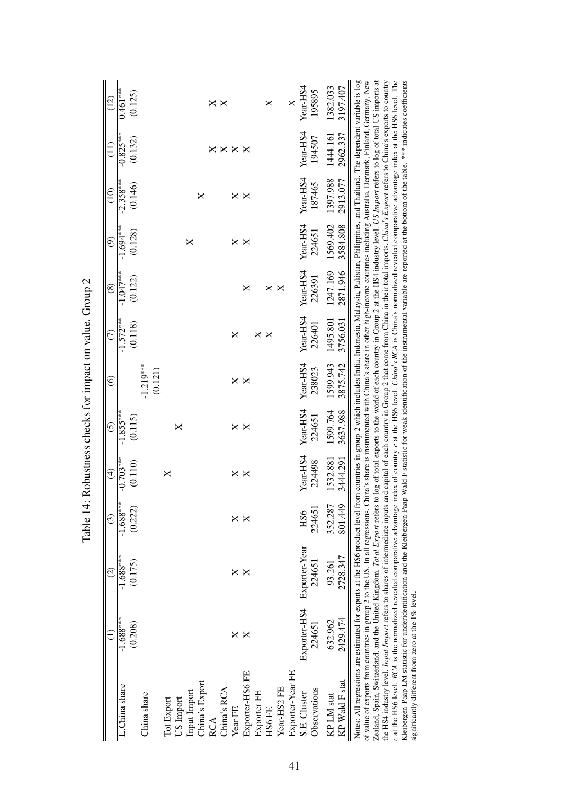|                                                                                                                                                                                                                                                                                                                                                                                                                                                                                                                                                                                                                                                                                                                                                                                                                                                                                                                                                                                                                                                                                                                                                                                                                                                                                                                                    |              |                        | THUND I.      | The moment is the company of the company of the company of |                   |                        |             |               |             |               |             |                   |
|------------------------------------------------------------------------------------------------------------------------------------------------------------------------------------------------------------------------------------------------------------------------------------------------------------------------------------------------------------------------------------------------------------------------------------------------------------------------------------------------------------------------------------------------------------------------------------------------------------------------------------------------------------------------------------------------------------------------------------------------------------------------------------------------------------------------------------------------------------------------------------------------------------------------------------------------------------------------------------------------------------------------------------------------------------------------------------------------------------------------------------------------------------------------------------------------------------------------------------------------------------------------------------------------------------------------------------|--------------|------------------------|---------------|------------------------------------------------------------|-------------------|------------------------|-------------|---------------|-------------|---------------|-------------|-------------------|
|                                                                                                                                                                                                                                                                                                                                                                                                                                                                                                                                                                                                                                                                                                                                                                                                                                                                                                                                                                                                                                                                                                                                                                                                                                                                                                                                    |              | $\widehat{\varrho}$    | $\widehat{c}$ | $\widehat{t}$                                              | $\widehat{\circ}$ | $\widehat{\circ}$      | E           | $\circledast$ | ම           | $\frac{1}{2}$ | $\Xi$       | $\widetilde{\Xi}$ |
| L.China share                                                                                                                                                                                                                                                                                                                                                                                                                                                                                                                                                                                                                                                                                                                                                                                                                                                                                                                                                                                                                                                                                                                                                                                                                                                                                                                      | $-1.688***$  | $-1.688***$<br>(0.175) | $-1.688***$   | $-0.703***$                                                | $-1.855***$       |                        | $-1.572***$ | $-1.047***$   | $-1.694***$ | $-2.358***$   | $-0.825***$ | $0.461***$        |
|                                                                                                                                                                                                                                                                                                                                                                                                                                                                                                                                                                                                                                                                                                                                                                                                                                                                                                                                                                                                                                                                                                                                                                                                                                                                                                                                    | (0.208)      |                        | (0.222)       | (0.110)                                                    | (0.115)           |                        | (0.118)     | (0.122)       | (0.128)     | (0.146)       | (0.132)     | (0.125)           |
| China share                                                                                                                                                                                                                                                                                                                                                                                                                                                                                                                                                                                                                                                                                                                                                                                                                                                                                                                                                                                                                                                                                                                                                                                                                                                                                                                        |              |                        |               |                                                            |                   | $-1.219***$<br>(0.121) |             |               |             |               |             |                   |
| Tot Export                                                                                                                                                                                                                                                                                                                                                                                                                                                                                                                                                                                                                                                                                                                                                                                                                                                                                                                                                                                                                                                                                                                                                                                                                                                                                                                         |              |                        |               | X                                                          |                   |                        |             |               |             |               |             |                   |
| US Import                                                                                                                                                                                                                                                                                                                                                                                                                                                                                                                                                                                                                                                                                                                                                                                                                                                                                                                                                                                                                                                                                                                                                                                                                                                                                                                          |              |                        |               |                                                            | ×                 |                        |             |               |             |               |             |                   |
| Input Import                                                                                                                                                                                                                                                                                                                                                                                                                                                                                                                                                                                                                                                                                                                                                                                                                                                                                                                                                                                                                                                                                                                                                                                                                                                                                                                       |              |                        |               |                                                            |                   |                        |             |               | ×           |               |             |                   |
| China's Export                                                                                                                                                                                                                                                                                                                                                                                                                                                                                                                                                                                                                                                                                                                                                                                                                                                                                                                                                                                                                                                                                                                                                                                                                                                                                                                     |              |                        |               |                                                            |                   |                        |             |               |             | ×             |             |                   |
| RCA                                                                                                                                                                                                                                                                                                                                                                                                                                                                                                                                                                                                                                                                                                                                                                                                                                                                                                                                                                                                                                                                                                                                                                                                                                                                                                                                |              |                        |               |                                                            |                   |                        |             |               |             |               |             | ×                 |
| China's RCA                                                                                                                                                                                                                                                                                                                                                                                                                                                                                                                                                                                                                                                                                                                                                                                                                                                                                                                                                                                                                                                                                                                                                                                                                                                                                                                        |              |                        |               |                                                            |                   |                        |             |               |             |               | ×           | ×                 |
| $Year$ FE                                                                                                                                                                                                                                                                                                                                                                                                                                                                                                                                                                                                                                                                                                                                                                                                                                                                                                                                                                                                                                                                                                                                                                                                                                                                                                                          | ×            | ×                      | ×             | ×                                                          | ×                 | ×                      | ×           |               | ×           | ×             | ×           |                   |
| Exporter-HS6 FE                                                                                                                                                                                                                                                                                                                                                                                                                                                                                                                                                                                                                                                                                                                                                                                                                                                                                                                                                                                                                                                                                                                                                                                                                                                                                                                    |              | ×                      |               | $\times$                                                   | $\times$          | ×                      |             | ×             | $\times$    | ×             | ×           |                   |
| Exporter FE                                                                                                                                                                                                                                                                                                                                                                                                                                                                                                                                                                                                                                                                                                                                                                                                                                                                                                                                                                                                                                                                                                                                                                                                                                                                                                                        |              |                        |               |                                                            |                   |                        | ×           |               |             |               |             |                   |
| HS6FE                                                                                                                                                                                                                                                                                                                                                                                                                                                                                                                                                                                                                                                                                                                                                                                                                                                                                                                                                                                                                                                                                                                                                                                                                                                                                                                              |              |                        |               |                                                            |                   |                        | ×           | ×             |             |               |             | $\times$          |
| Year-HS2 FE                                                                                                                                                                                                                                                                                                                                                                                                                                                                                                                                                                                                                                                                                                                                                                                                                                                                                                                                                                                                                                                                                                                                                                                                                                                                                                                        |              |                        |               |                                                            |                   |                        |             | X             |             |               |             |                   |
| Exporter-Year FE                                                                                                                                                                                                                                                                                                                                                                                                                                                                                                                                                                                                                                                                                                                                                                                                                                                                                                                                                                                                                                                                                                                                                                                                                                                                                                                   |              |                        |               |                                                            |                   |                        |             |               |             |               |             | X                 |
| S.E. Cluster                                                                                                                                                                                                                                                                                                                                                                                                                                                                                                                                                                                                                                                                                                                                                                                                                                                                                                                                                                                                                                                                                                                                                                                                                                                                                                                       | Exporter-HS4 | Exporter-Year          | HS6           | Year-HS4                                                   | Year-HS4          | Year-HS4               | Year-HS4    | Year-HS4      | Year-HS4    | Year-HS4      | Year-HS4    | Year-HS4          |
| Observations                                                                                                                                                                                                                                                                                                                                                                                                                                                                                                                                                                                                                                                                                                                                                                                                                                                                                                                                                                                                                                                                                                                                                                                                                                                                                                                       | 224651       | 224651                 | 224651        | 224498                                                     | 224651            | 238023                 | 226401      | 226391        | 224651      | 187465        | 194507      | 195895            |
| KP LM stat                                                                                                                                                                                                                                                                                                                                                                                                                                                                                                                                                                                                                                                                                                                                                                                                                                                                                                                                                                                                                                                                                                                                                                                                                                                                                                                         | 632.962      | 93.261                 | 352.287       | 1532.881                                                   | 1599.764          | 1599.943               | 1495.801    | 1247.169      | 1569.402    | 1397.988      | 1444.161    | 1382.033          |
| KP Wald F stat                                                                                                                                                                                                                                                                                                                                                                                                                                                                                                                                                                                                                                                                                                                                                                                                                                                                                                                                                                                                                                                                                                                                                                                                                                                                                                                     | 2429.474     | 2728.347               | 801.449       | 3444.291                                                   | 3637.988          | 3875.742               | 3756.031    | 2871.946      | 3584.808    | 2913.077      | 2962.337    | 3197.407          |
| c at the HS6 level. RCA is the normalized revealed comparative advantage index of country c at the HS6 level. Chind's RCA is China's normalized revealed comparative advantage index at the HS6 level. The<br>Notes: All regressions are estimated for exports at the HS6 product level from countries in group 2 which includes India, Indonesia, Malaysia, Pakistan, Philippines, and Thailand. The dependent variable is log<br>Zealand, Spain, Switzerland, and the United Kingdom. Total Export refers to log of total exports to the world of each country in Group 2 at the HS4 industry level. <i>US Import</i> refers to log of total US imports at<br>Kleibergen-Paap LM statistic for underidentification and the Kleibergen-Paap Wald F statistic for weak identification of the instrumental variable are reported at the bottom of the table. *** indicates coefficients<br>of value of exports from countries in group 2 to the US. In all regressions, China's share is instrumented with China's share in other high-income countries including Australia, Dennark, Finland, Germany, New<br>the H34 industry level. Input Import refers to shares of intermediate inputs and capital of each country in Group 2 that come from China in their total imports. China's Export refers to China's exports to country |              |                        |               |                                                            |                   |                        |             |               |             |               |             |                   |
| significantly different from zero at the 1% level.                                                                                                                                                                                                                                                                                                                                                                                                                                                                                                                                                                                                                                                                                                                                                                                                                                                                                                                                                                                                                                                                                                                                                                                                                                                                                 |              |                        |               |                                                            |                   |                        |             |               |             |               |             |                   |

Table 14: Robustness checks for impact on value. Group 2 Table 14: Robustness checks for impact on value, Group 2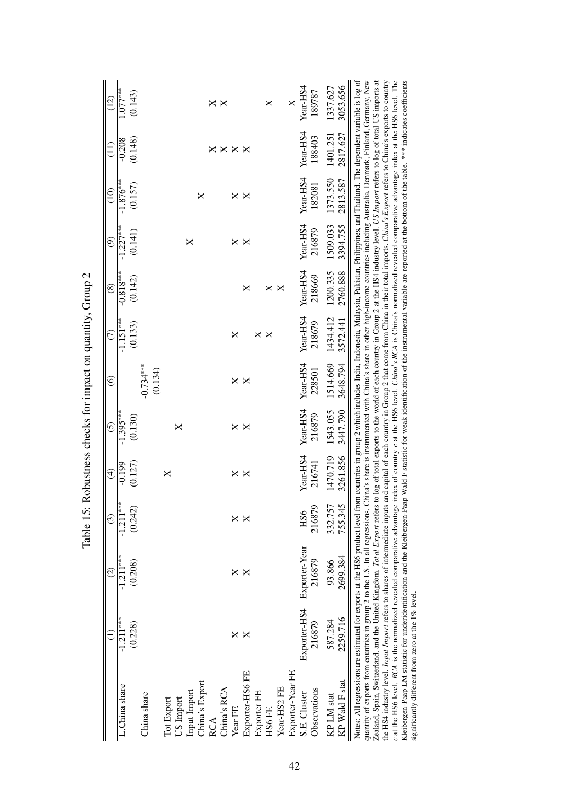|                                                                                                                                                                                                                                                                                                                                                                                                                                                                                                                                                                                                                                                                                                                                                                                                                                                                                                                                                                                                                                                                                                                                                                                      |              |               |               | Tanix 17. Thomas principal in the particular contract of the parties of the contract of the contract of the contract of the contract of the contract of the contract of the contract of the contract of the contract of the co |                   |                        |             |             |           |                |                                                                                                                                            |                 |
|--------------------------------------------------------------------------------------------------------------------------------------------------------------------------------------------------------------------------------------------------------------------------------------------------------------------------------------------------------------------------------------------------------------------------------------------------------------------------------------------------------------------------------------------------------------------------------------------------------------------------------------------------------------------------------------------------------------------------------------------------------------------------------------------------------------------------------------------------------------------------------------------------------------------------------------------------------------------------------------------------------------------------------------------------------------------------------------------------------------------------------------------------------------------------------------|--------------|---------------|---------------|--------------------------------------------------------------------------------------------------------------------------------------------------------------------------------------------------------------------------------|-------------------|------------------------|-------------|-------------|-----------|----------------|--------------------------------------------------------------------------------------------------------------------------------------------|-----------------|
|                                                                                                                                                                                                                                                                                                                                                                                                                                                                                                                                                                                                                                                                                                                                                                                                                                                                                                                                                                                                                                                                                                                                                                                      |              |               | $\widehat{c}$ | $\widehat{\mathfrak{t}}$                                                                                                                                                                                                       | $\widehat{\odot}$ | $\widehat{\circ}$      | E           | $\circledS$ | ම         | $\frac{1}{10}$ | $\widetilde{\Xi}$                                                                                                                          | $\widehat{\Xi}$ |
| L.China share                                                                                                                                                                                                                                                                                                                                                                                                                                                                                                                                                                                                                                                                                                                                                                                                                                                                                                                                                                                                                                                                                                                                                                        | $-1.211***$  | $-1.211***$   | $-1.211***$   | $-0.199$                                                                                                                                                                                                                       | $-1.395***$       |                        | $-1.151***$ | $-0.818***$ | $.227***$ | $-1.876***$    | $-0.208$                                                                                                                                   | $.077***$       |
|                                                                                                                                                                                                                                                                                                                                                                                                                                                                                                                                                                                                                                                                                                                                                                                                                                                                                                                                                                                                                                                                                                                                                                                      | (0.228)      | (0.208)       | (0.242)       | (0.127)                                                                                                                                                                                                                        | (0.130)           |                        | (0.133)     | (0.142)     | (0.141)   | (0.157)        | (0.148)                                                                                                                                    | (0.143)         |
| China share                                                                                                                                                                                                                                                                                                                                                                                                                                                                                                                                                                                                                                                                                                                                                                                                                                                                                                                                                                                                                                                                                                                                                                          |              |               |               |                                                                                                                                                                                                                                |                   | $-0.734***$<br>(0.134) |             |             |           |                |                                                                                                                                            |                 |
| Tot Export                                                                                                                                                                                                                                                                                                                                                                                                                                                                                                                                                                                                                                                                                                                                                                                                                                                                                                                                                                                                                                                                                                                                                                           |              |               |               | X                                                                                                                                                                                                                              |                   |                        |             |             |           |                |                                                                                                                                            |                 |
| US Import                                                                                                                                                                                                                                                                                                                                                                                                                                                                                                                                                                                                                                                                                                                                                                                                                                                                                                                                                                                                                                                                                                                                                                            |              |               |               |                                                                                                                                                                                                                                | ×                 |                        |             |             |           |                |                                                                                                                                            |                 |
| Input Import                                                                                                                                                                                                                                                                                                                                                                                                                                                                                                                                                                                                                                                                                                                                                                                                                                                                                                                                                                                                                                                                                                                                                                         |              |               |               |                                                                                                                                                                                                                                |                   |                        |             |             | ×         |                |                                                                                                                                            |                 |
| China's Export                                                                                                                                                                                                                                                                                                                                                                                                                                                                                                                                                                                                                                                                                                                                                                                                                                                                                                                                                                                                                                                                                                                                                                       |              |               |               |                                                                                                                                                                                                                                |                   |                        |             |             |           | ╳              |                                                                                                                                            |                 |
| RCA                                                                                                                                                                                                                                                                                                                                                                                                                                                                                                                                                                                                                                                                                                                                                                                                                                                                                                                                                                                                                                                                                                                                                                                  |              |               |               |                                                                                                                                                                                                                                |                   |                        |             |             |           |                |                                                                                                                                            | ×               |
| China's RCA                                                                                                                                                                                                                                                                                                                                                                                                                                                                                                                                                                                                                                                                                                                                                                                                                                                                                                                                                                                                                                                                                                                                                                          |              |               |               |                                                                                                                                                                                                                                |                   |                        |             |             |           |                | ×                                                                                                                                          | ×               |
| Year FE                                                                                                                                                                                                                                                                                                                                                                                                                                                                                                                                                                                                                                                                                                                                                                                                                                                                                                                                                                                                                                                                                                                                                                              | ×            | ×             | ×             | ×                                                                                                                                                                                                                              | ×                 | ×                      | ×           |             | ×         | ×              | ×                                                                                                                                          |                 |
| Exporter-HS6 FE                                                                                                                                                                                                                                                                                                                                                                                                                                                                                                                                                                                                                                                                                                                                                                                                                                                                                                                                                                                                                                                                                                                                                                      |              | ×             |               | ×                                                                                                                                                                                                                              | ×                 | ×                      |             | ×           | ×         | ×              | ×                                                                                                                                          |                 |
| Exporter FE                                                                                                                                                                                                                                                                                                                                                                                                                                                                                                                                                                                                                                                                                                                                                                                                                                                                                                                                                                                                                                                                                                                                                                          |              |               |               |                                                                                                                                                                                                                                |                   |                        | ×           |             |           |                |                                                                                                                                            |                 |
| HS6 FE                                                                                                                                                                                                                                                                                                                                                                                                                                                                                                                                                                                                                                                                                                                                                                                                                                                                                                                                                                                                                                                                                                                                                                               |              |               |               |                                                                                                                                                                                                                                |                   |                        | ×           | ×           |           |                |                                                                                                                                            | X               |
| Year-HS2 FE                                                                                                                                                                                                                                                                                                                                                                                                                                                                                                                                                                                                                                                                                                                                                                                                                                                                                                                                                                                                                                                                                                                                                                          |              |               |               |                                                                                                                                                                                                                                |                   |                        |             | $\times$    |           |                |                                                                                                                                            |                 |
| Exporter-Year FE                                                                                                                                                                                                                                                                                                                                                                                                                                                                                                                                                                                                                                                                                                                                                                                                                                                                                                                                                                                                                                                                                                                                                                     |              |               |               |                                                                                                                                                                                                                                |                   |                        |             |             |           |                |                                                                                                                                            | X               |
| S.E. Cluster                                                                                                                                                                                                                                                                                                                                                                                                                                                                                                                                                                                                                                                                                                                                                                                                                                                                                                                                                                                                                                                                                                                                                                         | Exporter-HS4 | Exporter-Year | HS6           | Year-HS4                                                                                                                                                                                                                       | Year-HS4          | Year-HS4               | Year-HS4    | Year-HS4    | Year-HS4  | Year-HS4       | Year-HS4                                                                                                                                   | Year-HS4        |
| Observations                                                                                                                                                                                                                                                                                                                                                                                                                                                                                                                                                                                                                                                                                                                                                                                                                                                                                                                                                                                                                                                                                                                                                                         | 216879       | 216879        | 216879        | 216741                                                                                                                                                                                                                         | 216879            | 228501                 | 218679      | 218669      | 216879    | 182081         | 188403                                                                                                                                     | 189787          |
| KP LM stat                                                                                                                                                                                                                                                                                                                                                                                                                                                                                                                                                                                                                                                                                                                                                                                                                                                                                                                                                                                                                                                                                                                                                                           | 587.284      | 93.866        | 332.757       | 1470.719                                                                                                                                                                                                                       | 1543.055          | 1514.669               | 1434.412    | 1200.335    | 1509.033  | 1373.550       | 1401.251                                                                                                                                   | 1337.627        |
| KP Wald F stat                                                                                                                                                                                                                                                                                                                                                                                                                                                                                                                                                                                                                                                                                                                                                                                                                                                                                                                                                                                                                                                                                                                                                                       | 2259.716     | 2699.384      | 755.345       | 3261.856                                                                                                                                                                                                                       | 3447.790          | 3648.794               | 3572.441    | 2760.888    | 3394.755  | 2813.587       | 2817.627                                                                                                                                   | 3053.656        |
| c at the HS6 level. RCA is the normalized revealed comparative advantage index of country c at the HS6 level. Chind's RCA is China's normalized revealed comparative advantage index at the HS6 level. The<br>Notes: All regressions are estimated for exports at the HS6 product level from countries in group 2 which includes India, Indonesia, Malaysia, Pakistan, Philippines, and Thailand. The dependent variable is log of<br>quantity of exports from countries in group 2 to the US. In all regressions, China's share is instrumented with China's share in other high-income countries including Australia, Denmark, Finland, Germany, New<br>Zealand, Spain, Switzerland, and the United Kingdom. Total Export refers to log of total exports to the world of each country in Group 2 at the HS4 industry level. US Import refers to log of total US imports at<br>the HS4 industry level. Input Import refers to shares of intermediate inputs and capital of each country in Group 2 that come from China in their total imports. China's Export refers to China's exports to country<br>Kleibergen-Paap LM statistic for underidentification and the Kleibergen-Paap |              |               |               |                                                                                                                                                                                                                                |                   |                        |             |             |           |                | Wald F statistic for weak identification of the instrumental variable are reported at the bottom of the table. **** indicates coefficients |                 |
| significantly different from zero at the 1% level.                                                                                                                                                                                                                                                                                                                                                                                                                                                                                                                                                                                                                                                                                                                                                                                                                                                                                                                                                                                                                                                                                                                                   |              |               |               |                                                                                                                                                                                                                                |                   |                        |             |             |           |                |                                                                                                                                            |                 |

Table 15: Robustness checks for impact on quantity. Group 2 Table 15: Robustness checks for impact on quantity, Group 2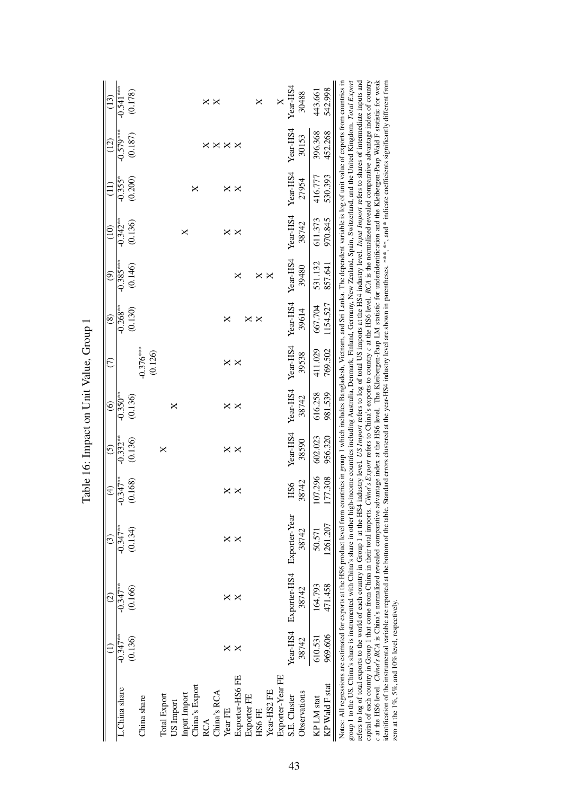| (13)<br>(12)    | $-0.541***$<br>(0.178)<br>$-0.579***$<br>(0.187) |                        |              |           |                                |     | ×           | $\times$ $\times$ | $\times$        |                   | ×     |             |                  | Year-HS4<br>Year-HS4       | 30488<br>30153 | 443.661<br>396.368 | 542.998<br>452.268 |                                                                                                                                                                                                                                                                                                                                                                                                                                                                                                                                                                                                                                                                                                                                                                                                                                                                                                                                                                                                                                                                                                                                                                                                                                                                                                                                                                                                                                                          |
|-----------------|--------------------------------------------------|------------------------|--------------|-----------|--------------------------------|-----|-------------|-------------------|-----------------|-------------------|-------|-------------|------------------|----------------------------|----------------|--------------------|--------------------|----------------------------------------------------------------------------------------------------------------------------------------------------------------------------------------------------------------------------------------------------------------------------------------------------------------------------------------------------------------------------------------------------------------------------------------------------------------------------------------------------------------------------------------------------------------------------------------------------------------------------------------------------------------------------------------------------------------------------------------------------------------------------------------------------------------------------------------------------------------------------------------------------------------------------------------------------------------------------------------------------------------------------------------------------------------------------------------------------------------------------------------------------------------------------------------------------------------------------------------------------------------------------------------------------------------------------------------------------------------------------------------------------------------------------------------------------------|
|                 |                                                  |                        |              |           |                                |     |             |                   |                 |                   |       |             |                  |                            |                |                    |                    |                                                                                                                                                                                                                                                                                                                                                                                                                                                                                                                                                                                                                                                                                                                                                                                                                                                                                                                                                                                                                                                                                                                                                                                                                                                                                                                                                                                                                                                          |
| $\frac{1}{1}$   | (0.200)<br>$-0.355$ <sup>*</sup>                 |                        |              |           | ×                              |     |             | ×                 | $\times$        |                   |       |             |                  | Year-HS4                   | 27954          | 416.777            | 530.393            |                                                                                                                                                                                                                                                                                                                                                                                                                                                                                                                                                                                                                                                                                                                                                                                                                                                                                                                                                                                                                                                                                                                                                                                                                                                                                                                                                                                                                                                          |
| $\overline{10}$ | $-0.342**$<br>(0.136)                            |                        |              |           | ×                              |     |             | ×                 | $\times$        |                   |       |             |                  | Year-HS4                   | 38742          | 611.373            | 970.845            |                                                                                                                                                                                                                                                                                                                                                                                                                                                                                                                                                                                                                                                                                                                                                                                                                                                                                                                                                                                                                                                                                                                                                                                                                                                                                                                                                                                                                                                          |
| ම               | $-0.385***$<br>(0.146)                           |                        |              |           |                                |     |             |                   | ×               |                   | ×     | $\times$    |                  | Year-HS4                   | 39480          | 531.132            | 857.641            |                                                                                                                                                                                                                                                                                                                                                                                                                                                                                                                                                                                                                                                                                                                                                                                                                                                                                                                                                                                                                                                                                                                                                                                                                                                                                                                                                                                                                                                          |
| $\circledast$   | $-0.268***$<br>(0.130)                           |                        |              |           |                                |     |             | ×                 |                 | $\times$ $\times$ |       |             |                  | Year-HS4                   | 39614          | 667.704            | 1154.527           |                                                                                                                                                                                                                                                                                                                                                                                                                                                                                                                                                                                                                                                                                                                                                                                                                                                                                                                                                                                                                                                                                                                                                                                                                                                                                                                                                                                                                                                          |
| E               |                                                  | $-0.376***$<br>(0.126) |              |           |                                |     |             | ×                 | $\times$        |                   |       |             |                  | Year-HS4                   | 39538          | 411.029            | 769.502            |                                                                                                                                                                                                                                                                                                                                                                                                                                                                                                                                                                                                                                                                                                                                                                                                                                                                                                                                                                                                                                                                                                                                                                                                                                                                                                                                                                                                                                                          |
| $\odot$         | $-0.350**$<br>(0.136)                            |                        |              | ×         |                                |     |             | ×                 | $\times$        |                   |       |             |                  | Year-HS4                   | 38742          | 616.258            | 981.539            |                                                                                                                                                                                                                                                                                                                                                                                                                                                                                                                                                                                                                                                                                                                                                                                                                                                                                                                                                                                                                                                                                                                                                                                                                                                                                                                                                                                                                                                          |
| $\overline{6}$  | $-0.332**$<br>(0.136)                            |                        | X            |           |                                |     |             | ×                 | $\times$        |                   |       |             |                  | Year-HS4                   | 38590          | 602.023            | 956.320            |                                                                                                                                                                                                                                                                                                                                                                                                                                                                                                                                                                                                                                                                                                                                                                                                                                                                                                                                                                                                                                                                                                                                                                                                                                                                                                                                                                                                                                                          |
| $\widehat{f}$   | $-0.347**$<br>.168)                              |                        |              |           |                                |     |             | ×                 | $\times$        |                   |       |             |                  | HS6                        | 38742          | 107.296            | 177.308            |                                                                                                                                                                                                                                                                                                                                                                                                                                                                                                                                                                                                                                                                                                                                                                                                                                                                                                                                                                                                                                                                                                                                                                                                                                                                                                                                                                                                                                                          |
| $\odot$         | $-0.347**$<br>(0.134)                            |                        |              |           |                                |     |             | $\times$ $\times$ |                 |                   |       |             |                  |                            | 38742          | 50.571             | 1261.207           |                                                                                                                                                                                                                                                                                                                                                                                                                                                                                                                                                                                                                                                                                                                                                                                                                                                                                                                                                                                                                                                                                                                                                                                                                                                                                                                                                                                                                                                          |
| $\odot$         | $-0.347**$<br>(0.166)                            |                        |              |           |                                |     |             | ×                 | $\times$        |                   |       |             |                  | Exporter-HS4 Exporter-Year | 38742          | 164.793            | 471.458            |                                                                                                                                                                                                                                                                                                                                                                                                                                                                                                                                                                                                                                                                                                                                                                                                                                                                                                                                                                                                                                                                                                                                                                                                                                                                                                                                                                                                                                                          |
|                 | $-0.347**$<br>(0.136)                            |                        |              |           |                                |     |             | ×                 | $\times$        |                   |       |             |                  | Year-HS4                   | 38742          | 610.531            | 969.606            |                                                                                                                                                                                                                                                                                                                                                                                                                                                                                                                                                                                                                                                                                                                                                                                                                                                                                                                                                                                                                                                                                                                                                                                                                                                                                                                                                                                                                                                          |
|                 | L.China share                                    | China share            | Total Export | US Import | China's Export<br>Input Import | RCA | China's RCA | Year FE           | Exporter-HS6 FE | Exporter FE       | HS6FE | Year-HS2 FE | Exporter-Year FE | S.E. Cluster               | Observations   | KP LM stat         | KP Wald F stat     | refers to log of total exports to the world of each country in Group 1 at the HS4 industry level. <i>US Import</i> serves to log of total US imports at the HS4 industry level. <i>Input Import</i> refers to shares of intermediate inp<br>identification of the instrumental variable are reported at the bottom of the table. Standard errors clustered at the year-HS4 industry level are shown in parentheses. ***, **, and * indicate coefficients significantly dif<br>Notes: All regressions are estimated for exports at the HS6 product level from countries in group 1 which includes Bangladesh, Vietnam, and Sri Lanka. The dependent variable is log of unit value of exports from countries i<br>capital of each country in Group 1 that come from China in their total imports. Chind's Export refers to China's exports to country c at the HS6 level. RCA is the normalized revealed comparative advantage index of country<br>c at the HS6 level. Chind's RCA is China's normalized revealed comparative advantage index at the HS6 level. The Kleibergen-Paap LM statistic for underidentification and the Kleibergen-Paap Wald F statistic for weak<br>group 1 to the US. China's share is instrumented with China's share in other high-income countries including Australia, Denmark, Finland, Germany, New Zealand, Spain, Switzerland, and the United Kingdom. Total Export<br>zero at the 1%, 5%, and 10% level, respectively. |

Table 16: Impact on Unit Value, Group 1 Table 16: Impact on Unit Value, Group 1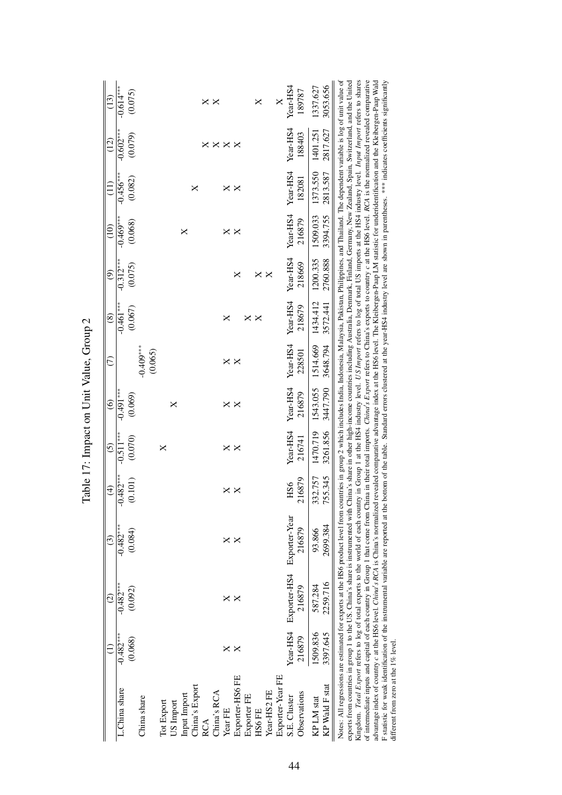|                                                                                                                                                                                                                                                                                                                                                                                                                                                                                                                                                                                                                                                                                                                                                                                                                                                                                                                                                                                                                                                                                                                                                                                                                                                                                                                                                                                                                                                 | Ξ                      | $\odot$                | ල                                    | $\widehat{f}$            | <u>ර</u>               | $\widehat{\circ}$      | E                      | $\circledast$          | ම                      | $\overline{10}$        | (II)                   | (12)                          | $\left(13\right)$              |
|-------------------------------------------------------------------------------------------------------------------------------------------------------------------------------------------------------------------------------------------------------------------------------------------------------------------------------------------------------------------------------------------------------------------------------------------------------------------------------------------------------------------------------------------------------------------------------------------------------------------------------------------------------------------------------------------------------------------------------------------------------------------------------------------------------------------------------------------------------------------------------------------------------------------------------------------------------------------------------------------------------------------------------------------------------------------------------------------------------------------------------------------------------------------------------------------------------------------------------------------------------------------------------------------------------------------------------------------------------------------------------------------------------------------------------------------------|------------------------|------------------------|--------------------------------------|--------------------------|------------------------|------------------------|------------------------|------------------------|------------------------|------------------------|------------------------|-------------------------------|--------------------------------|
| L.China share                                                                                                                                                                                                                                                                                                                                                                                                                                                                                                                                                                                                                                                                                                                                                                                                                                                                                                                                                                                                                                                                                                                                                                                                                                                                                                                                                                                                                                   | $-0.482***$<br>(0.068) | $-0.482***$<br>(0.092) | $-0.482***$<br>(0.084)               | $.482***$<br>0.101<br>ငှ | $-0.511***$<br>(0.070) | $-0.491***$<br>(0.069) |                        | $-0.461***$<br>(0.067) | $-0.312***$<br>(0.075) | $-0.469***$<br>(0.068) | $-0.456***$<br>(0.082) | $-0.602***$<br>(0.079)        | $-0.614**$<br>(0.075)          |
| China share                                                                                                                                                                                                                                                                                                                                                                                                                                                                                                                                                                                                                                                                                                                                                                                                                                                                                                                                                                                                                                                                                                                                                                                                                                                                                                                                                                                                                                     |                        |                        |                                      |                          |                        |                        | $-0.409***$<br>(0.065) |                        |                        |                        |                        |                               |                                |
| China's Export<br>Input Import<br>Tot Export<br>US Import                                                                                                                                                                                                                                                                                                                                                                                                                                                                                                                                                                                                                                                                                                                                                                                                                                                                                                                                                                                                                                                                                                                                                                                                                                                                                                                                                                                       |                        |                        |                                      |                          | ×                      | ×                      |                        |                        |                        | ×                      | ×                      |                               |                                |
| China's RCA<br><b>RCA</b>                                                                                                                                                                                                                                                                                                                                                                                                                                                                                                                                                                                                                                                                                                                                                                                                                                                                                                                                                                                                                                                                                                                                                                                                                                                                                                                                                                                                                       |                        |                        |                                      |                          |                        |                        |                        |                        |                        |                        |                        | $\times \times \times \times$ | $\times$ $\times$              |
| Year FE                                                                                                                                                                                                                                                                                                                                                                                                                                                                                                                                                                                                                                                                                                                                                                                                                                                                                                                                                                                                                                                                                                                                                                                                                                                                                                                                                                                                                                         | ×                      | $\times$ $\times$      | $\times$ $\times$                    | $\times$ $\times$        | $\times$ $\times$      | $\times$ $\times$      | $\times$ $\times$      | ×                      |                        | $\times$ $\times$      | $\times$ $\times$      |                               |                                |
| Exporter-HS6 FE<br>Exporter FE                                                                                                                                                                                                                                                                                                                                                                                                                                                                                                                                                                                                                                                                                                                                                                                                                                                                                                                                                                                                                                                                                                                                                                                                                                                                                                                                                                                                                  | $\times$               |                        |                                      |                          |                        |                        |                        | ×                      | ×                      |                        |                        |                               |                                |
| Year-HS2 FE<br><b>HS6 FE</b>                                                                                                                                                                                                                                                                                                                                                                                                                                                                                                                                                                                                                                                                                                                                                                                                                                                                                                                                                                                                                                                                                                                                                                                                                                                                                                                                                                                                                    |                        |                        |                                      |                          |                        |                        |                        | ×                      | $\times$ $\times$      |                        |                        |                               | $\times$                       |
| Exporter-Year FE<br>Observations<br>S.E. Cluster                                                                                                                                                                                                                                                                                                                                                                                                                                                                                                                                                                                                                                                                                                                                                                                                                                                                                                                                                                                                                                                                                                                                                                                                                                                                                                                                                                                                | Year-HS4<br>216879     | 216879                 | Exporter-HS4 Exporter-Year<br>216879 | 216879<br>HS6            | Year-HS4<br>216741     | Year-HS4<br>216879     | Year-HS4<br>228501     | Year-HS4<br>218679     | Year-HS4<br>218669     | Year-HS4<br>216879     | Year-HS4<br>182081     | Year-HS4<br>188403            | Year-HS4<br>189787<br>$\times$ |
| KP Wald F stat<br>KP LM stat                                                                                                                                                                                                                                                                                                                                                                                                                                                                                                                                                                                                                                                                                                                                                                                                                                                                                                                                                                                                                                                                                                                                                                                                                                                                                                                                                                                                                    | 1509.836<br>3397.645   | 2259.716<br>587.284    | 2699.384<br>93.866                   | 332.757<br>755.345       | 3261.856<br>1470.719   | 1543.055<br>3447.790   | 1514.669<br>3648.794   | 1434.412<br>3572.441   | 1200.335<br>2760.888   | 1509.033<br>3394.755   | 1373.550<br>2813.587   | 2817.627<br>1401.251          | 3053.656<br>1337.627           |
| of intermediate inputs and capital of each country in Group 1 that come from China in their total imports. China's Export refers to China's exports to country c at the HS6 level. RCA is the normalized revealed comparative<br>Kingdom. Total Export refers to log of total exports to the world of each country in Group 1 at the HS4 industry level. US Import refers to log of total US imports at the HS4 industry level. Input Import refers to shares<br>advantage index of country c at the HS6 level. China's RCA is China's normalized revealed comparative advantage index at the HS6 level. The Kleibergen-Paap LM statistic for underidentification and the Kleibergen-Paap Wald<br>F statistic for weak identification of the instrumental variable are reported at the bottom of the table. Standard errors clustered at the year-HS4 industry level are shown in parentheses. *** indicates coefficients signif<br>Notes: All regressions are estimated for exports at the HS6 product level from countries in group 2 which includes India, Indonesia, Malaysia, Pakistan, Philippines, and Thailand. The dependent variable is log of unit valu<br>exports from countries in group 1 to the US. China's share is instrumented with China's share in other in ogher high-income countries including Australia, Demnark, Finland, Germany, New Zealand, Spain, Switzerland, and the<br>different from zero at the $1\%$ level. |                        |                        |                                      |                          |                        |                        |                        |                        |                        |                        |                        |                               |                                |
|                                                                                                                                                                                                                                                                                                                                                                                                                                                                                                                                                                                                                                                                                                                                                                                                                                                                                                                                                                                                                                                                                                                                                                                                                                                                                                                                                                                                                                                 |                        |                        |                                      |                          |                        |                        |                        |                        |                        |                        |                        |                               |                                |

Table 17: Impact on Unit Value, Group 2 Table 17: Impact on Unit Value, Group 2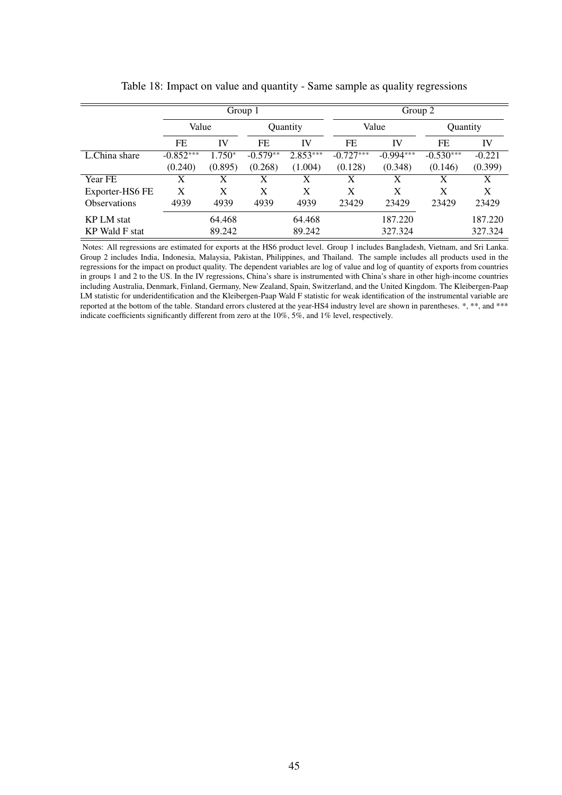|                     |             |          | Group 1    |            |             | Group 2     |             |          |
|---------------------|-------------|----------|------------|------------|-------------|-------------|-------------|----------|
|                     | Value       |          |            | Quantity   |             | Value       | Quantity    |          |
|                     | FE          | IV       | FE         | IV         | FE          | IV          | FE          | IV       |
| L.China share       | $-0.852***$ | $1.750*$ | $-0.579**$ | $2.853***$ | $-0.727***$ | $-0.994***$ | $-0.530***$ | $-0.221$ |
|                     | (0.240)     | (0.895)  | (0.268)    | (1.004)    | (0.128)     | (0.348)     | (0.146)     | (0.399)  |
| Year FE             | X           | X        | X          | X          | X           | X           | X           | X        |
| Exporter-HS6 FE     | X           | X        | X          | X          | X           | X           | X           | X        |
| <b>Observations</b> | 4939        | 4939     | 4939       | 4939       | 23429       | 23429       | 23429       | 23429    |
| <b>KPLM</b> stat    |             | 64.468   |            | 64.468     |             | 187.220     |             | 187.220  |
| KP Wald F stat      |             | 89.242   |            | 89.242     |             | 327.324     |             | 327.324  |

Table 18: Impact on value and quantity - Same sample as quality regressions

Notes: All regressions are estimated for exports at the HS6 product level. Group 1 includes Bangladesh, Vietnam, and Sri Lanka. Group 2 includes India, Indonesia, Malaysia, Pakistan, Philippines, and Thailand. The sample includes all products used in the regressions for the impact on product quality. The dependent variables are log of value and log of quantity of exports from countries in groups 1 and 2 to the US. In the IV regressions, China's share is instrumented with China's share in other high-income countries including Australia, Denmark, Finland, Germany, New Zealand, Spain, Switzerland, and the United Kingdom. The Kleibergen-Paap LM statistic for underidentification and the Kleibergen-Paap Wald F statistic for weak identification of the instrumental variable are reported at the bottom of the table. Standard errors clustered at the year-HS4 industry level are shown in parentheses. \*, \*\*, and \*\*\* indicate coefficients significantly different from zero at the 10%, 5%, and 1% level, respectively.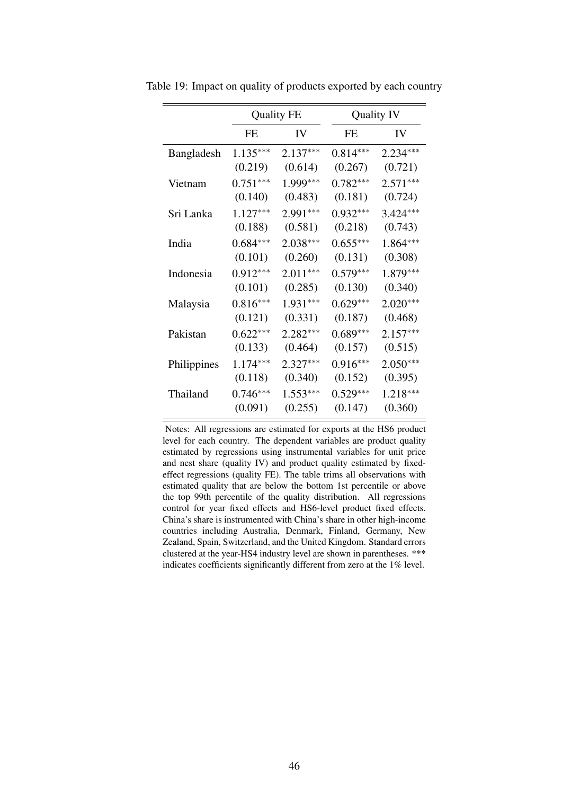|             |            | <b>Quality FE</b> |            | <b>Quality IV</b> |
|-------------|------------|-------------------|------------|-------------------|
|             | FE         | <b>IV</b>         | FE         | IV                |
| Bangladesh  | $1.135***$ | $2.137***$        | $0.814***$ | $2.234***$        |
|             | (0.219)    | (0.614)           | (0.267)    | (0.721)           |
| Vietnam     | $0.751***$ | 1.999***          | $0.782***$ | $2.571***$        |
|             | (0.140)    | (0.483)           | (0.181)    | (0.724)           |
| Sri Lanka   | $1.127***$ | 2.991***          | $0.932***$ | $3.424***$        |
|             | (0.188)    | (0.581)           | (0.218)    | (0.743)           |
| India       | $0.684***$ | $2.038***$        | $0.655***$ | $1.864***$        |
|             | (0.101)    | (0.260)           | (0.131)    | (0.308)           |
| Indonesia   | $0.912***$ | $2.011***$        | $0.579***$ | $1.879***$        |
|             | (0.101)    | (0.285)           | (0.130)    | (0.340)           |
| Malaysia    | $0.816***$ | $1.931***$        | $0.629***$ | $2.020***$        |
|             | (0.121)    | (0.331)           | (0.187)    | (0.468)           |
| Pakistan    | $0.622***$ | $2.282***$        | $0.689***$ | $2.157***$        |
|             | (0.133)    | (0.464)           | (0.157)    | (0.515)           |
| Philippines | $1.174***$ | 2.327***          | $0.916***$ | $2.050***$        |
|             | (0.118)    | (0.340)           | (0.152)    | (0.395)           |
| Thailand    | $0.746***$ | $1.553***$        | $0.529***$ | 1.218***          |
|             | (0.091)    | (0.255)           | (0.147)    | (0.360)           |

Table 19: Impact on quality of products exported by each country

Notes: All regressions are estimated for exports at the HS6 product level for each country. The dependent variables are product quality estimated by regressions using instrumental variables for unit price and nest share (quality IV) and product quality estimated by fixedeffect regressions (quality FE). The table trims all observations with estimated quality that are below the bottom 1st percentile or above the top 99th percentile of the quality distribution. All regressions control for year fixed effects and HS6-level product fixed effects. China's share is instrumented with China's share in other high-income countries including Australia, Denmark, Finland, Germany, New Zealand, Spain, Switzerland, and the United Kingdom. Standard errors clustered at the year-HS4 industry level are shown in parentheses. \*\*\* indicates coefficients significantly different from zero at the 1% level.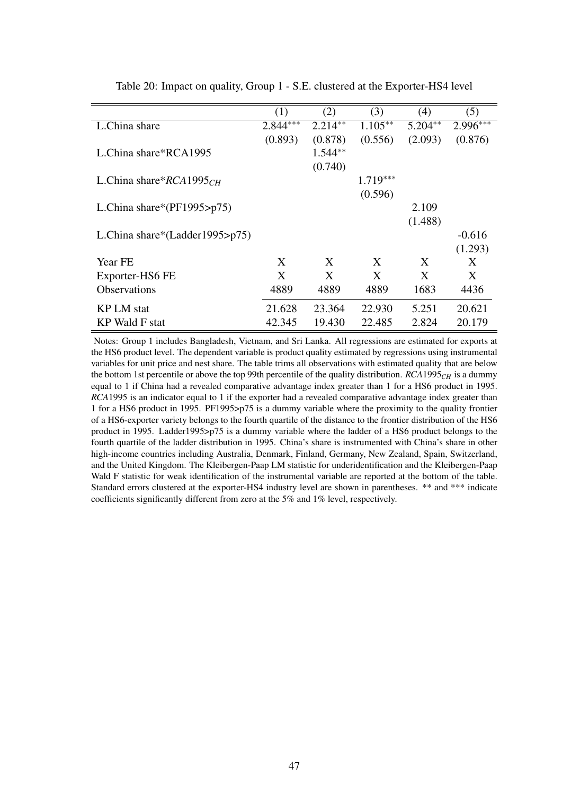|                                | (1)        | (2)       | (3)        | (4)       | (5)        |
|--------------------------------|------------|-----------|------------|-----------|------------|
| L.China share                  | $2.844***$ | $2.214**$ | $1.105***$ | $5.204**$ | $2.996***$ |
|                                | (0.893)    | (0.878)   | (0.556)    | (2.093)   | (0.876)    |
| L.China share*RCA1995          |            | $1.544**$ |            |           |            |
|                                |            | (0.740)   |            |           |            |
| L.China share* $RCA1995CH$     |            |           | $1.719***$ |           |            |
|                                |            |           | (0.596)    |           |            |
| L.China share*( $PF1995$ >p75) |            |           |            | 2.109     |            |
|                                |            |           |            | (1.488)   |            |
| L.China share*(Ladder1995>p75) |            |           |            |           | $-0.616$   |
|                                |            |           |            |           | (1.293)    |
| Year FE                        | X          | X         | X          | X         | X          |
| Exporter-HS6 FE                | X          | X         | X          | X         | X          |
| <b>Observations</b>            | 4889       | 4889      | 4889       | 1683      | 4436       |
| <b>KP LM</b> stat              | 21.628     | 23.364    | 22.930     | 5.251     | 20.621     |
| KP Wald F stat                 | 42.345     | 19.430    | 22.485     | 2.824     | 20.179     |
|                                |            |           |            |           |            |

Table 20: Impact on quality, Group 1 - S.E. clustered at the Exporter-HS4 level

Notes: Group 1 includes Bangladesh, Vietnam, and Sri Lanka. All regressions are estimated for exports at the HS6 product level. The dependent variable is product quality estimated by regressions using instrumental variables for unit price and nest share. The table trims all observations with estimated quality that are below the bottom 1st percentile or above the top 99th percentile of the quality distribution. *RCA*1995*CH* is a dummy equal to 1 if China had a revealed comparative advantage index greater than 1 for a HS6 product in 1995. *RCA*1995 is an indicator equal to 1 if the exporter had a revealed comparative advantage index greater than 1 for a HS6 product in 1995. PF1995>p75 is a dummy variable where the proximity to the quality frontier of a HS6-exporter variety belongs to the fourth quartile of the distance to the frontier distribution of the HS6 product in 1995. Ladder1995>p75 is a dummy variable where the ladder of a HS6 product belongs to the fourth quartile of the ladder distribution in 1995. China's share is instrumented with China's share in other high-income countries including Australia, Denmark, Finland, Germany, New Zealand, Spain, Switzerland, and the United Kingdom. The Kleibergen-Paap LM statistic for underidentification and the Kleibergen-Paap Wald F statistic for weak identification of the instrumental variable are reported at the bottom of the table. Standard errors clustered at the exporter-HS4 industry level are shown in parentheses. \*\* and \*\*\* indicate coefficients significantly different from zero at the 5% and 1% level, respectively.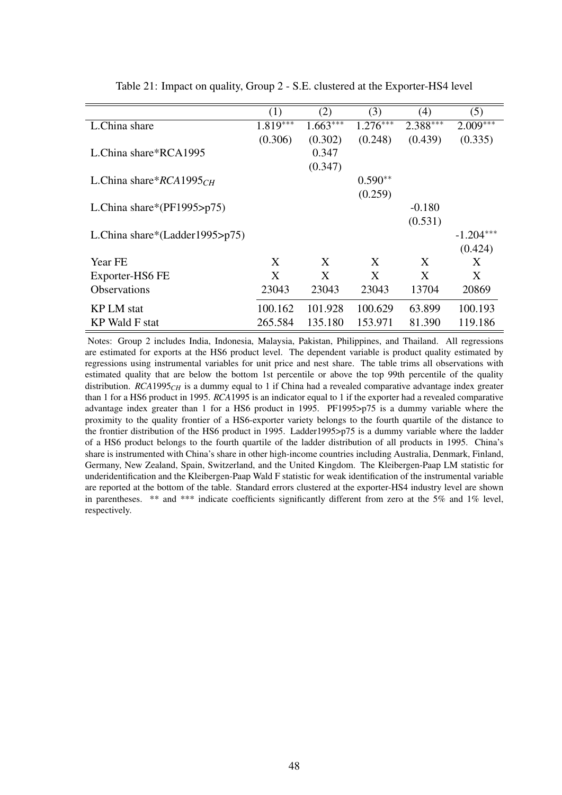|                                    | (1)        | (2)        | (3)        | (4)        | (5)         |
|------------------------------------|------------|------------|------------|------------|-------------|
| L.China share                      | $1.819***$ | $1.663***$ | $1.276***$ | $2.388***$ | $2.009***$  |
|                                    | (0.306)    | (0.302)    | (0.248)    | (0.439)    | (0.335)     |
| L.China share*RCA1995              |            | 0.347      |            |            |             |
|                                    |            | (0.347)    |            |            |             |
| L.China share* $RCA1995CH$         |            |            | $0.590**$  |            |             |
|                                    |            |            | (0.259)    |            |             |
| L.China share*( $PF1995$ >p75)     |            |            |            | $-0.180$   |             |
|                                    |            |            |            | (0.531)    |             |
| L.China share*(Ladder1995> $p75$ ) |            |            |            |            | $-1.204***$ |
|                                    |            |            |            |            | (0.424)     |
| <b>Year FE</b>                     | X          | X          | X          | X          | X           |
| Exporter-HS6 FE                    | X          | X          | X          | X          | X           |
|                                    |            |            |            |            |             |
| <b>Observations</b>                | 23043      | 23043      | 23043      | 13704      | 20869       |
| <b>KP LM</b> stat                  | 100.162    | 101.928    | 100.629    | 63.899     | 100.193     |
| KP Wald F stat                     | 265.584    | 135.180    | 153.971    | 81.390     | 119.186     |

Table 21: Impact on quality, Group 2 - S.E. clustered at the Exporter-HS4 level

Notes: Group 2 includes India, Indonesia, Malaysia, Pakistan, Philippines, and Thailand. All regressions are estimated for exports at the HS6 product level. The dependent variable is product quality estimated by regressions using instrumental variables for unit price and nest share. The table trims all observations with estimated quality that are below the bottom 1st percentile or above the top 99th percentile of the quality distribution. *RCA*1995<sub>*CH*</sub> is a dummy equal to 1 if China had a revealed comparative advantage index greater than 1 for a HS6 product in 1995. *RCA*1995 is an indicator equal to 1 if the exporter had a revealed comparative advantage index greater than 1 for a HS6 product in 1995. PF1995>p75 is a dummy variable where the proximity to the quality frontier of a HS6-exporter variety belongs to the fourth quartile of the distance to the frontier distribution of the HS6 product in 1995. Ladder1995>p75 is a dummy variable where the ladder of a HS6 product belongs to the fourth quartile of the ladder distribution of all products in 1995. China's share is instrumented with China's share in other high-income countries including Australia, Denmark, Finland, Germany, New Zealand, Spain, Switzerland, and the United Kingdom. The Kleibergen-Paap LM statistic for underidentification and the Kleibergen-Paap Wald F statistic for weak identification of the instrumental variable are reported at the bottom of the table. Standard errors clustered at the exporter-HS4 industry level are shown in parentheses. \*\* and \*\*\* indicate coefficients significantly different from zero at the 5% and 1% level, respectively.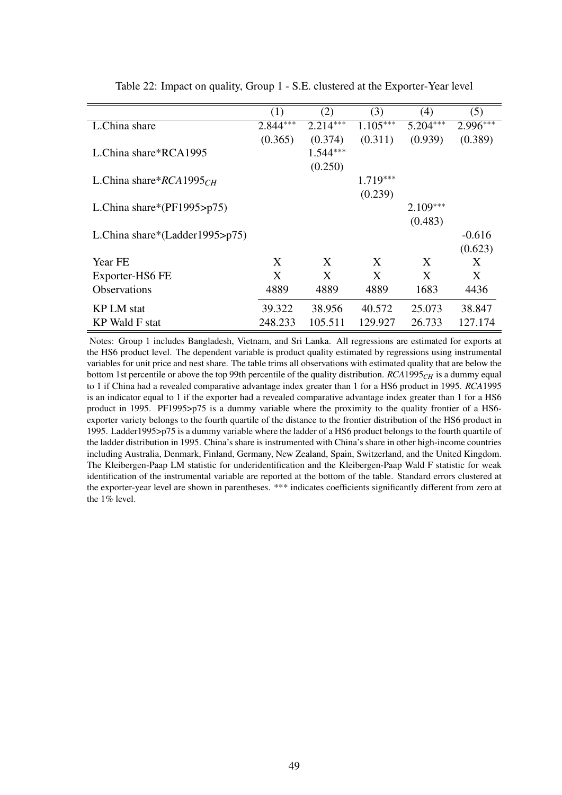|                                    | (1)        | (2)        | (3)        | (4)        | (5)        |
|------------------------------------|------------|------------|------------|------------|------------|
| L.China share                      | $2.844***$ | $2.214***$ | $1.105***$ | $5.204***$ | $2.996***$ |
|                                    | (0.365)    | (0.374)    | (0.311)    | (0.939)    | (0.389)    |
| L.China share*RCA1995              |            | $1.544***$ |            |            |            |
|                                    |            | (0.250)    |            |            |            |
| L.China share* $RCA1995CH$         |            |            | $1.719***$ |            |            |
|                                    |            |            | (0.239)    |            |            |
| L.China share*( $PF1995$ >p75)     |            |            |            | $2.109***$ |            |
|                                    |            |            |            | (0.483)    |            |
| L.China share*(Ladder1995> $p75$ ) |            |            |            |            | $-0.616$   |
|                                    |            |            |            |            | (0.623)    |
| Year FE                            | X          | X          | X          | X          | X          |
| Exporter-HS6 FE                    | X          | X          | X          | X          | X          |
| <b>Observations</b>                | 4889       | 4889       | 4889       | 1683       | 4436       |
| <b>KP LM</b> stat                  | 39.322     | 38.956     | 40.572     | 25.073     | 38.847     |
| <b>KP</b> Wald F stat              | 248.233    | 105.511    | 129.927    | 26.733     | 127.174    |

Table 22: Impact on quality, Group 1 - S.E. clustered at the Exporter-Year level

Notes: Group 1 includes Bangladesh, Vietnam, and Sri Lanka. All regressions are estimated for exports at the HS6 product level. The dependent variable is product quality estimated by regressions using instrumental variables for unit price and nest share. The table trims all observations with estimated quality that are below the bottom 1st percentile or above the top 99th percentile of the quality distribution. *RCA*1995*CH* is a dummy equal to 1 if China had a revealed comparative advantage index greater than 1 for a HS6 product in 1995. *RCA*1995 is an indicator equal to 1 if the exporter had a revealed comparative advantage index greater than 1 for a HS6 product in 1995. PF1995>p75 is a dummy variable where the proximity to the quality frontier of a HS6 exporter variety belongs to the fourth quartile of the distance to the frontier distribution of the HS6 product in 1995. Ladder1995>p75 is a dummy variable where the ladder of a HS6 product belongs to the fourth quartile of the ladder distribution in 1995. China's share is instrumented with China's share in other high-income countries including Australia, Denmark, Finland, Germany, New Zealand, Spain, Switzerland, and the United Kingdom. The Kleibergen-Paap LM statistic for underidentification and the Kleibergen-Paap Wald F statistic for weak identification of the instrumental variable are reported at the bottom of the table. Standard errors clustered at the exporter-year level are shown in parentheses. \*\*\* indicates coefficients significantly different from zero at the 1% level.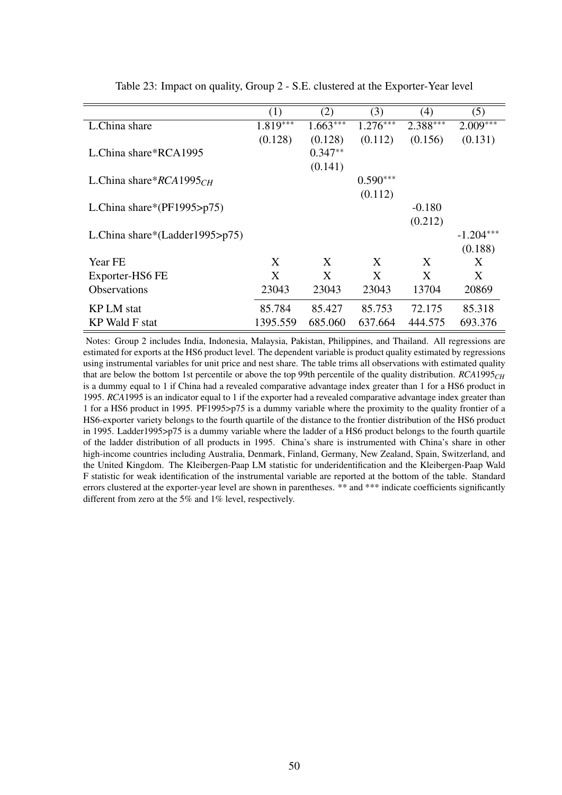|                                | (1)        | (2)        | (3)        | (4)        | (5)         |
|--------------------------------|------------|------------|------------|------------|-------------|
| L.China share                  | $1.819***$ | $1.663***$ | $1.276***$ | $2.388***$ | $2.009***$  |
|                                | (0.128)    | (0.128)    | (0.112)    | (0.156)    | (0.131)     |
| L.China share*RCA1995          |            | $0.347**$  |            |            |             |
|                                |            | (0.141)    |            |            |             |
| L.China share* $RCA1995CH$     |            |            | $0.590***$ |            |             |
|                                |            |            | (0.112)    |            |             |
| L.China share*( $PF1995$ >p75) |            |            |            | $-0.180$   |             |
|                                |            |            |            | (0.212)    |             |
| L.China share*(Ladder1995>p75) |            |            |            |            | $-1.204***$ |
|                                |            |            |            |            | (0.188)     |
| Year FE                        | X          | X          | X          | X          | X           |
| Exporter-HS6 FE                | X          | X          | X          | X          | X           |
| <b>Observations</b>            | 23043      | 23043      | 23043      | 13704      | 20869       |
| KP LM stat                     | 85.784     | 85.427     | 85.753     | 72.175     | 85.318      |
|                                |            |            |            |            |             |
| KP Wald F stat                 | 1395.559   | 685.060    | 637.664    | 444.575    | 693.376     |

Table 23: Impact on quality, Group 2 - S.E. clustered at the Exporter-Year level

Notes: Group 2 includes India, Indonesia, Malaysia, Pakistan, Philippines, and Thailand. All regressions are estimated for exports at the HS6 product level. The dependent variable is product quality estimated by regressions using instrumental variables for unit price and nest share. The table trims all observations with estimated quality that are below the bottom 1st percentile or above the top 99th percentile of the quality distribution. *RCA*1995*CH* is a dummy equal to 1 if China had a revealed comparative advantage index greater than 1 for a HS6 product in 1995. *RCA*1995 is an indicator equal to 1 if the exporter had a revealed comparative advantage index greater than 1 for a HS6 product in 1995. PF1995>p75 is a dummy variable where the proximity to the quality frontier of a HS6-exporter variety belongs to the fourth quartile of the distance to the frontier distribution of the HS6 product in 1995. Ladder1995>p75 is a dummy variable where the ladder of a HS6 product belongs to the fourth quartile of the ladder distribution of all products in 1995. China's share is instrumented with China's share in other high-income countries including Australia, Denmark, Finland, Germany, New Zealand, Spain, Switzerland, and the United Kingdom. The Kleibergen-Paap LM statistic for underidentification and the Kleibergen-Paap Wald F statistic for weak identification of the instrumental variable are reported at the bottom of the table. Standard errors clustered at the exporter-year level are shown in parentheses. \*\* and \*\*\* indicate coefficients significantly different from zero at the 5% and 1% level, respectively.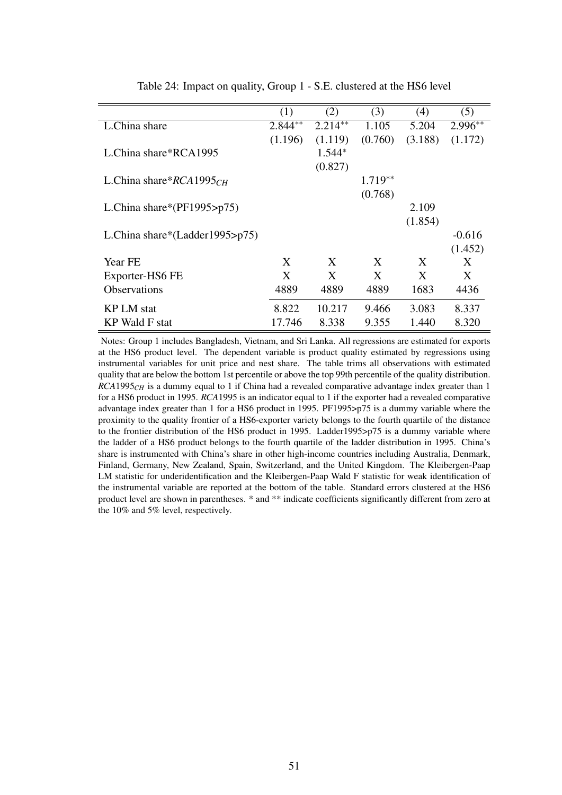|                                    | (1)       | (2)       | (3)       | (4)     | (5)       |
|------------------------------------|-----------|-----------|-----------|---------|-----------|
| L.China share                      | $2.844**$ | $2.214**$ | 1.105     | 5.204   | $2.996**$ |
|                                    | (1.196)   | (1.119)   | (0.760)   | (3.188) | (1.172)   |
| L.China share*RCA1995              |           | $1.544*$  |           |         |           |
|                                    |           | (0.827)   |           |         |           |
| L.China share $RCA1995CH$          |           |           | $1.719**$ |         |           |
|                                    |           |           | (0.768)   |         |           |
| L.China share*( $PF1995 \ge p75$ ) |           |           |           | 2.109   |           |
|                                    |           |           |           | (1.854) |           |
| L.China share*(Ladder1995> $p75$ ) |           |           |           |         | $-0.616$  |
|                                    |           |           |           |         | (1.452)   |
| <b>Year FE</b>                     | X         | X         | X         | X       | X         |
| Exporter-HS6 FE                    | X         | X         | X         | X       | X         |
| <b>Observations</b>                | 4889      | 4889      | 4889      | 1683    | 4436      |
| <b>KP LM</b> stat                  | 8.822     | 10.217    | 9.466     | 3.083   | 8.337     |
| KP Wald F stat                     | 17.746    | 8.338     | 9.355     | 1.440   | 8.320     |

Table 24: Impact on quality, Group 1 - S.E. clustered at the HS6 level

Notes: Group 1 includes Bangladesh, Vietnam, and Sri Lanka. All regressions are estimated for exports at the HS6 product level. The dependent variable is product quality estimated by regressions using instrumental variables for unit price and nest share. The table trims all observations with estimated quality that are below the bottom 1st percentile or above the top 99th percentile of the quality distribution. *RCA*1995*CH* is a dummy equal to 1 if China had a revealed comparative advantage index greater than 1 for a HS6 product in 1995. *RCA*1995 is an indicator equal to 1 if the exporter had a revealed comparative advantage index greater than 1 for a HS6 product in 1995. PF1995>p75 is a dummy variable where the proximity to the quality frontier of a HS6-exporter variety belongs to the fourth quartile of the distance to the frontier distribution of the HS6 product in 1995. Ladder1995>p75 is a dummy variable where the ladder of a HS6 product belongs to the fourth quartile of the ladder distribution in 1995. China's share is instrumented with China's share in other high-income countries including Australia, Denmark, Finland, Germany, New Zealand, Spain, Switzerland, and the United Kingdom. The Kleibergen-Paap LM statistic for underidentification and the Kleibergen-Paap Wald F statistic for weak identification of the instrumental variable are reported at the bottom of the table. Standard errors clustered at the HS6 product level are shown in parentheses. \* and \*\* indicate coefficients significantly different from zero at the 10% and 5% level, respectively.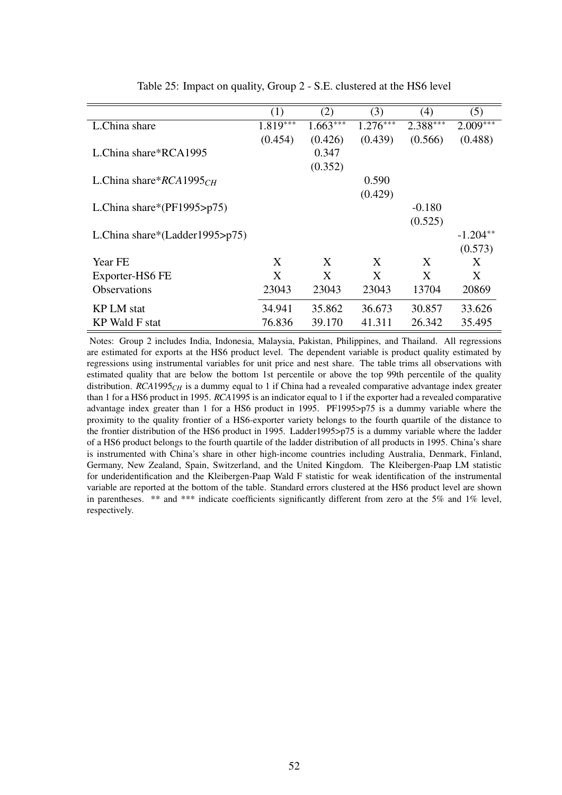|                                | (1)        | (2)        | (3)        | (4)        | (5)        |
|--------------------------------|------------|------------|------------|------------|------------|
| L.China share                  | $1.819***$ | $1.663***$ | $1.276***$ | $2.388***$ | $2.009***$ |
|                                | (0.454)    | (0.426)    | (0.439)    | (0.566)    | (0.488)    |
| L.China share*RCA1995          |            | 0.347      |            |            |            |
|                                |            | (0.352)    |            |            |            |
| L.China share $RCA1995CH$      |            |            | 0.590      |            |            |
|                                |            |            | (0.429)    |            |            |
| L.China share*( $PF1995$ >p75) |            |            |            | $-0.180$   |            |
|                                |            |            |            | (0.525)    |            |
| L.China share*(Ladder1995>p75) |            |            |            |            | $-1.204**$ |
|                                |            |            |            |            | (0.573)    |
| Year FE                        | X          | X          | X          | X          | X          |
| Exporter-HS6 FE                | X          | X          | X          | X          | X          |
| <b>Observations</b>            | 23043      | 23043      | 23043      | 13704      | 20869      |
| <b>KPLM</b> stat               | 34.941     | 35.862     | 36.673     | 30.857     | 33.626     |
| KP Wald F stat                 | 76.836     | 39.170     | 41.311     | 26.342     | 35.495     |

Table 25: Impact on quality, Group 2 - S.E. clustered at the HS6 level

Notes: Group 2 includes India, Indonesia, Malaysia, Pakistan, Philippines, and Thailand. All regressions are estimated for exports at the HS6 product level. The dependent variable is product quality estimated by regressions using instrumental variables for unit price and nest share. The table trims all observations with estimated quality that are below the bottom 1st percentile or above the top 99th percentile of the quality distribution. *RCA*1995<sub>*CH*</sub> is a dummy equal to 1 if China had a revealed comparative advantage index greater than 1 for a HS6 product in 1995. *RCA*1995 is an indicator equal to 1 if the exporter had a revealed comparative advantage index greater than 1 for a HS6 product in 1995. PF1995>p75 is a dummy variable where the proximity to the quality frontier of a HS6-exporter variety belongs to the fourth quartile of the distance to the frontier distribution of the HS6 product in 1995. Ladder1995>p75 is a dummy variable where the ladder of a HS6 product belongs to the fourth quartile of the ladder distribution of all products in 1995. China's share is instrumented with China's share in other high-income countries including Australia, Denmark, Finland, Germany, New Zealand, Spain, Switzerland, and the United Kingdom. The Kleibergen-Paap LM statistic for underidentification and the Kleibergen-Paap Wald F statistic for weak identification of the instrumental variable are reported at the bottom of the table. Standard errors clustered at the HS6 product level are shown in parentheses. \*\* and \*\*\* indicate coefficients significantly different from zero at the 5% and 1% level, respectively.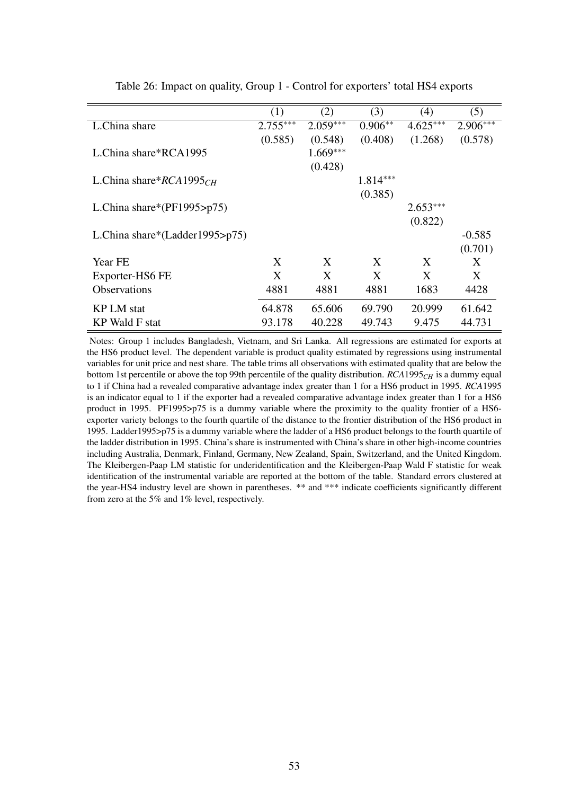|                                    | (1)        | (2)        | (3)        | (4)        | (5)        |
|------------------------------------|------------|------------|------------|------------|------------|
| L.China share                      | $2.755***$ | $2.059***$ | $0.906**$  | $4.625***$ | $2.906***$ |
|                                    | (0.585)    | (0.548)    | (0.408)    | (1.268)    | (0.578)    |
| L.China share*RCA1995              |            | $1.669***$ |            |            |            |
|                                    |            | (0.428)    |            |            |            |
| L.China share* $RCA1995CH$         |            |            | $1.814***$ |            |            |
|                                    |            |            | (0.385)    |            |            |
| L.China share*( $PF1995$ >p75)     |            |            |            | $2.653***$ |            |
|                                    |            |            |            | (0.822)    |            |
| L.China share*(Ladder1995> $p75$ ) |            |            |            |            | $-0.585$   |
|                                    |            |            |            |            | (0.701)    |
| Year FE                            | X          | X          | X          | X          | X          |
| Exporter-HS6 FE                    | X          | X          | X          | X          | X          |
| <b>Observations</b>                | 4881       | 4881       | 4881       | 1683       | 4428       |
|                                    |            |            |            |            |            |
| <b>KP LM</b> stat                  | 64.878     | 65.606     | 69.790     | 20.999     | 61.642     |
| KP Wald F stat                     | 93.178     | 40.228     | 49.743     | 9.475      | 44.731     |

Table 26: Impact on quality, Group 1 - Control for exporters' total HS4 exports

Notes: Group 1 includes Bangladesh, Vietnam, and Sri Lanka. All regressions are estimated for exports at the HS6 product level. The dependent variable is product quality estimated by regressions using instrumental variables for unit price and nest share. The table trims all observations with estimated quality that are below the bottom 1st percentile or above the top 99th percentile of the quality distribution. *RCA*1995*CH* is a dummy equal to 1 if China had a revealed comparative advantage index greater than 1 for a HS6 product in 1995. *RCA*1995 is an indicator equal to 1 if the exporter had a revealed comparative advantage index greater than 1 for a HS6 product in 1995. PF1995>p75 is a dummy variable where the proximity to the quality frontier of a HS6 exporter variety belongs to the fourth quartile of the distance to the frontier distribution of the HS6 product in 1995. Ladder1995>p75 is a dummy variable where the ladder of a HS6 product belongs to the fourth quartile of the ladder distribution in 1995. China's share is instrumented with China's share in other high-income countries including Australia, Denmark, Finland, Germany, New Zealand, Spain, Switzerland, and the United Kingdom. The Kleibergen-Paap LM statistic for underidentification and the Kleibergen-Paap Wald F statistic for weak identification of the instrumental variable are reported at the bottom of the table. Standard errors clustered at the year-HS4 industry level are shown in parentheses. \*\* and \*\*\* indicate coefficients significantly different from zero at the 5% and 1% level, respectively.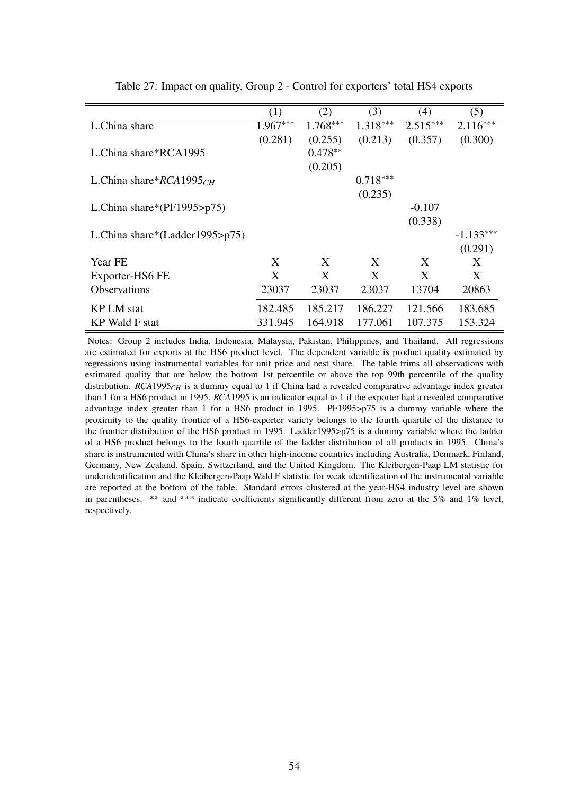|                                    | (1)        | (2)        | (3)        | (4)        | (5)         |
|------------------------------------|------------|------------|------------|------------|-------------|
| L.China share                      | $1.967***$ | $1.768***$ | $1.318***$ | $2.515***$ | $2.116***$  |
|                                    | (0.281)    | (0.255)    | (0.213)    | (0.357)    | (0.300)     |
| L.China share*RCA1995              |            | $0.478**$  |            |            |             |
|                                    |            | (0.205)    |            |            |             |
| L.China share* $RCA1995CH$         |            |            | $0.718***$ |            |             |
|                                    |            |            | (0.235)    |            |             |
| L.China share*( $PF1995$ >p75)     |            |            |            | $-0.107$   |             |
|                                    |            |            |            | (0.338)    |             |
| L.China share*(Ladder1995> $p75$ ) |            |            |            |            | $-1.133***$ |
|                                    |            |            |            |            | (0.291)     |
| Year FE                            | X          | X          | X          | X          | X           |
|                                    |            |            |            |            |             |
| Exporter-HS6 FE                    | X          | X          | X          | X          | X           |
| <b>Observations</b>                | 23037      | 23037      | 23037      | 13704      | 20863       |
| KP LM stat                         | 182.485    | 185.217    | 186.227    | 121.566    | 183.685     |
|                                    |            |            |            |            |             |
| KP Wald F stat                     | 331.945    | 164.918    | 177.061    | 107.375    | 153.324     |

Table 27: Impact on quality, Group 2 - Control for exporters' total HS4 exports

Notes: Group 2 includes India, Indonesia, Malaysia, Pakistan, Philippines, and Thailand. All regressions are estimated for exports at the HS6 product level. The dependent variable is product quality estimated by regressions using instrumental variables for unit price and nest share. The table trims all observations with estimated quality that are below the bottom 1st percentile or above the top 99th percentile of the quality distribution. *RCA*1995<sub>*CH*</sub> is a dummy equal to 1 if China had a revealed comparative advantage index greater than 1 for a HS6 product in 1995. *RCA*1995 is an indicator equal to 1 if the exporter had a revealed comparative advantage index greater than 1 for a HS6 product in 1995. PF1995>p75 is a dummy variable where the proximity to the quality frontier of a HS6-exporter variety belongs to the fourth quartile of the distance to the frontier distribution of the HS6 product in 1995. Ladder1995>p75 is a dummy variable where the ladder of a HS6 product belongs to the fourth quartile of the ladder distribution of all products in 1995. China's share is instrumented with China's share in other high-income countries including Australia, Denmark, Finland, Germany, New Zealand, Spain, Switzerland, and the United Kingdom. The Kleibergen-Paap LM statistic for underidentification and the Kleibergen-Paap Wald F statistic for weak identification of the instrumental variable are reported at the bottom of the table. Standard errors clustered at the year-HS4 industry level are shown in parentheses. \*\* and \*\*\* indicate coefficients significantly different from zero at the 5% and 1% level, respectively.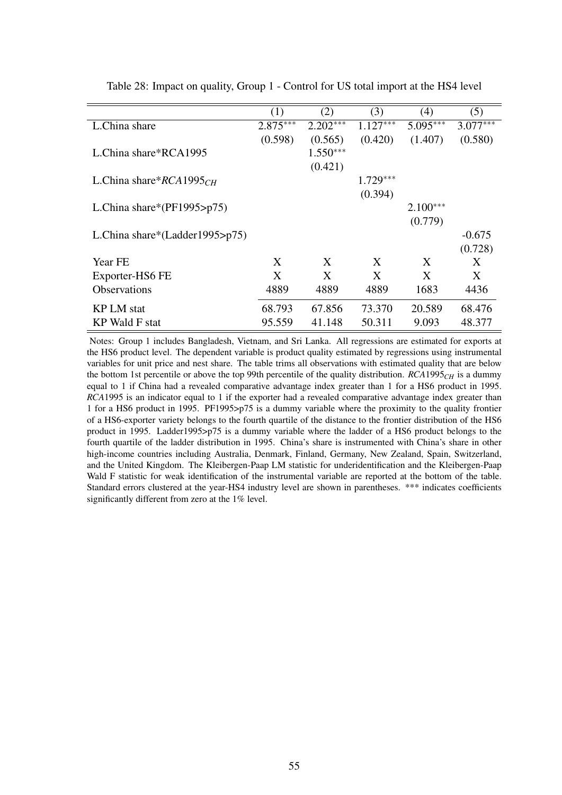|                                | (1)        | (2)        | (3)        | (4)        | (5)        |
|--------------------------------|------------|------------|------------|------------|------------|
| L.China share                  | $2.875***$ | $2.202***$ | $1.127***$ | $5.095***$ | $3.077***$ |
|                                | (0.598)    | (0.565)    | (0.420)    | (1.407)    | (0.580)    |
| L.China share*RCA1995          |            | $1.550***$ |            |            |            |
|                                |            | (0.421)    |            |            |            |
| L.China share* $RCA1995CH$     |            |            | $1.729***$ |            |            |
|                                |            |            | (0.394)    |            |            |
| L.China share*( $PF1995$ >p75) |            |            |            | $2.100***$ |            |
|                                |            |            |            | (0.779)    |            |
| L.China share*(Ladder1995>p75) |            |            |            |            | $-0.675$   |
|                                |            |            |            |            | (0.728)    |
| Year FE                        | X          | X          | X          | X          | X          |
| Exporter-HS6 FE                | X          | X          | X          | X          | X          |
| <b>Observations</b>            | 4889       | 4889       | 4889       | 1683       | 4436       |
| <b>KP LM</b> stat              | 68.793     | 67.856     | 73.370     | 20.589     | 68.476     |
|                                |            |            |            |            |            |
| <b>KP</b> Wald F stat          | 95.559     | 41.148     | 50.311     | 9.093      | 48.377     |

Table 28: Impact on quality, Group 1 - Control for US total import at the HS4 level

Notes: Group 1 includes Bangladesh, Vietnam, and Sri Lanka. All regressions are estimated for exports at the HS6 product level. The dependent variable is product quality estimated by regressions using instrumental variables for unit price and nest share. The table trims all observations with estimated quality that are below the bottom 1st percentile or above the top 99th percentile of the quality distribution.  $RCA1995<sub>CH</sub>$  is a dummy equal to 1 if China had a revealed comparative advantage index greater than 1 for a HS6 product in 1995. *RCA*1995 is an indicator equal to 1 if the exporter had a revealed comparative advantage index greater than 1 for a HS6 product in 1995. PF1995>p75 is a dummy variable where the proximity to the quality frontier of a HS6-exporter variety belongs to the fourth quartile of the distance to the frontier distribution of the HS6 product in 1995. Ladder1995>p75 is a dummy variable where the ladder of a HS6 product belongs to the fourth quartile of the ladder distribution in 1995. China's share is instrumented with China's share in other high-income countries including Australia, Denmark, Finland, Germany, New Zealand, Spain, Switzerland, and the United Kingdom. The Kleibergen-Paap LM statistic for underidentification and the Kleibergen-Paap Wald F statistic for weak identification of the instrumental variable are reported at the bottom of the table. Standard errors clustered at the year-HS4 industry level are shown in parentheses. \*\*\* indicates coefficients significantly different from zero at the 1% level.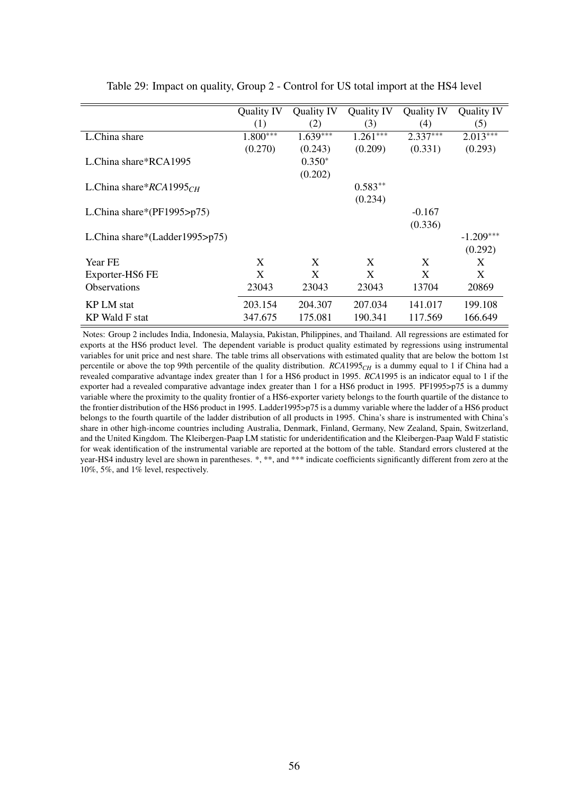|                                | Quality IV | Quality IV | <b>Quality IV</b> | <b>Quality IV</b> | Quality IV  |
|--------------------------------|------------|------------|-------------------|-------------------|-------------|
|                                | (1)        | (2)        | (3)               | (4)               | (5)         |
| L.China share                  | $1.800***$ | $1.639***$ | $1.261***$        | $2.337***$        | $2.013***$  |
|                                | (0.270)    | (0.243)    | (0.209)           | (0.331)           | (0.293)     |
| L.China share*RCA1995          |            | $0.350*$   |                   |                   |             |
|                                |            | (0.202)    |                   |                   |             |
| L.China share* $RCA1995CH$     |            |            | $0.583**$         |                   |             |
|                                |            |            | (0.234)           |                   |             |
| L.China share*(PF1995>p75)     |            |            |                   | $-0.167$          |             |
|                                |            |            |                   | (0.336)           |             |
| L.China share*(Ladder1995>p75) |            |            |                   |                   | $-1.209***$ |
|                                |            |            |                   |                   | (0.292)     |
| Year FE                        | X          | X          | X                 | X                 | X           |
| Exporter-HS6 FE                | X          | X          | X                 | X                 | X           |
| <b>Observations</b>            | 23043      | 23043      | 23043             | 13704             | 20869       |
| <b>KP LM</b> stat              | 203.154    | 204.307    | 207.034           | 141.017           | 199.108     |
| <b>KP Wald F stat</b>          | 347.675    | 175.081    | 190.341           | 117.569           | 166.649     |

Table 29: Impact on quality, Group 2 - Control for US total import at the HS4 level

Notes: Group 2 includes India, Indonesia, Malaysia, Pakistan, Philippines, and Thailand. All regressions are estimated for exports at the HS6 product level. The dependent variable is product quality estimated by regressions using instrumental variables for unit price and nest share. The table trims all observations with estimated quality that are below the bottom 1st percentile or above the top 99th percentile of the quality distribution. *RCA*1995*CH* is a dummy equal to 1 if China had a revealed comparative advantage index greater than 1 for a HS6 product in 1995. *RCA*1995 is an indicator equal to 1 if the exporter had a revealed comparative advantage index greater than 1 for a HS6 product in 1995. PF1995>p75 is a dummy variable where the proximity to the quality frontier of a HS6-exporter variety belongs to the fourth quartile of the distance to the frontier distribution of the HS6 product in 1995. Ladder1995>p75 is a dummy variable where the ladder of a HS6 product belongs to the fourth quartile of the ladder distribution of all products in 1995. China's share is instrumented with China's share in other high-income countries including Australia, Denmark, Finland, Germany, New Zealand, Spain, Switzerland, and the United Kingdom. The Kleibergen-Paap LM statistic for underidentification and the Kleibergen-Paap Wald F statistic for weak identification of the instrumental variable are reported at the bottom of the table. Standard errors clustered at the year-HS4 industry level are shown in parentheses. \*, \*\*, and \*\*\* indicate coefficients significantly different from zero at the 10%, 5%, and 1% level, respectively.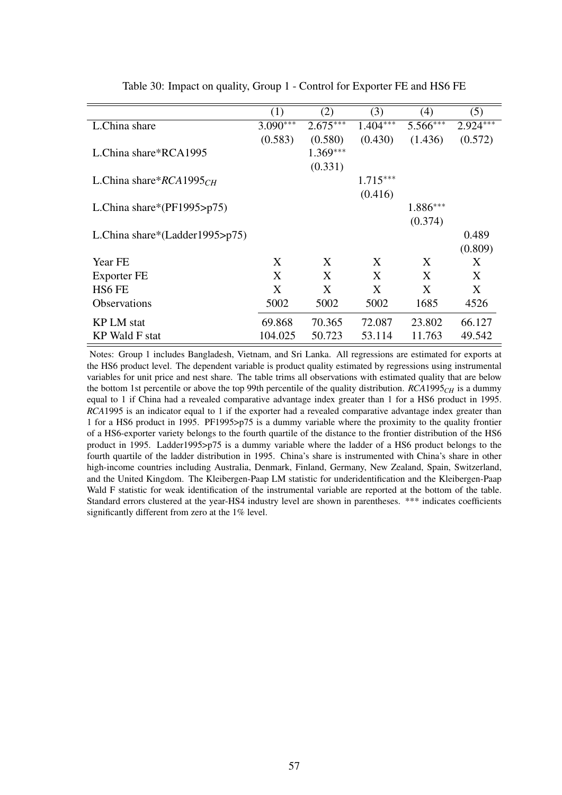|                                    | (1)        | (2)        | (3)        | (4)      | (5)        |
|------------------------------------|------------|------------|------------|----------|------------|
| L.China share                      | $3.090***$ | $2.675***$ | $1.404***$ | 5.566*** | $2.924***$ |
|                                    | (0.583)    | (0.580)    | (0.430)    | (1.436)  | (0.572)    |
| L.China share*RCA1995              |            | $1.369***$ |            |          |            |
|                                    |            | (0.331)    |            |          |            |
| L.China share* $RCA1995CH$         |            |            | $1.715***$ |          |            |
|                                    |            |            | (0.416)    |          |            |
| L.China share*( $PF1995$ >p75)     |            |            |            | 1.886*** |            |
|                                    |            |            |            | (0.374)  |            |
| L.China share*(Ladder1995> $p75$ ) |            |            |            |          | 0.489      |
|                                    |            |            |            |          | (0.809)    |
| Year FE                            | X          | X          | X          | X        | X          |
| Exporter FE                        | X          | X          | X          | X        | X          |
| HS <sub>6</sub> FE                 | X          | X          | X          | X        | X          |
| <b>Observations</b>                | 5002       | 5002       | 5002       | 1685     | 4526       |
|                                    |            |            |            |          |            |
| <b>KP LM</b> stat                  | 69.868     | 70.365     | 72.087     | 23.802   | 66.127     |
| KP Wald F stat                     | 104.025    | 50.723     | 53.114     | 11.763   | 49.542     |

Table 30: Impact on quality, Group 1 - Control for Exporter FE and HS6 FE

Notes: Group 1 includes Bangladesh, Vietnam, and Sri Lanka. All regressions are estimated for exports at the HS6 product level. The dependent variable is product quality estimated by regressions using instrumental variables for unit price and nest share. The table trims all observations with estimated quality that are below the bottom 1st percentile or above the top 99th percentile of the quality distribution. *RCA*1995*CH* is a dummy equal to 1 if China had a revealed comparative advantage index greater than 1 for a HS6 product in 1995. *RCA*1995 is an indicator equal to 1 if the exporter had a revealed comparative advantage index greater than 1 for a HS6 product in 1995. PF1995>p75 is a dummy variable where the proximity to the quality frontier of a HS6-exporter variety belongs to the fourth quartile of the distance to the frontier distribution of the HS6 product in 1995. Ladder1995>p75 is a dummy variable where the ladder of a HS6 product belongs to the fourth quartile of the ladder distribution in 1995. China's share is instrumented with China's share in other high-income countries including Australia, Denmark, Finland, Germany, New Zealand, Spain, Switzerland, and the United Kingdom. The Kleibergen-Paap LM statistic for underidentification and the Kleibergen-Paap Wald F statistic for weak identification of the instrumental variable are reported at the bottom of the table. Standard errors clustered at the year-HS4 industry level are shown in parentheses. \*\*\* indicates coefficients significantly different from zero at the 1% level.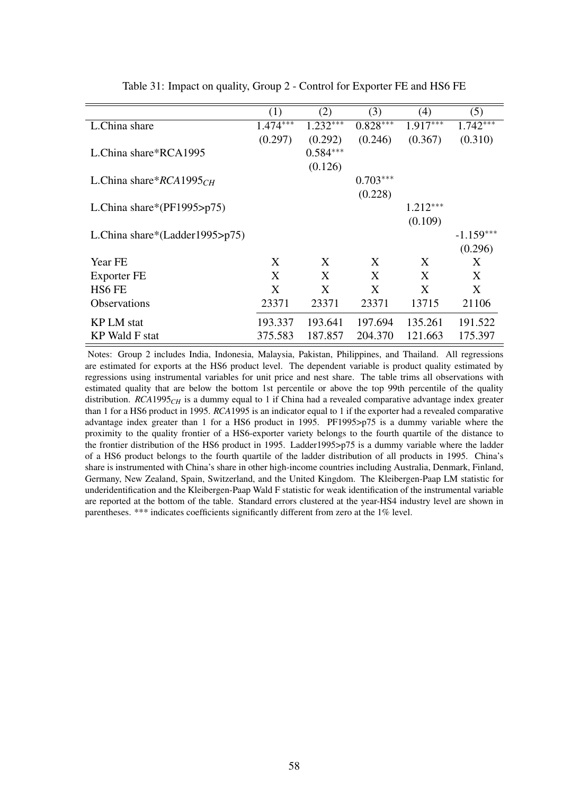|                                    | (1)        | (2)        | (3)        | (4)        | (5)         |
|------------------------------------|------------|------------|------------|------------|-------------|
| L.China share                      | $1.474***$ | $1.232***$ | $0.828***$ | $1.917***$ | $1.742***$  |
|                                    | (0.297)    | (0.292)    | (0.246)    | (0.367)    | (0.310)     |
| L.China share*RCA1995              |            | $0.584***$ |            |            |             |
|                                    |            | (0.126)    |            |            |             |
| L.China share* $RCA1995CH$         |            |            | $0.703***$ |            |             |
|                                    |            |            | (0.228)    |            |             |
| L.China share*( $PF1995$ >p75)     |            |            |            | $1.212***$ |             |
|                                    |            |            |            | (0.109)    |             |
| L.China share*(Ladder1995> $p75$ ) |            |            |            |            | $-1.159***$ |
|                                    |            |            |            |            | (0.296)     |
|                                    |            |            |            |            |             |
| Year FE                            | X          | X          | X          | X          | X           |
| Exporter FE                        | X          | X          | X          | X          | X           |
| HS <sub>6</sub> FE                 | X          | X          | X          | X          | X           |
| <b>Observations</b>                | 23371      | 23371      | 23371      | 13715      | 21106       |
| <b>KP LM</b> stat                  | 193.337    | 193.641    | 197.694    | 135.261    | 191.522     |
| <b>KP</b> Wald F stat              | 375.583    | 187.857    | 204.370    | 121.663    | 175.397     |

Table 31: Impact on quality, Group 2 - Control for Exporter FE and HS6 FE

Notes: Group 2 includes India, Indonesia, Malaysia, Pakistan, Philippines, and Thailand. All regressions are estimated for exports at the HS6 product level. The dependent variable is product quality estimated by regressions using instrumental variables for unit price and nest share. The table trims all observations with estimated quality that are below the bottom 1st percentile or above the top 99th percentile of the quality distribution. *RCA*1995*CH* is a dummy equal to 1 if China had a revealed comparative advantage index greater than 1 for a HS6 product in 1995. *RCA*1995 is an indicator equal to 1 if the exporter had a revealed comparative advantage index greater than 1 for a HS6 product in 1995. PF1995>p75 is a dummy variable where the proximity to the quality frontier of a HS6-exporter variety belongs to the fourth quartile of the distance to the frontier distribution of the HS6 product in 1995. Ladder1995>p75 is a dummy variable where the ladder of a HS6 product belongs to the fourth quartile of the ladder distribution of all products in 1995. China's share is instrumented with China's share in other high-income countries including Australia, Denmark, Finland, Germany, New Zealand, Spain, Switzerland, and the United Kingdom. The Kleibergen-Paap LM statistic for underidentification and the Kleibergen-Paap Wald F statistic for weak identification of the instrumental variable are reported at the bottom of the table. Standard errors clustered at the year-HS4 industry level are shown in parentheses. \*\*\* indicates coefficients significantly different from zero at the 1% level.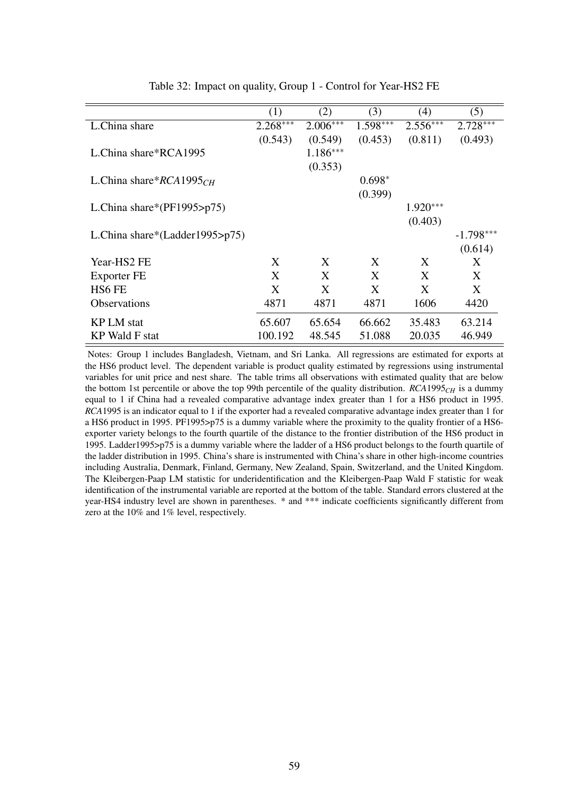|                                | (1)        | (2)        | (3)        | (4)        | (5)         |
|--------------------------------|------------|------------|------------|------------|-------------|
| L.China share                  | $2.268***$ | $2.006***$ | $1.598***$ | $2.556***$ | $2.728***$  |
|                                | (0.543)    | (0.549)    | (0.453)    | (0.811)    | (0.493)     |
| L.China share*RCA1995          |            | $1.186***$ |            |            |             |
|                                |            | (0.353)    |            |            |             |
| L.China share* $RCA1995CH$     |            |            | $0.698*$   |            |             |
|                                |            |            | (0.399)    |            |             |
| L.China share*( $PF1995$ >p75) |            |            |            | $1.920***$ |             |
|                                |            |            |            | (0.403)    |             |
| L.China share*(Ladder1995>p75) |            |            |            |            | $-1.798***$ |
|                                |            |            |            |            | (0.614)     |
| Year-HS2 FE                    | X          | X          | X          | X          | X           |
| Exporter FE                    | X          | X          | X          | X          | X           |
|                                |            |            |            |            |             |
| HS6 FE                         | X          | X          | X          | X          | X           |
| <b>Observations</b>            | 4871       | 4871       | 4871       | 1606       | 4420        |
| KP LM stat                     | 65.607     | 65.654     | 66.662     | 35.483     | 63.214      |
|                                |            |            |            |            |             |
| <b>KP</b> Wald F stat          | 100.192    | 48.545     | 51.088     | 20.035     | 46.949      |

Table 32: Impact on quality, Group 1 - Control for Year-HS2 FE

Notes: Group 1 includes Bangladesh, Vietnam, and Sri Lanka. All regressions are estimated for exports at the HS6 product level. The dependent variable is product quality estimated by regressions using instrumental variables for unit price and nest share. The table trims all observations with estimated quality that are below the bottom 1st percentile or above the top 99th percentile of the quality distribution.  $RCA1995<sub>CH</sub>$  is a dummy equal to 1 if China had a revealed comparative advantage index greater than 1 for a HS6 product in 1995. *RCA*1995 is an indicator equal to 1 if the exporter had a revealed comparative advantage index greater than 1 for a HS6 product in 1995. PF1995>p75 is a dummy variable where the proximity to the quality frontier of a HS6 exporter variety belongs to the fourth quartile of the distance to the frontier distribution of the HS6 product in 1995. Ladder1995>p75 is a dummy variable where the ladder of a HS6 product belongs to the fourth quartile of the ladder distribution in 1995. China's share is instrumented with China's share in other high-income countries including Australia, Denmark, Finland, Germany, New Zealand, Spain, Switzerland, and the United Kingdom. The Kleibergen-Paap LM statistic for underidentification and the Kleibergen-Paap Wald F statistic for weak identification of the instrumental variable are reported at the bottom of the table. Standard errors clustered at the year-HS4 industry level are shown in parentheses. \* and \*\*\* indicate coefficients significantly different from zero at the 10% and 1% level, respectively.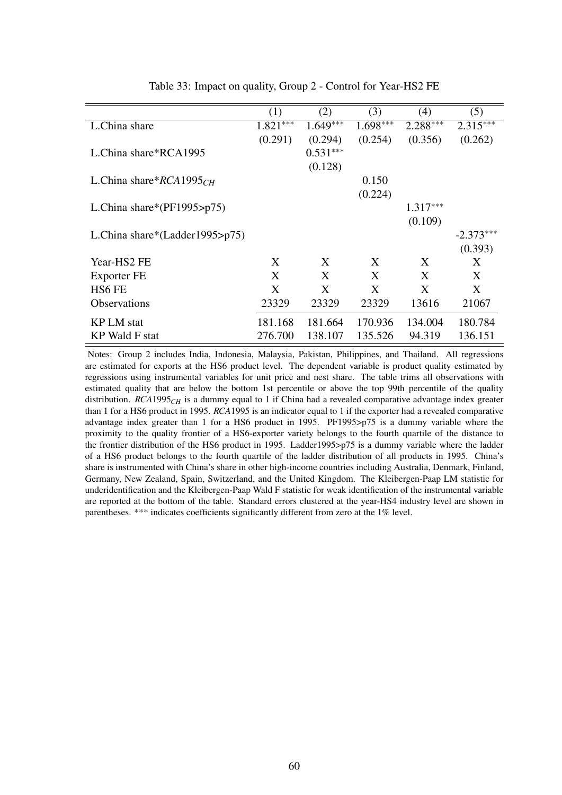|                                    | (1)        | (2)        | (3)        | (4)        | (5)         |
|------------------------------------|------------|------------|------------|------------|-------------|
| L.China share                      | $1.821***$ | $1.649***$ | $1.698***$ | $2.288***$ | $2.315***$  |
|                                    | (0.291)    | (0.294)    | (0.254)    | (0.356)    | (0.262)     |
| L.China share*RCA1995              |            | $0.531***$ |            |            |             |
|                                    |            | (0.128)    |            |            |             |
| L.China share* $RCA1995CH$         |            |            | 0.150      |            |             |
|                                    |            |            | (0.224)    |            |             |
| L.China share*( $PF1995$ >p75)     |            |            |            | $1.317***$ |             |
|                                    |            |            |            | (0.109)    |             |
| L.China share*(Ladder1995> $p75$ ) |            |            |            |            | $-2.373***$ |
|                                    |            |            |            |            | (0.393)     |
| Year-HS2 FE                        | X          | X          | X          | X          | X           |
| Exporter FE                        | X          | X          | X          | X          | X           |
| HS6 FE                             | X          | X          | X          | X          | X           |
| <b>Observations</b>                | 23329      | 23329      | 23329      | 13616      | 21067       |
| <b>KP LM</b> stat                  | 181.168    | 181.664    | 170.936    | 134.004    | 180.784     |
| <b>KP</b> Wald F stat              | 276.700    | 138.107    | 135.526    | 94.319     | 136.151     |

Table 33: Impact on quality, Group 2 - Control for Year-HS2 FE

Notes: Group 2 includes India, Indonesia, Malaysia, Pakistan, Philippines, and Thailand. All regressions are estimated for exports at the HS6 product level. The dependent variable is product quality estimated by regressions using instrumental variables for unit price and nest share. The table trims all observations with estimated quality that are below the bottom 1st percentile or above the top 99th percentile of the quality distribution. *RCA*1995*CH* is a dummy equal to 1 if China had a revealed comparative advantage index greater than 1 for a HS6 product in 1995. *RCA*1995 is an indicator equal to 1 if the exporter had a revealed comparative advantage index greater than 1 for a HS6 product in 1995. PF1995>p75 is a dummy variable where the proximity to the quality frontier of a HS6-exporter variety belongs to the fourth quartile of the distance to the frontier distribution of the HS6 product in 1995. Ladder1995>p75 is a dummy variable where the ladder of a HS6 product belongs to the fourth quartile of the ladder distribution of all products in 1995. China's share is instrumented with China's share in other high-income countries including Australia, Denmark, Finland, Germany, New Zealand, Spain, Switzerland, and the United Kingdom. The Kleibergen-Paap LM statistic for underidentification and the Kleibergen-Paap Wald F statistic for weak identification of the instrumental variable are reported at the bottom of the table. Standard errors clustered at the year-HS4 industry level are shown in parentheses. \*\*\* indicates coefficients significantly different from zero at the 1% level.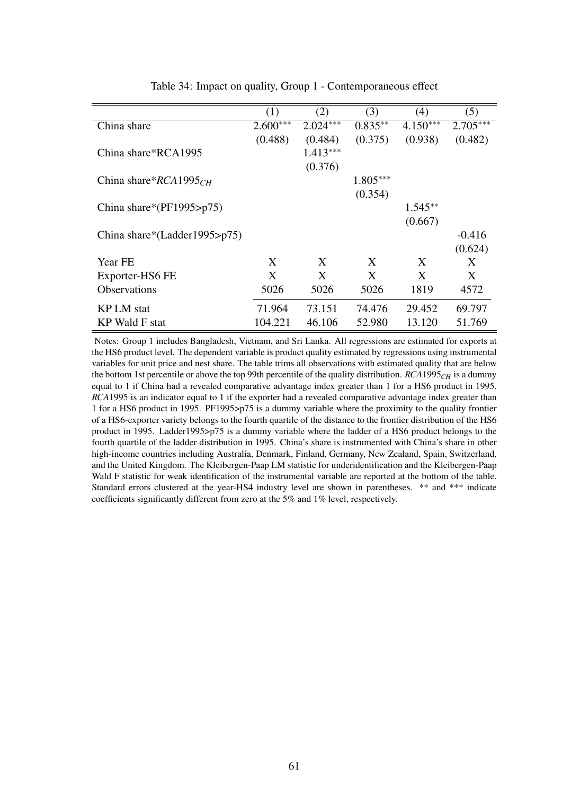|                                  | (1)        | (2)        | (3)        | (4)        | (5)        |
|----------------------------------|------------|------------|------------|------------|------------|
| China share                      | $2.600***$ | $2.024***$ | $0.835***$ | $4.150***$ | $2.705***$ |
|                                  | (0.488)    | (0.484)    | (0.375)    | (0.938)    | (0.482)    |
| China share*RCA1995              |            | $1.413***$ |            |            |            |
|                                  |            | (0.376)    |            |            |            |
| China share* $RCA1995CH$         |            |            | $1.805***$ |            |            |
|                                  |            |            | (0.354)    |            |            |
| China share*( $PF1995$ >p75)     |            |            |            | $1.545**$  |            |
|                                  |            |            |            | (0.667)    |            |
| China share*(Ladder1995> $p75$ ) |            |            |            |            | $-0.416$   |
|                                  |            |            |            |            | (0.624)    |
| Year FE                          | X          | X          | X          | X          | X          |
| Exporter-HS6 FE                  | X          | X          | X          | X          | X          |
| <b>Observations</b>              | 5026       | 5026       | 5026       | 1819       | 4572       |
|                                  |            |            |            |            |            |
| <b>KP LM</b> stat                | 71.964     | 73.151     | 74.476     | 29.452     | 69.797     |
| KP Wald F stat                   | 104.221    | 46.106     | 52.980     | 13.120     | 51.769     |

Table 34: Impact on quality, Group 1 - Contemporaneous effect

Notes: Group 1 includes Bangladesh, Vietnam, and Sri Lanka. All regressions are estimated for exports at the HS6 product level. The dependent variable is product quality estimated by regressions using instrumental variables for unit price and nest share. The table trims all observations with estimated quality that are below the bottom 1st percentile or above the top 99th percentile of the quality distribution. *RCA*1995*CH* is a dummy equal to 1 if China had a revealed comparative advantage index greater than 1 for a HS6 product in 1995. *RCA*1995 is an indicator equal to 1 if the exporter had a revealed comparative advantage index greater than 1 for a HS6 product in 1995. PF1995>p75 is a dummy variable where the proximity to the quality frontier of a HS6-exporter variety belongs to the fourth quartile of the distance to the frontier distribution of the HS6 product in 1995. Ladder1995>p75 is a dummy variable where the ladder of a HS6 product belongs to the fourth quartile of the ladder distribution in 1995. China's share is instrumented with China's share in other high-income countries including Australia, Denmark, Finland, Germany, New Zealand, Spain, Switzerland, and the United Kingdom. The Kleibergen-Paap LM statistic for underidentification and the Kleibergen-Paap Wald F statistic for weak identification of the instrumental variable are reported at the bottom of the table. Standard errors clustered at the year-HS4 industry level are shown in parentheses. \*\* and \*\*\* indicate coefficients significantly different from zero at the 5% and 1% level, respectively.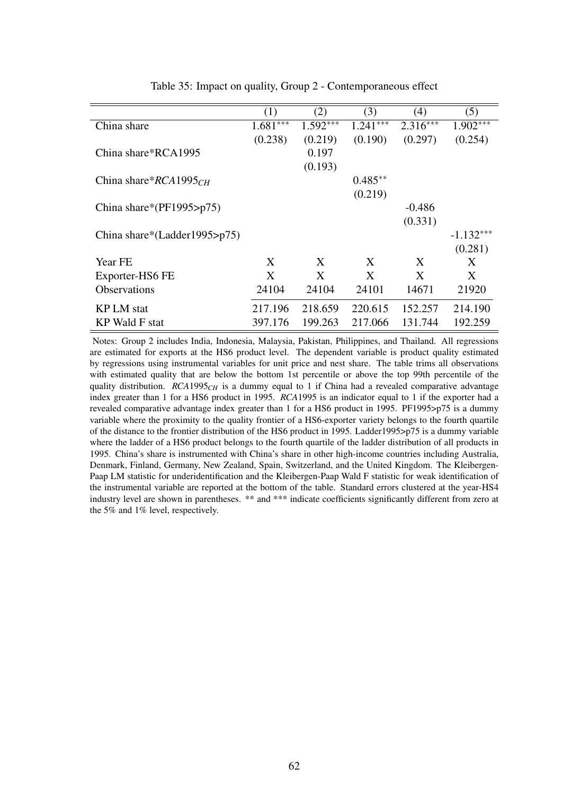|                              | (1)        | (2)        | (3)        | (4)        | (5)         |
|------------------------------|------------|------------|------------|------------|-------------|
| China share                  | $1.681***$ | $1.592***$ | $1.241***$ | $2.316***$ | $1.902***$  |
|                              | (0.238)    | (0.219)    | (0.190)    | (0.297)    | (0.254)     |
| China share*RCA1995          |            | 0.197      |            |            |             |
|                              |            | (0.193)    |            |            |             |
| China share* $RCA1995CH$     |            |            | $0.485**$  |            |             |
|                              |            |            | (0.219)    |            |             |
| China share*(PF1995>p75)     |            |            |            | $-0.486$   |             |
|                              |            |            |            | (0.331)    |             |
| China share*(Ladder1995>p75) |            |            |            |            | $-1.132***$ |
|                              |            |            |            |            | (0.281)     |
| Year FE                      | X          | X          | X          | X          | X           |
| Exporter-HS6 FE              | X          | X          | X          | X          | X           |
| <b>Observations</b>          | 24104      | 24104      | 24101      | 14671      | 21920       |
| <b>KP LM</b> stat            | 217.196    | 218.659    | 220.615    | 152.257    | 214.190     |
|                              |            |            |            |            |             |
| KP Wald F stat               | 397.176    | 199.263    | 217.066    | 131.744    | 192.259     |

Table 35: Impact on quality, Group 2 - Contemporaneous effect

Notes: Group 2 includes India, Indonesia, Malaysia, Pakistan, Philippines, and Thailand. All regressions are estimated for exports at the HS6 product level. The dependent variable is product quality estimated by regressions using instrumental variables for unit price and nest share. The table trims all observations with estimated quality that are below the bottom 1st percentile or above the top 99th percentile of the quality distribution. *RCA*1995<sub>*CH*</sub> is a dummy equal to 1 if China had a revealed comparative advantage index greater than 1 for a HS6 product in 1995. *RCA*1995 is an indicator equal to 1 if the exporter had a revealed comparative advantage index greater than 1 for a HS6 product in 1995. PF1995>p75 is a dummy variable where the proximity to the quality frontier of a HS6-exporter variety belongs to the fourth quartile of the distance to the frontier distribution of the HS6 product in 1995. Ladder1995>p75 is a dummy variable where the ladder of a HS6 product belongs to the fourth quartile of the ladder distribution of all products in 1995. China's share is instrumented with China's share in other high-income countries including Australia, Denmark, Finland, Germany, New Zealand, Spain, Switzerland, and the United Kingdom. The Kleibergen-Paap LM statistic for underidentification and the Kleibergen-Paap Wald F statistic for weak identification of the instrumental variable are reported at the bottom of the table. Standard errors clustered at the year-HS4 industry level are shown in parentheses. \*\* and \*\*\* indicate coefficients significantly different from zero at the 5% and 1% level, respectively.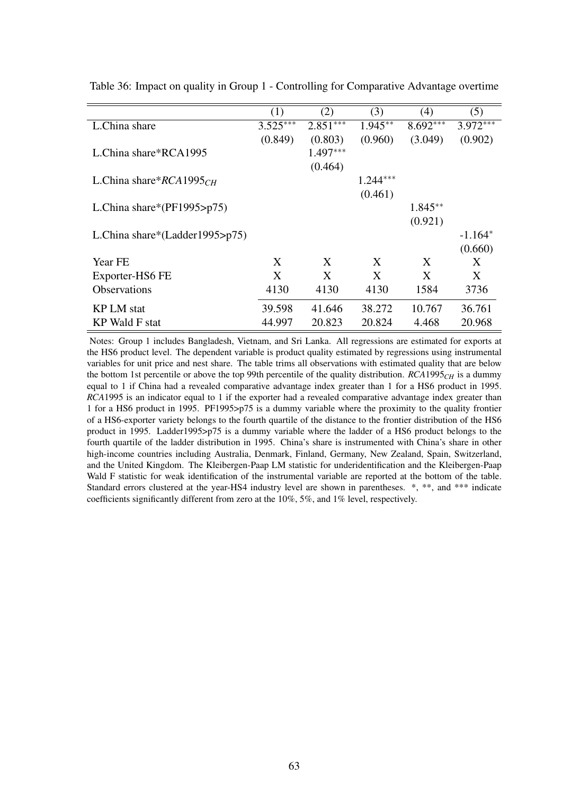|                                | (1)        | (2)        | (3)        | (4)        | (5)        |
|--------------------------------|------------|------------|------------|------------|------------|
| L.China share                  | $3.525***$ | $2.851***$ | $1.945***$ | $8.692***$ | $3.972***$ |
|                                | (0.849)    | (0.803)    | (0.960)    | (3.049)    | (0.902)    |
| L.China share*RCA1995          |            | $1.497***$ |            |            |            |
|                                |            | (0.464)    |            |            |            |
| L.China share* $RCA1995CH$     |            |            | $1.244***$ |            |            |
|                                |            |            | (0.461)    |            |            |
| L.China share*( $PF1995$ >p75) |            |            |            | $1.845**$  |            |
|                                |            |            |            | (0.921)    |            |
| L.China share*(Ladder1995>p75) |            |            |            |            | $-1.164*$  |
|                                |            |            |            |            | (0.660)    |
| Year FE                        | X          | X          | X          | X          | X          |
| Exporter-HS6 FE                | X          | X          | X          | X          | X          |
| <b>Observations</b>            | 4130       | 4130       | 4130       | 1584       | 3736       |
|                                |            |            |            |            |            |
| <b>KP LM</b> stat              | 39.598     | 41.646     | 38.272     | 10.767     | 36.761     |
| KP Wald F stat                 | 44.997     | 20.823     | 20.824     | 4.468      | 20.968     |

Table 36: Impact on quality in Group 1 - Controlling for Comparative Advantage overtime

Notes: Group 1 includes Bangladesh, Vietnam, and Sri Lanka. All regressions are estimated for exports at the HS6 product level. The dependent variable is product quality estimated by regressions using instrumental variables for unit price and nest share. The table trims all observations with estimated quality that are below the bottom 1st percentile or above the top 99th percentile of the quality distribution.  $RCA1995<sub>CH</sub>$  is a dummy equal to 1 if China had a revealed comparative advantage index greater than 1 for a HS6 product in 1995. *RCA*1995 is an indicator equal to 1 if the exporter had a revealed comparative advantage index greater than 1 for a HS6 product in 1995. PF1995>p75 is a dummy variable where the proximity to the quality frontier of a HS6-exporter variety belongs to the fourth quartile of the distance to the frontier distribution of the HS6 product in 1995. Ladder1995>p75 is a dummy variable where the ladder of a HS6 product belongs to the fourth quartile of the ladder distribution in 1995. China's share is instrumented with China's share in other high-income countries including Australia, Denmark, Finland, Germany, New Zealand, Spain, Switzerland, and the United Kingdom. The Kleibergen-Paap LM statistic for underidentification and the Kleibergen-Paap Wald F statistic for weak identification of the instrumental variable are reported at the bottom of the table. Standard errors clustered at the year-HS4 industry level are shown in parentheses. \*, \*\*, and \*\*\* indicate coefficients significantly different from zero at the 10%, 5%, and 1% level, respectively.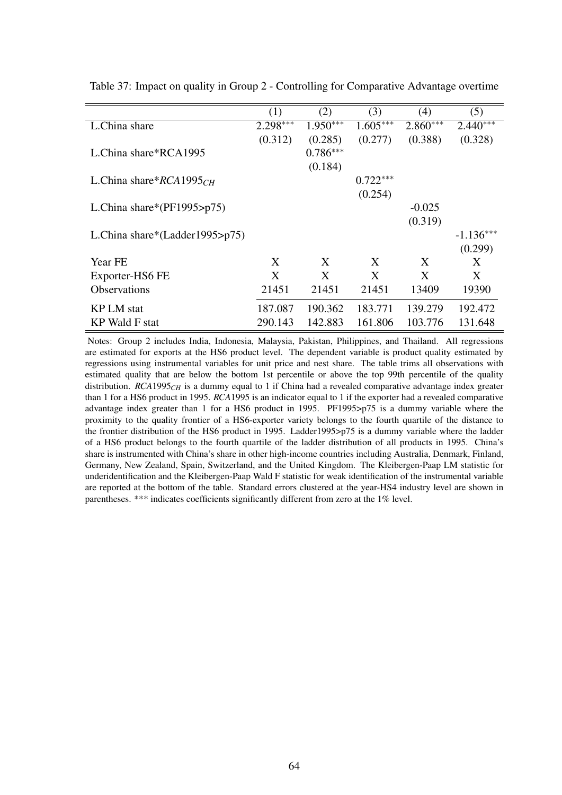|                                    | (1)        | (2)        | (3)        | (4)        | (5)         |
|------------------------------------|------------|------------|------------|------------|-------------|
| L.China share                      | $2.298***$ | $1.950***$ | $1.605***$ | $2.860***$ | $2.440***$  |
|                                    | (0.312)    | (0.285)    | (0.277)    | (0.388)    | (0.328)     |
| L.China share*RCA1995              |            | $0.786***$ |            |            |             |
|                                    |            | (0.184)    |            |            |             |
| L.China share* $RCA1995CH$         |            |            | $0.722***$ |            |             |
|                                    |            |            | (0.254)    |            |             |
| L.China share*( $PF1995$ >p75)     |            |            |            | $-0.025$   |             |
|                                    |            |            |            | (0.319)    |             |
| L.China share*(Ladder1995> $p75$ ) |            |            |            |            | $-1.136***$ |
|                                    |            |            |            |            | (0.299)     |
| Year FE                            | X          | X          | X          | X          | X           |
| Exporter-HS6 FE                    | X          | X          | X          | X          | X           |
| <b>Observations</b>                | 21451      | 21451      | 21451      | 13409      | 19390       |
| <b>KP LM</b> stat                  | 187.087    | 190.362    | 183.771    | 139.279    | 192.472     |
|                                    |            |            |            |            |             |
| KP Wald F stat                     | 290.143    | 142.883    | 161.806    | 103.776    | 131.648     |

Table 37: Impact on quality in Group 2 - Controlling for Comparative Advantage overtime

Notes: Group 2 includes India, Indonesia, Malaysia, Pakistan, Philippines, and Thailand. All regressions are estimated for exports at the HS6 product level. The dependent variable is product quality estimated by regressions using instrumental variables for unit price and nest share. The table trims all observations with estimated quality that are below the bottom 1st percentile or above the top 99th percentile of the quality distribution. *RCA*1995<sub>*CH*</sub> is a dummy equal to 1 if China had a revealed comparative advantage index greater than 1 for a HS6 product in 1995. *RCA*1995 is an indicator equal to 1 if the exporter had a revealed comparative advantage index greater than 1 for a HS6 product in 1995. PF1995>p75 is a dummy variable where the proximity to the quality frontier of a HS6-exporter variety belongs to the fourth quartile of the distance to the frontier distribution of the HS6 product in 1995. Ladder1995>p75 is a dummy variable where the ladder of a HS6 product belongs to the fourth quartile of the ladder distribution of all products in 1995. China's share is instrumented with China's share in other high-income countries including Australia, Denmark, Finland, Germany, New Zealand, Spain, Switzerland, and the United Kingdom. The Kleibergen-Paap LM statistic for underidentification and the Kleibergen-Paap Wald F statistic for weak identification of the instrumental variable are reported at the bottom of the table. Standard errors clustered at the year-HS4 industry level are shown in parentheses. \*\*\* indicates coefficients significantly different from zero at the 1% level.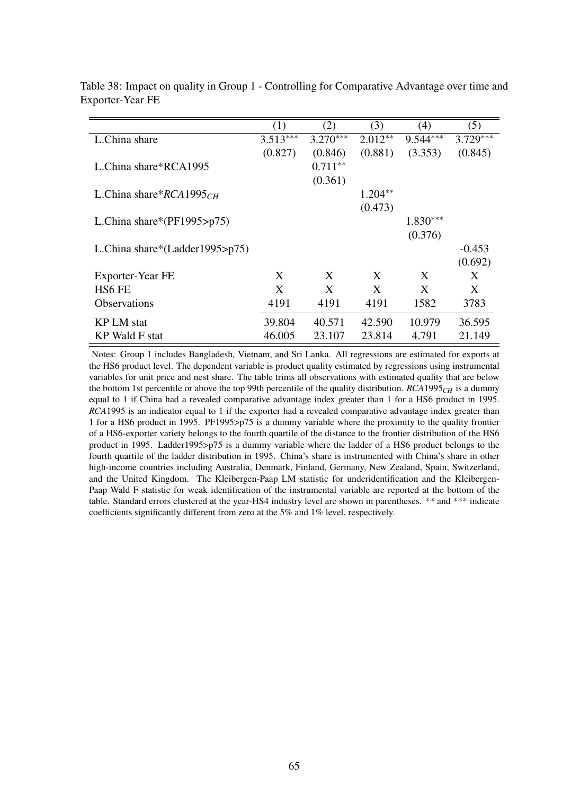| (1)        | (2)        | (3)        | (4)        | (5)        |
|------------|------------|------------|------------|------------|
| $3.513***$ | $3.270***$ | $2.012**$  | $9.544***$ | $3.729***$ |
| (0.827)    | (0.846)    | (0.881)    | (3.353)    | (0.845)    |
|            | $0.711**$  |            |            |            |
|            | (0.361)    |            |            |            |
|            |            | $1.204***$ |            |            |
|            |            | (0.473)    |            |            |
|            |            |            | $1.830***$ |            |
|            |            |            | (0.376)    |            |
|            |            |            |            | $-0.453$   |
|            |            |            |            | (0.692)    |
| X          | X          | X          | X          | X          |
| X          | X          | X          | X          | X          |
| 4191       | 4191       | 4191       | 1582       | 3783       |
| 39.804     | 40.571     | 42.590     | 10.979     | 36.595     |
| 46.005     | 23.107     | 23.814     | 4.791      | 21.149     |
|            |            |            |            |            |

Table 38: Impact on quality in Group 1 - Controlling for Comparative Advantage over time and Exporter-Year FE

Notes: Group 1 includes Bangladesh, Vietnam, and Sri Lanka. All regressions are estimated for exports at the HS6 product level. The dependent variable is product quality estimated by regressions using instrumental variables for unit price and nest share. The table trims all observations with estimated quality that are below the bottom 1st percentile or above the top 99th percentile of the quality distribution. *RCA*1995*CH* is a dummy equal to 1 if China had a revealed comparative advantage index greater than 1 for a HS6 product in 1995. *RCA*1995 is an indicator equal to 1 if the exporter had a revealed comparative advantage index greater than 1 for a HS6 product in 1995. PF1995>p75 is a dummy variable where the proximity to the quality frontier of a HS6-exporter variety belongs to the fourth quartile of the distance to the frontier distribution of the HS6 product in 1995. Ladder1995>p75 is a dummy variable where the ladder of a HS6 product belongs to the fourth quartile of the ladder distribution in 1995. China's share is instrumented with China's share in other high-income countries including Australia, Denmark, Finland, Germany, New Zealand, Spain, Switzerland, and the United Kingdom. The Kleibergen-Paap LM statistic for underidentification and the Kleibergen-Paap Wald F statistic for weak identification of the instrumental variable are reported at the bottom of the table. Standard errors clustered at the year-HS4 industry level are shown in parentheses. \*\* and \*\*\* indicate coefficients significantly different from zero at the 5% and 1% level, respectively.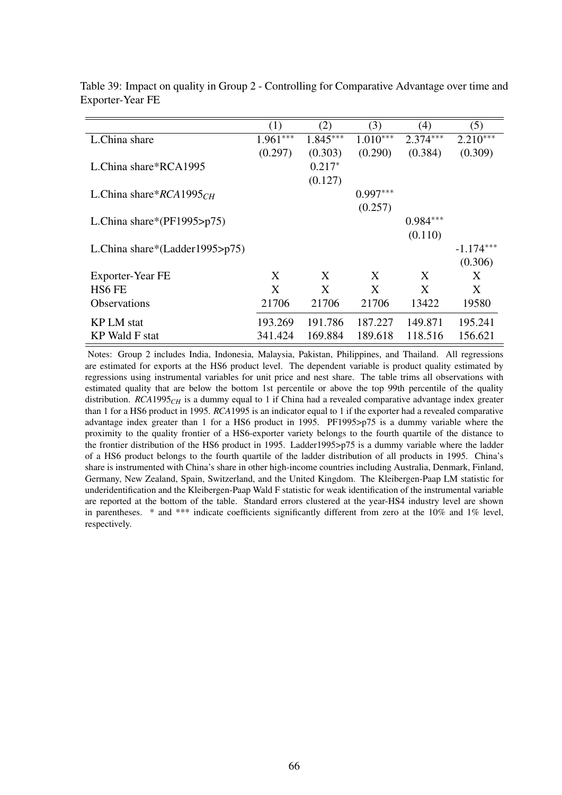|                                    | (1)        | (2)        | (3)        | (4)        | (5)         |
|------------------------------------|------------|------------|------------|------------|-------------|
| L.China share                      | $1.961***$ | $1.845***$ | $1.010***$ | $2.374***$ | $2.210***$  |
|                                    | (0.297)    | (0.303)    | (0.290)    | (0.384)    | (0.309)     |
| L.China share*RCA1995              |            | $0.217*$   |            |            |             |
|                                    |            | (0.127)    |            |            |             |
| L.China share* $RCA1995CH$         |            |            | $0.997***$ |            |             |
|                                    |            |            | (0.257)    |            |             |
| L.China share*( $PF1995$ >p75)     |            |            |            | $0.984***$ |             |
|                                    |            |            |            | (0.110)    |             |
| L.China share*(Ladder1995> $p75$ ) |            |            |            |            | $-1.174***$ |
|                                    |            |            |            |            | (0.306)     |
| Exporter-Year FE                   | X          | X          | X          | X          | X           |
| HS <sub>6</sub> FE                 | X          | X          | X          | X          | X           |
| <b>Observations</b>                | 21706      | 21706      | 21706      | 13422      | 19580       |
| <b>KP LM</b> stat                  | 193.269    | 191.786    | 187.227    | 149.871    | 195.241     |
| KP Wald F stat                     | 341.424    | 169.884    | 189.618    | 118.516    | 156.621     |

Table 39: Impact on quality in Group 2 - Controlling for Comparative Advantage over time and Exporter-Year FE

Notes: Group 2 includes India, Indonesia, Malaysia, Pakistan, Philippines, and Thailand. All regressions are estimated for exports at the HS6 product level. The dependent variable is product quality estimated by regressions using instrumental variables for unit price and nest share. The table trims all observations with estimated quality that are below the bottom 1st percentile or above the top 99th percentile of the quality distribution. *RCA*1995*CH* is a dummy equal to 1 if China had a revealed comparative advantage index greater than 1 for a HS6 product in 1995. *RCA*1995 is an indicator equal to 1 if the exporter had a revealed comparative advantage index greater than 1 for a HS6 product in 1995. PF1995>p75 is a dummy variable where the proximity to the quality frontier of a HS6-exporter variety belongs to the fourth quartile of the distance to the frontier distribution of the HS6 product in 1995. Ladder1995>p75 is a dummy variable where the ladder of a HS6 product belongs to the fourth quartile of the ladder distribution of all products in 1995. China's share is instrumented with China's share in other high-income countries including Australia, Denmark, Finland, Germany, New Zealand, Spain, Switzerland, and the United Kingdom. The Kleibergen-Paap LM statistic for underidentification and the Kleibergen-Paap Wald F statistic for weak identification of the instrumental variable are reported at the bottom of the table. Standard errors clustered at the year-HS4 industry level are shown in parentheses. \* and \*\*\* indicate coefficients significantly different from zero at the 10% and 1% level, respectively.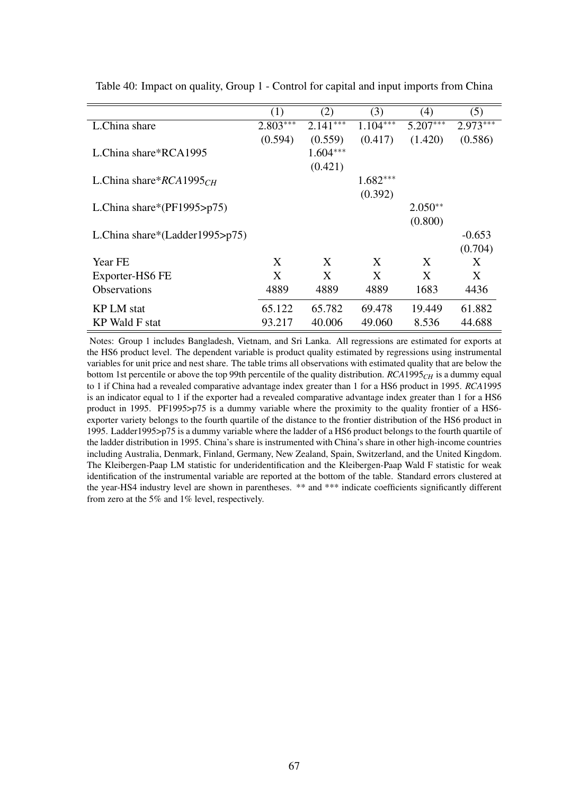|                                    | (1)        | (2)        | (3)        | (4)        | (5)        |
|------------------------------------|------------|------------|------------|------------|------------|
| L.China share                      | $2.803***$ | $2.141***$ | $1.104***$ | $5.207***$ | $2.973***$ |
|                                    | (0.594)    | (0.559)    | (0.417)    | (1.420)    | (0.586)    |
| L.China share*RCA1995              |            | $1.604***$ |            |            |            |
|                                    |            | (0.421)    |            |            |            |
| L.China share* $RCA1995CH$         |            |            | $1.682***$ |            |            |
|                                    |            |            | (0.392)    |            |            |
| L.China share*( $PF1995$ >p75)     |            |            |            | $2.050**$  |            |
|                                    |            |            |            | (0.800)    |            |
| L.China share*(Ladder1995> $p75$ ) |            |            |            |            | $-0.653$   |
|                                    |            |            |            |            | (0.704)    |
| Year FE                            | X          | X          | X          | X          | X          |
| Exporter-HS6 FE                    | X          | X          | X          | X          | X          |
| <b>Observations</b>                | 4889       | 4889       | 4889       | 1683       | 4436       |
|                                    |            |            |            |            |            |
| <b>KP LM</b> stat                  | 65.122     | 65.782     | 69.478     | 19.449     | 61.882     |
| KP Wald F stat                     | 93.217     | 40.006     | 49.060     | 8.536      | 44.688     |

Table 40: Impact on quality, Group 1 - Control for capital and input imports from China

Notes: Group 1 includes Bangladesh, Vietnam, and Sri Lanka. All regressions are estimated for exports at the HS6 product level. The dependent variable is product quality estimated by regressions using instrumental variables for unit price and nest share. The table trims all observations with estimated quality that are below the bottom 1st percentile or above the top 99th percentile of the quality distribution. *RCA*1995*CH* is a dummy equal to 1 if China had a revealed comparative advantage index greater than 1 for a HS6 product in 1995. *RCA*1995 is an indicator equal to 1 if the exporter had a revealed comparative advantage index greater than 1 for a HS6 product in 1995. PF1995>p75 is a dummy variable where the proximity to the quality frontier of a HS6 exporter variety belongs to the fourth quartile of the distance to the frontier distribution of the HS6 product in 1995. Ladder1995>p75 is a dummy variable where the ladder of a HS6 product belongs to the fourth quartile of the ladder distribution in 1995. China's share is instrumented with China's share in other high-income countries including Australia, Denmark, Finland, Germany, New Zealand, Spain, Switzerland, and the United Kingdom. The Kleibergen-Paap LM statistic for underidentification and the Kleibergen-Paap Wald F statistic for weak identification of the instrumental variable are reported at the bottom of the table. Standard errors clustered at the year-HS4 industry level are shown in parentheses. \*\* and \*\*\* indicate coefficients significantly different from zero at the 5% and 1% level, respectively.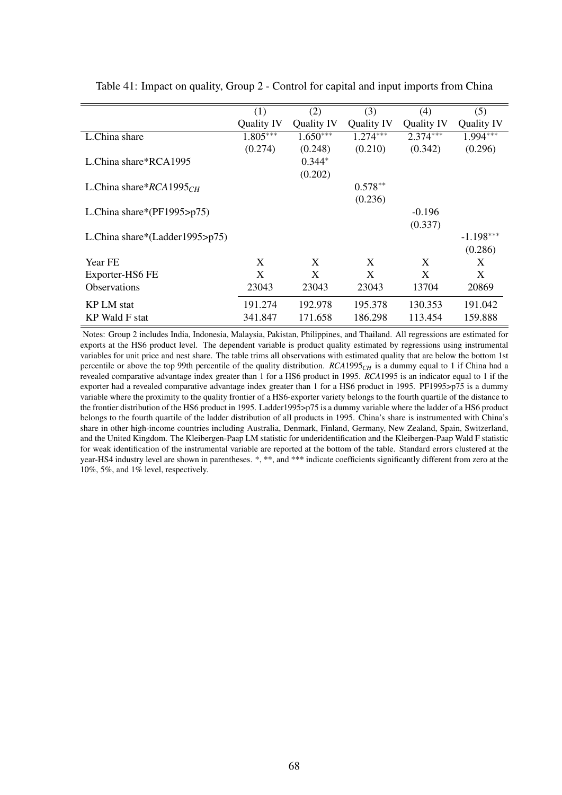|                                | (1)        | (2)        | (3)        | (4)        | (5)         |
|--------------------------------|------------|------------|------------|------------|-------------|
|                                | Quality IV | Quality IV | Quality IV | Quality IV | Quality IV  |
| L.China share                  | $1.805***$ | $1.650***$ | $1.274***$ | $2.374***$ | $1.994***$  |
|                                | (0.274)    | (0.248)    | (0.210)    | (0.342)    | (0.296)     |
| L.China share*RCA1995          |            | $0.344*$   |            |            |             |
|                                |            | (0.202)    |            |            |             |
| L.China share* $RCA1995CH$     |            |            | $0.578**$  |            |             |
|                                |            |            | (0.236)    |            |             |
| L.China share*(PF1995>p75)     |            |            |            | $-0.196$   |             |
|                                |            |            |            | (0.337)    |             |
| L.China share*(Ladder1995>p75) |            |            |            |            | $-1.198***$ |
|                                |            |            |            |            | (0.286)     |
| Year FE                        | X          | X          | X          | X          | X           |
| Exporter-HS6 FE                | X          | X          | X          | X          | X           |
| <b>Observations</b>            | 23043      | 23043      | 23043      | 13704      | 20869       |
| <b>KP LM</b> stat              | 191.274    | 192.978    | 195.378    | 130.353    | 191.042     |
| <b>KP</b> Wald F stat          | 341.847    | 171.658    | 186.298    | 113.454    | 159.888     |

Table 41: Impact on quality, Group 2 - Control for capital and input imports from China

Notes: Group 2 includes India, Indonesia, Malaysia, Pakistan, Philippines, and Thailand. All regressions are estimated for exports at the HS6 product level. The dependent variable is product quality estimated by regressions using instrumental variables for unit price and nest share. The table trims all observations with estimated quality that are below the bottom 1st percentile or above the top 99th percentile of the quality distribution. *RCA*1995*CH* is a dummy equal to 1 if China had a revealed comparative advantage index greater than 1 for a HS6 product in 1995. *RCA*1995 is an indicator equal to 1 if the exporter had a revealed comparative advantage index greater than 1 for a HS6 product in 1995. PF1995>p75 is a dummy variable where the proximity to the quality frontier of a HS6-exporter variety belongs to the fourth quartile of the distance to the frontier distribution of the HS6 product in 1995. Ladder1995>p75 is a dummy variable where the ladder of a HS6 product belongs to the fourth quartile of the ladder distribution of all products in 1995. China's share is instrumented with China's share in other high-income countries including Australia, Denmark, Finland, Germany, New Zealand, Spain, Switzerland, and the United Kingdom. The Kleibergen-Paap LM statistic for underidentification and the Kleibergen-Paap Wald F statistic for weak identification of the instrumental variable are reported at the bottom of the table. Standard errors clustered at the year-HS4 industry level are shown in parentheses. \*, \*\*, and \*\*\* indicate coefficients significantly different from zero at the 10%, 5%, and 1% level, respectively.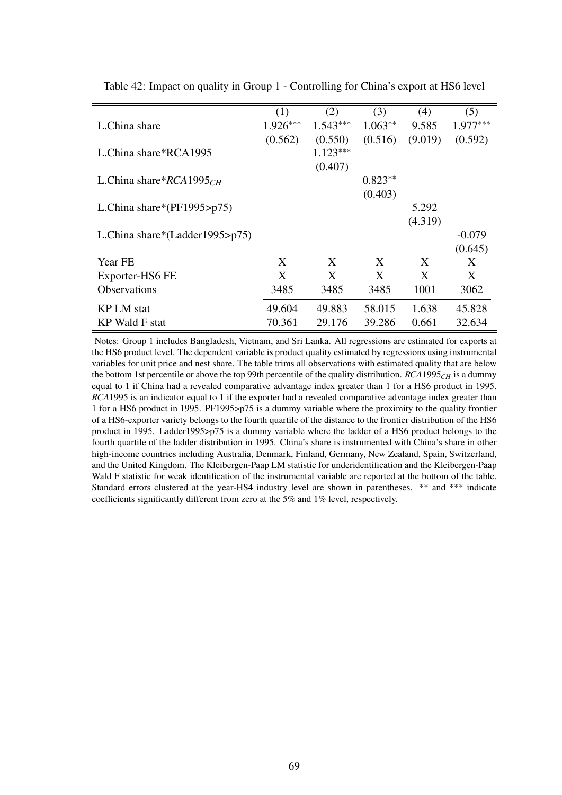|                                | (1)        | (2)        | (3)       | (4)     | (5)        |
|--------------------------------|------------|------------|-----------|---------|------------|
| L.China share                  | $1.926***$ | $1.543***$ | $1.063**$ | 9.585   | $1.977***$ |
|                                | (0.562)    | (0.550)    | (0.516)   | (9.019) | (0.592)    |
| L.China share*RCA1995          |            | $1.123***$ |           |         |            |
|                                |            | (0.407)    |           |         |            |
| L.China share* $RCA1995CH$     |            |            | $0.823**$ |         |            |
|                                |            |            | (0.403)   |         |            |
| L.China share*( $PF1995$ >p75) |            |            |           | 5.292   |            |
|                                |            |            |           | (4.319) |            |
| L.China share*(Ladder1995>p75) |            |            |           |         | $-0.079$   |
|                                |            |            |           |         | (0.645)    |
| Year FE                        | X          | X          | X         | X       | X          |
| Exporter-HS6 FE                | X          | X          | X         | X       | X          |
| <b>Observations</b>            | 3485       | 3485       | 3485      | 1001    | 3062       |
| <b>KP LM</b> stat              | 49.604     | 49.883     | 58.015    | 1.638   | 45.828     |
| KP Wald F stat                 | 70.361     | 29.176     | 39.286    | 0.661   | 32.634     |

Table 42: Impact on quality in Group 1 - Controlling for China's export at HS6 level

Notes: Group 1 includes Bangladesh, Vietnam, and Sri Lanka. All regressions are estimated for exports at the HS6 product level. The dependent variable is product quality estimated by regressions using instrumental variables for unit price and nest share. The table trims all observations with estimated quality that are below the bottom 1st percentile or above the top 99th percentile of the quality distribution. *RCA*1995*CH* is a dummy equal to 1 if China had a revealed comparative advantage index greater than 1 for a HS6 product in 1995. *RCA*1995 is an indicator equal to 1 if the exporter had a revealed comparative advantage index greater than 1 for a HS6 product in 1995. PF1995>p75 is a dummy variable where the proximity to the quality frontier of a HS6-exporter variety belongs to the fourth quartile of the distance to the frontier distribution of the HS6 product in 1995. Ladder1995>p75 is a dummy variable where the ladder of a HS6 product belongs to the fourth quartile of the ladder distribution in 1995. China's share is instrumented with China's share in other high-income countries including Australia, Denmark, Finland, Germany, New Zealand, Spain, Switzerland, and the United Kingdom. The Kleibergen-Paap LM statistic for underidentification and the Kleibergen-Paap Wald F statistic for weak identification of the instrumental variable are reported at the bottom of the table. Standard errors clustered at the year-HS4 industry level are shown in parentheses. \*\* and \*\*\* indicate coefficients significantly different from zero at the 5% and 1% level, respectively.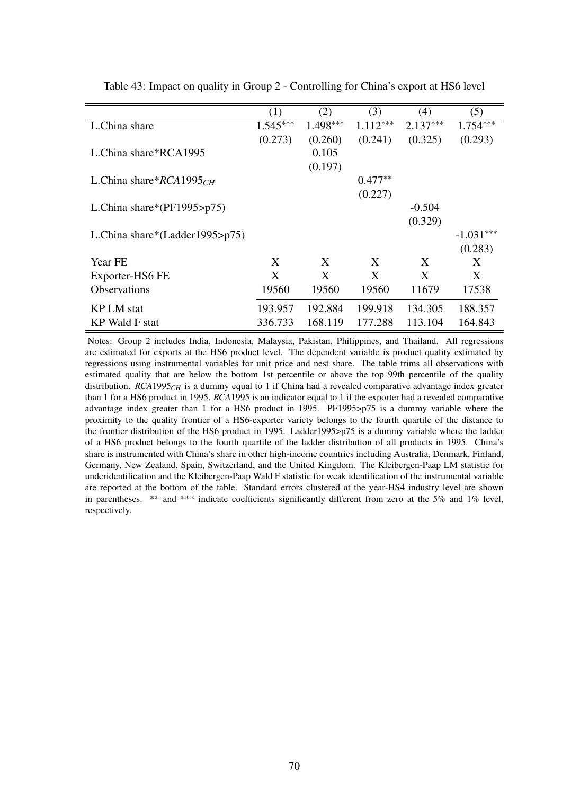|                                    | (1)        | (2)        | (3)        | (4)        | (5)         |
|------------------------------------|------------|------------|------------|------------|-------------|
| L.China share                      | $1.545***$ | $1.498***$ | $1.112***$ | $2.137***$ | $1.754***$  |
|                                    | (0.273)    | (0.260)    | (0.241)    | (0.325)    | (0.293)     |
| L.China share*RCA1995              |            | 0.105      |            |            |             |
|                                    |            | (0.197)    |            |            |             |
| L.China share* $RCA1995CH$         |            |            | $0.477**$  |            |             |
|                                    |            |            | (0.227)    |            |             |
| L.China share*( $PF1995$ >p75)     |            |            |            | $-0.504$   |             |
|                                    |            |            |            | (0.329)    |             |
| L.China share*(Ladder1995> $p75$ ) |            |            |            |            | $-1.031***$ |
|                                    |            |            |            |            | (0.283)     |
| Year FE                            | X          | X          | X          | X          | X           |
| Exporter-HS6 FE                    | X          | X          | X          | X          | X           |
| <b>Observations</b>                | 19560      | 19560      | 19560      | 11679      | 17538       |
| <b>KP LM</b> stat                  | 193.957    | 192.884    | 199.918    | 134.305    | 188.357     |
|                                    |            |            |            |            |             |
| KP Wald F stat                     | 336.733    | 168.119    | 177.288    | 113.104    | 164.843     |

Table 43: Impact on quality in Group 2 - Controlling for China's export at HS6 level

Notes: Group 2 includes India, Indonesia, Malaysia, Pakistan, Philippines, and Thailand. All regressions are estimated for exports at the HS6 product level. The dependent variable is product quality estimated by regressions using instrumental variables for unit price and nest share. The table trims all observations with estimated quality that are below the bottom 1st percentile or above the top 99th percentile of the quality distribution. *RCA*1995<sub>*CH*</sub> is a dummy equal to 1 if China had a revealed comparative advantage index greater than 1 for a HS6 product in 1995. *RCA*1995 is an indicator equal to 1 if the exporter had a revealed comparative advantage index greater than 1 for a HS6 product in 1995. PF1995>p75 is a dummy variable where the proximity to the quality frontier of a HS6-exporter variety belongs to the fourth quartile of the distance to the frontier distribution of the HS6 product in 1995. Ladder1995>p75 is a dummy variable where the ladder of a HS6 product belongs to the fourth quartile of the ladder distribution of all products in 1995. China's share is instrumented with China's share in other high-income countries including Australia, Denmark, Finland, Germany, New Zealand, Spain, Switzerland, and the United Kingdom. The Kleibergen-Paap LM statistic for underidentification and the Kleibergen-Paap Wald F statistic for weak identification of the instrumental variable are reported at the bottom of the table. Standard errors clustered at the year-HS4 industry level are shown in parentheses. \*\* and \*\*\* indicate coefficients significantly different from zero at the 5% and 1% level, respectively.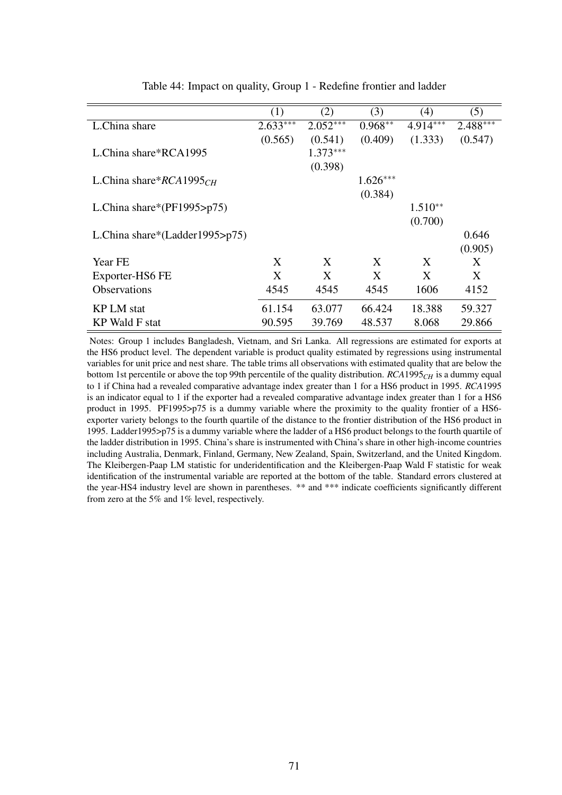|                                | (1)        | (2)        | (3)        | (4)        | (5)        |
|--------------------------------|------------|------------|------------|------------|------------|
| L.China share                  | $2.633***$ | $2.052***$ | $0.968**$  | $4.914***$ | $2.488***$ |
|                                | (0.565)    | (0.541)    | (0.409)    | (1.333)    | (0.547)    |
| L.China share*RCA1995          |            | $1.373***$ |            |            |            |
|                                |            | (0.398)    |            |            |            |
| L.China share* $RCA1995CH$     |            |            | $1.626***$ |            |            |
|                                |            |            | (0.384)    |            |            |
| L.China share*( $PF1995$ >p75) |            |            |            | $1.510**$  |            |
|                                |            |            |            | (0.700)    |            |
| L.China share*(Ladder1995>p75) |            |            |            |            | 0.646      |
|                                |            |            |            |            | (0.905)    |
| Year FE                        | X          | X          | X          | X          | X          |
| Exporter-HS6 FE                | X          | X          | X          | X          | X          |
| <b>Observations</b>            | 4545       | 4545       | 4545       | 1606       | 4152       |
|                                |            |            |            |            |            |
| <b>KPLM</b> stat               | 61.154     | 63.077     | 66.424     | 18.388     | 59.327     |
| <b>KP</b> Wald F stat          | 90.595     | 39.769     | 48.537     | 8.068      | 29.866     |

Table 44: Impact on quality, Group 1 - Redefine frontier and ladder

Notes: Group 1 includes Bangladesh, Vietnam, and Sri Lanka. All regressions are estimated for exports at the HS6 product level. The dependent variable is product quality estimated by regressions using instrumental variables for unit price and nest share. The table trims all observations with estimated quality that are below the bottom 1st percentile or above the top 99th percentile of the quality distribution. *RCA*1995*CH* is a dummy equal to 1 if China had a revealed comparative advantage index greater than 1 for a HS6 product in 1995. *RCA*1995 is an indicator equal to 1 if the exporter had a revealed comparative advantage index greater than 1 for a HS6 product in 1995. PF1995>p75 is a dummy variable where the proximity to the quality frontier of a HS6 exporter variety belongs to the fourth quartile of the distance to the frontier distribution of the HS6 product in 1995. Ladder1995>p75 is a dummy variable where the ladder of a HS6 product belongs to the fourth quartile of the ladder distribution in 1995. China's share is instrumented with China's share in other high-income countries including Australia, Denmark, Finland, Germany, New Zealand, Spain, Switzerland, and the United Kingdom. The Kleibergen-Paap LM statistic for underidentification and the Kleibergen-Paap Wald F statistic for weak identification of the instrumental variable are reported at the bottom of the table. Standard errors clustered at the year-HS4 industry level are shown in parentheses. \*\* and \*\*\* indicate coefficients significantly different from zero at the 5% and 1% level, respectively.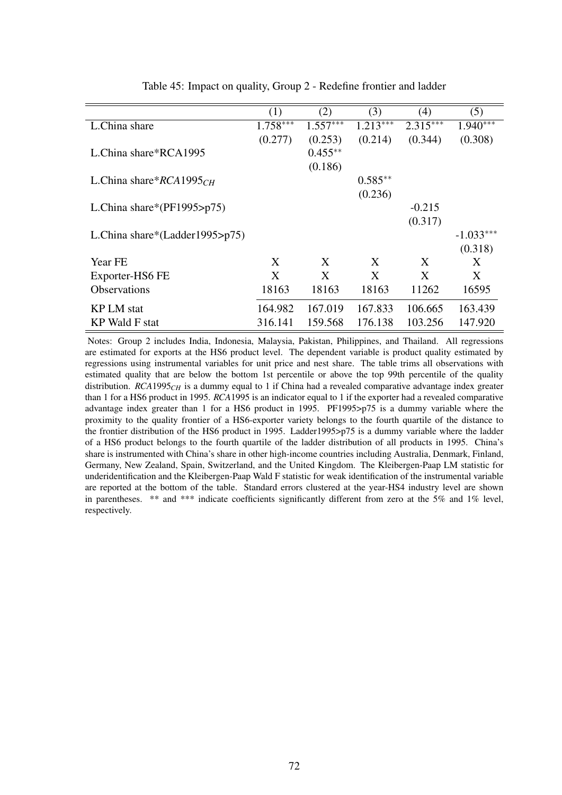|                                    | (1)        | (2)        | (3)        | (4)        | (5)         |
|------------------------------------|------------|------------|------------|------------|-------------|
| L.China share                      | $1.758***$ | $1.557***$ | $1.213***$ | $2.315***$ | $1.940***$  |
|                                    | (0.277)    | (0.253)    | (0.214)    | (0.344)    | (0.308)     |
| L.China share*RCA1995              |            | $0.455***$ |            |            |             |
|                                    |            | (0.186)    |            |            |             |
| L.China share* $RCA1995CH$         |            |            | $0.585**$  |            |             |
|                                    |            |            | (0.236)    |            |             |
| L.China share*( $PF1995$ >p75)     |            |            |            | $-0.215$   |             |
|                                    |            |            |            | (0.317)    |             |
| L.China share*(Ladder1995> $p75$ ) |            |            |            |            | $-1.033***$ |
|                                    |            |            |            |            | (0.318)     |
| Year FE                            | X          | X          | X          | X          | X           |
| Exporter-HS6 FE                    | X          | X          | X          | X          | X           |
| <b>Observations</b>                | 18163      | 18163      | 18163      | 11262      | 16595       |
|                                    |            |            |            |            |             |
| KP LM stat                         | 164.982    | 167.019    | 167.833    | 106.665    | 163.439     |
| KP Wald F stat                     | 316.141    | 159.568    | 176.138    | 103.256    | 147.920     |

Table 45: Impact on quality, Group 2 - Redefine frontier and ladder

Notes: Group 2 includes India, Indonesia, Malaysia, Pakistan, Philippines, and Thailand. All regressions are estimated for exports at the HS6 product level. The dependent variable is product quality estimated by regressions using instrumental variables for unit price and nest share. The table trims all observations with estimated quality that are below the bottom 1st percentile or above the top 99th percentile of the quality distribution. *RCA*1995<sub>*CH*</sub> is a dummy equal to 1 if China had a revealed comparative advantage index greater than 1 for a HS6 product in 1995. *RCA*1995 is an indicator equal to 1 if the exporter had a revealed comparative advantage index greater than 1 for a HS6 product in 1995. PF1995>p75 is a dummy variable where the proximity to the quality frontier of a HS6-exporter variety belongs to the fourth quartile of the distance to the frontier distribution of the HS6 product in 1995. Ladder1995>p75 is a dummy variable where the ladder of a HS6 product belongs to the fourth quartile of the ladder distribution of all products in 1995. China's share is instrumented with China's share in other high-income countries including Australia, Denmark, Finland, Germany, New Zealand, Spain, Switzerland, and the United Kingdom. The Kleibergen-Paap LM statistic for underidentification and the Kleibergen-Paap Wald F statistic for weak identification of the instrumental variable are reported at the bottom of the table. Standard errors clustered at the year-HS4 industry level are shown in parentheses. \*\* and \*\*\* indicate coefficients significantly different from zero at the 5% and 1% level, respectively.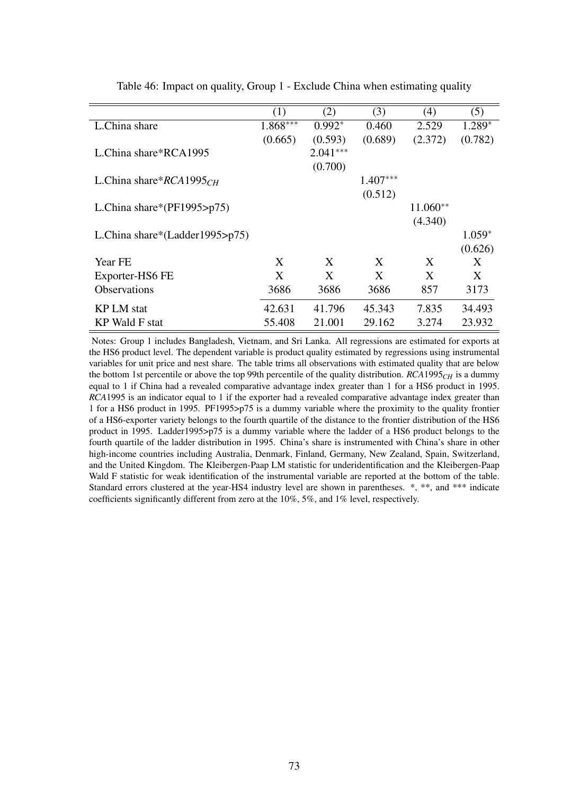|                                    | (1)        | (2)        | (3)        | (4)        | (5)      |
|------------------------------------|------------|------------|------------|------------|----------|
| L.China share                      | $1.868***$ | $0.992*$   | 0.460      | 2.529      | $1.289*$ |
|                                    | (0.665)    | (0.593)    | (0.689)    | (2.372)    | (0.782)  |
| L.China share*RCA1995              |            | $2.041***$ |            |            |          |
|                                    |            | (0.700)    |            |            |          |
| L.China share $RCA1995CH$          |            |            | $1.407***$ |            |          |
|                                    |            |            | (0.512)    |            |          |
| L.China share*( $PF1995$ >p75)     |            |            |            | $11.060**$ |          |
|                                    |            |            |            | (4.340)    |          |
| L.China share*(Ladder1995> $p75$ ) |            |            |            |            | $1.059*$ |
|                                    |            |            |            |            | (0.626)  |
| Year FE                            | X          | X          | X          | X          | X        |
| Exporter-HS6 FE                    | X          | X          | X          | X          | X        |
| <b>Observations</b>                | 3686       | 3686       | 3686       | 857        | 3173     |
| <b>KP LM</b> stat                  | 42.631     | 41.796     | 45.343     | 7.835      | 34.493   |
|                                    |            |            |            |            |          |
| KP Wald F stat                     | 55.408     | 21.001     | 29.162     | 3.274      | 23.932   |

Table 46: Impact on quality, Group 1 - Exclude China when estimating quality

Notes: Group 1 includes Bangladesh, Vietnam, and Sri Lanka. All regressions are estimated for exports at the HS6 product level. The dependent variable is product quality estimated by regressions using instrumental variables for unit price and nest share. The table trims all observations with estimated quality that are below the bottom 1st percentile or above the top 99th percentile of the quality distribution. *RCA*1995*CH* is a dummy equal to 1 if China had a revealed comparative advantage index greater than 1 for a HS6 product in 1995. *RCA*1995 is an indicator equal to 1 if the exporter had a revealed comparative advantage index greater than 1 for a HS6 product in 1995. PF1995>p75 is a dummy variable where the proximity to the quality frontier of a HS6-exporter variety belongs to the fourth quartile of the distance to the frontier distribution of the HS6 product in 1995. Ladder1995>p75 is a dummy variable where the ladder of a HS6 product belongs to the fourth quartile of the ladder distribution in 1995. China's share is instrumented with China's share in other high-income countries including Australia, Denmark, Finland, Germany, New Zealand, Spain, Switzerland, and the United Kingdom. The Kleibergen-Paap LM statistic for underidentification and the Kleibergen-Paap Wald F statistic for weak identification of the instrumental variable are reported at the bottom of the table. Standard errors clustered at the year-HS4 industry level are shown in parentheses. \*, \*\*, and \*\*\* indicate coefficients significantly different from zero at the 10%, 5%, and 1% level, respectively.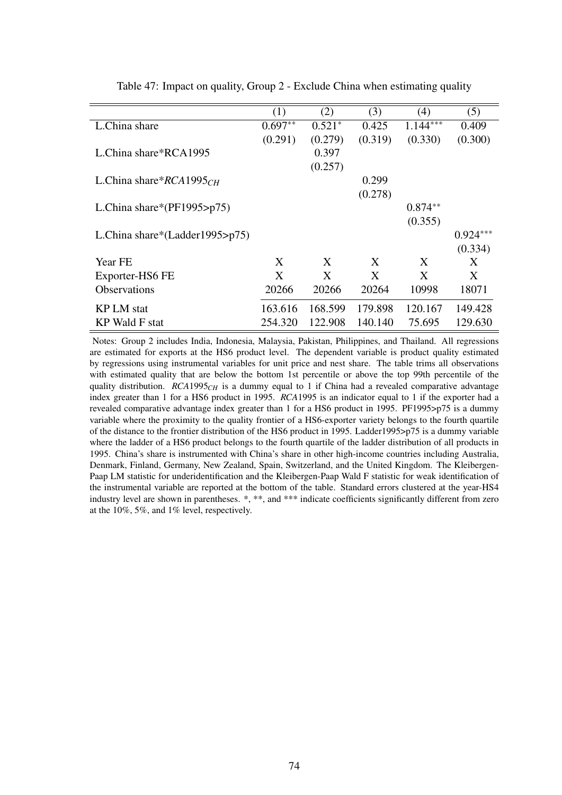|                                | (1)       | (2)      | (3)     | (4)        | (5)        |
|--------------------------------|-----------|----------|---------|------------|------------|
| L.China share                  | $0.697**$ | $0.521*$ | 0.425   | $1.144***$ | 0.409      |
|                                | (0.291)   | (0.279)  | (0.319) | (0.330)    | (0.300)    |
| L.China share*RCA1995          |           | 0.397    |         |            |            |
|                                |           | (0.257)  |         |            |            |
| L.China share* $RCA1995CH$     |           |          | 0.299   |            |            |
|                                |           |          | (0.278) |            |            |
| L.China share*(PF1995>p75)     |           |          |         | $0.874**$  |            |
|                                |           |          |         | (0.355)    |            |
| L.China share*(Ladder1995>p75) |           |          |         |            | $0.924***$ |
|                                |           |          |         |            | (0.334)    |
| Year FE                        | X         | X        | X       | X          | X          |
| Exporter-HS6 FE                | X         | X        | X       | X          | X          |
| <b>Observations</b>            | 20266     | 20266    | 20264   | 10998      | 18071      |
| <b>KP LM</b> stat              | 163.616   | 168.599  | 179.898 | 120.167    | 149.428    |
|                                |           |          |         |            |            |
| KP Wald F stat                 | 254.320   | 122.908  | 140.140 | 75.695     | 129.630    |

Table 47: Impact on quality, Group 2 - Exclude China when estimating quality

Notes: Group 2 includes India, Indonesia, Malaysia, Pakistan, Philippines, and Thailand. All regressions are estimated for exports at the HS6 product level. The dependent variable is product quality estimated by regressions using instrumental variables for unit price and nest share. The table trims all observations with estimated quality that are below the bottom 1st percentile or above the top 99th percentile of the quality distribution. *RCA*1995<sub>*CH*</sub> is a dummy equal to 1 if China had a revealed comparative advantage index greater than 1 for a HS6 product in 1995. *RCA*1995 is an indicator equal to 1 if the exporter had a revealed comparative advantage index greater than 1 for a HS6 product in 1995. PF1995>p75 is a dummy variable where the proximity to the quality frontier of a HS6-exporter variety belongs to the fourth quartile of the distance to the frontier distribution of the HS6 product in 1995. Ladder1995>p75 is a dummy variable where the ladder of a HS6 product belongs to the fourth quartile of the ladder distribution of all products in 1995. China's share is instrumented with China's share in other high-income countries including Australia, Denmark, Finland, Germany, New Zealand, Spain, Switzerland, and the United Kingdom. The Kleibergen-Paap LM statistic for underidentification and the Kleibergen-Paap Wald F statistic for weak identification of the instrumental variable are reported at the bottom of the table. Standard errors clustered at the year-HS4 industry level are shown in parentheses. \*, \*\*, and \*\*\* indicate coefficients significantly different from zero at the 10%, 5%, and 1% level, respectively.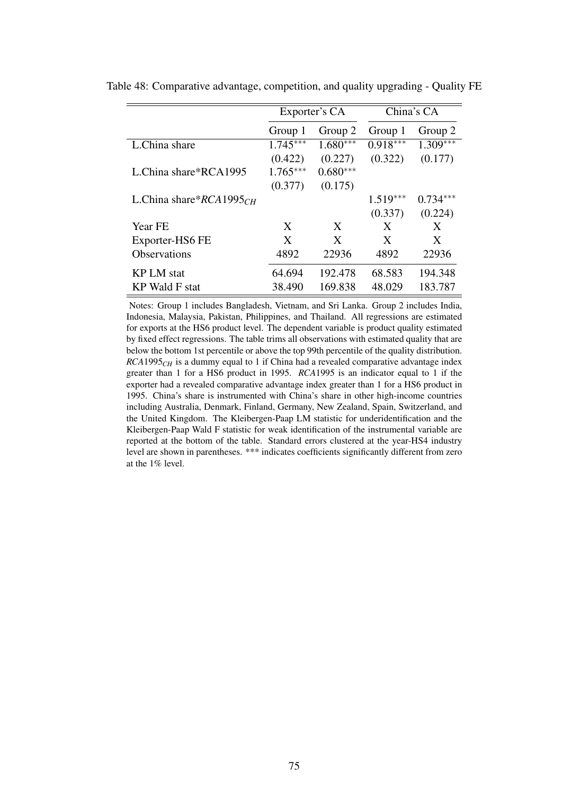|                            |            | Exporter's CA |            | China's CA |
|----------------------------|------------|---------------|------------|------------|
|                            | Group 1    | Group 2       | Group 1    | Group 2    |
| L.China share              | $1.745***$ | $1.680***$    | $0.918***$ | $1.309***$ |
|                            | (0.422)    | (0.227)       | (0.322)    | (0.177)    |
| L.China share*RCA1995      | $1.765***$ | $0.680***$    |            |            |
|                            | (0.377)    | (0.175)       |            |            |
| L.China share* $RCA1995CH$ |            |               | $1.519***$ | $0.734***$ |
|                            |            |               | (0.337)    | (0.224)    |
| Year FE                    | X          | X             | X          | X          |
| Exporter-HS6 FE            | X          | X             | X          | X          |
| <b>Observations</b>        | 4892       | 22936         | 4892       | 22936      |
| <b>KPLM</b> stat           | 64.694     | 192.478       | 68.583     | 194.348    |
| KP Wald F stat             | 38.490     | 169.838       | 48.029     | 183.787    |

Table 48: Comparative advantage, competition, and quality upgrading - Quality FE

Notes: Group 1 includes Bangladesh, Vietnam, and Sri Lanka. Group 2 includes India, Indonesia, Malaysia, Pakistan, Philippines, and Thailand. All regressions are estimated for exports at the HS6 product level. The dependent variable is product quality estimated by fixed effect regressions. The table trims all observations with estimated quality that are below the bottom 1st percentile or above the top 99th percentile of the quality distribution. *RCA*1995*CH* is a dummy equal to 1 if China had a revealed comparative advantage index greater than 1 for a HS6 product in 1995. *RCA*1995 is an indicator equal to 1 if the exporter had a revealed comparative advantage index greater than 1 for a HS6 product in 1995. China's share is instrumented with China's share in other high-income countries including Australia, Denmark, Finland, Germany, New Zealand, Spain, Switzerland, and the United Kingdom. The Kleibergen-Paap LM statistic for underidentification and the Kleibergen-Paap Wald F statistic for weak identification of the instrumental variable are reported at the bottom of the table. Standard errors clustered at the year-HS4 industry level are shown in parentheses. \*\*\* indicates coefficients significantly different from zero at the 1% level.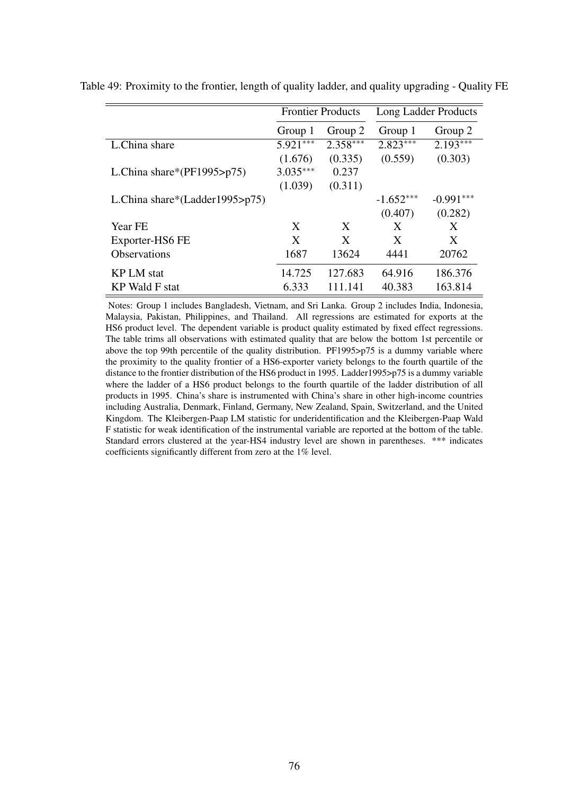|                                    |            | <b>Frontier Products</b> |             | Long Ladder Products |
|------------------------------------|------------|--------------------------|-------------|----------------------|
|                                    | Group 1    | Group 2                  | Group 1     | Group 2              |
| L.China share                      | $5.921***$ | $2.358***$               | $2.823***$  | $2.193***$           |
|                                    | (1.676)    | (0.335)                  | (0.559)     | (0.303)              |
| L.China share*( $PF1995$ >p75)     | $3.035***$ | 0.237                    |             |                      |
|                                    | (1.039)    | (0.311)                  |             |                      |
| L.China share*(Ladder1995> $p75$ ) |            |                          | $-1.652***$ | $-0.991***$          |
|                                    |            |                          | (0.407)     | (0.282)              |
| Year FE                            | X          | X                        | X           | X                    |
| Exporter-HS6 FE                    | X          | X                        | X           | X                    |
| <b>Observations</b>                | 1687       | 13624                    | 4441        | 20762                |
| <b>KP LM</b> stat                  | 14.725     | 127.683                  | 64.916      | 186.376              |
| KP Wald F stat                     | 6.333      | 111.141                  | 40.383      | 163.814              |

Table 49: Proximity to the frontier, length of quality ladder, and quality upgrading - Quality FE

Notes: Group 1 includes Bangladesh, Vietnam, and Sri Lanka. Group 2 includes India, Indonesia, Malaysia, Pakistan, Philippines, and Thailand. All regressions are estimated for exports at the HS6 product level. The dependent variable is product quality estimated by fixed effect regressions. The table trims all observations with estimated quality that are below the bottom 1st percentile or above the top 99th percentile of the quality distribution. PF1995>p75 is a dummy variable where the proximity to the quality frontier of a HS6-exporter variety belongs to the fourth quartile of the distance to the frontier distribution of the HS6 product in 1995. Ladder1995>p75 is a dummy variable where the ladder of a HS6 product belongs to the fourth quartile of the ladder distribution of all products in 1995. China's share is instrumented with China's share in other high-income countries including Australia, Denmark, Finland, Germany, New Zealand, Spain, Switzerland, and the United Kingdom. The Kleibergen-Paap LM statistic for underidentification and the Kleibergen-Paap Wald F statistic for weak identification of the instrumental variable are reported at the bottom of the table. Standard errors clustered at the year-HS4 industry level are shown in parentheses. \*\*\* indicates coefficients significantly different from zero at the 1% level.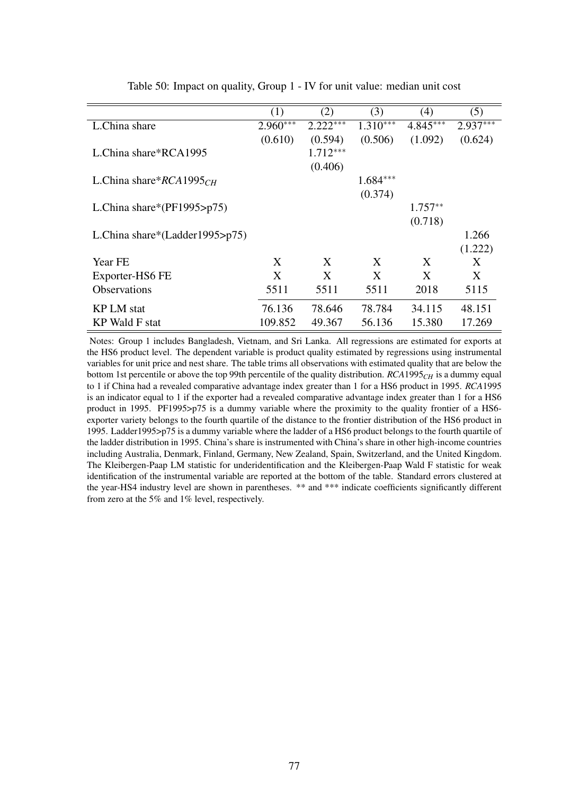|                                | (1)        | (2)        | (3)        | (4)        | (5)        |
|--------------------------------|------------|------------|------------|------------|------------|
|                                |            |            |            |            |            |
| L.China share                  | $2.960***$ | $2.222***$ | $1.310***$ | $4.845***$ | $2.937***$ |
|                                | (0.610)    | (0.594)    | (0.506)    | (1.092)    | (0.624)    |
| L.China share*RCA1995          |            | $1.712***$ |            |            |            |
|                                |            | (0.406)    |            |            |            |
| L.China share* $RCA1995CH$     |            |            | $1.684***$ |            |            |
|                                |            |            | (0.374)    |            |            |
| L.China share*( $PF1995$ >p75) |            |            |            | $1.757**$  |            |
|                                |            |            |            | (0.718)    |            |
| L.China share*(Ladder1995>p75) |            |            |            |            | 1.266      |
|                                |            |            |            |            | (1.222)    |
| Year FE                        | X          | X          | X          | X          | X          |
| Exporter-HS6 FE                | X          | X          | X          | X          | X          |
| <b>Observations</b>            | 5511       | 5511       | 5511       | 2018       | 5115       |
| <b>KP LM</b> stat              | 76.136     | 78.646     | 78.784     | 34.115     | 48.151     |
| KP Wald F stat                 | 109.852    | 49.367     | 56.136     | 15.380     | 17.269     |

Table 50: Impact on quality, Group 1 - IV for unit value: median unit cost

Notes: Group 1 includes Bangladesh, Vietnam, and Sri Lanka. All regressions are estimated for exports at the HS6 product level. The dependent variable is product quality estimated by regressions using instrumental variables for unit price and nest share. The table trims all observations with estimated quality that are below the bottom 1st percentile or above the top 99th percentile of the quality distribution. *RCA*1995*CH* is a dummy equal to 1 if China had a revealed comparative advantage index greater than 1 for a HS6 product in 1995. *RCA*1995 is an indicator equal to 1 if the exporter had a revealed comparative advantage index greater than 1 for a HS6 product in 1995. PF1995>p75 is a dummy variable where the proximity to the quality frontier of a HS6 exporter variety belongs to the fourth quartile of the distance to the frontier distribution of the HS6 product in 1995. Ladder1995>p75 is a dummy variable where the ladder of a HS6 product belongs to the fourth quartile of the ladder distribution in 1995. China's share is instrumented with China's share in other high-income countries including Australia, Denmark, Finland, Germany, New Zealand, Spain, Switzerland, and the United Kingdom. The Kleibergen-Paap LM statistic for underidentification and the Kleibergen-Paap Wald F statistic for weak identification of the instrumental variable are reported at the bottom of the table. Standard errors clustered at the year-HS4 industry level are shown in parentheses. \*\* and \*\*\* indicate coefficients significantly different from zero at the 5% and 1% level, respectively.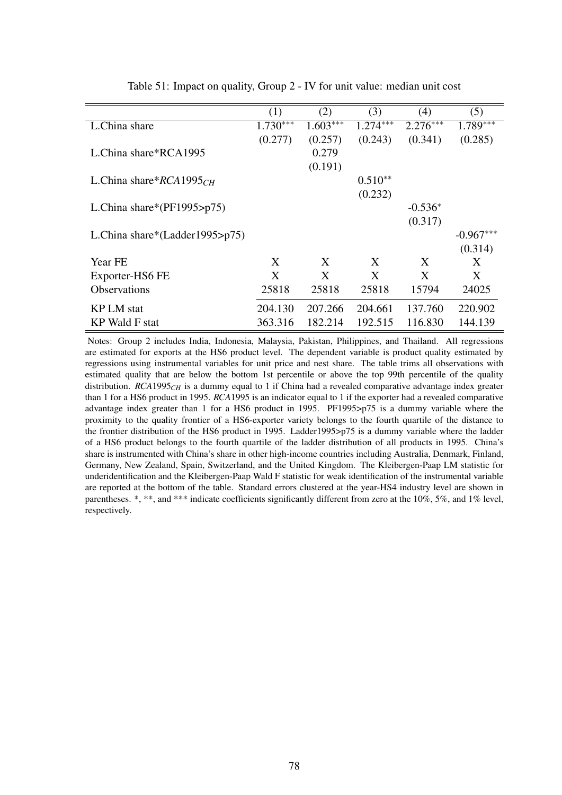|                                    | (1)        | (2)        | (3)        | (4)        | (5)         |
|------------------------------------|------------|------------|------------|------------|-------------|
| L.China share                      | $1.730***$ | $1.603***$ | $1.274***$ | $2.276***$ | $1.789***$  |
|                                    | (0.277)    | (0.257)    | (0.243)    | (0.341)    | (0.285)     |
| L.China share*RCA1995              |            | 0.279      |            |            |             |
|                                    |            | (0.191)    |            |            |             |
| L.China share* $RCA1995CH$         |            |            | $0.510**$  |            |             |
|                                    |            |            | (0.232)    |            |             |
| L.China share*( $PF1995$ >p75)     |            |            |            | $-0.536*$  |             |
|                                    |            |            |            | (0.317)    |             |
| L.China share*(Ladder1995> $p75$ ) |            |            |            |            | $-0.967***$ |
|                                    |            |            |            |            | (0.314)     |
| Year FE                            | X          | X          | X          | X          | X           |
| Exporter-HS6 FE                    | X          | X          | X          | X          | X           |
| <b>Observations</b>                | 25818      | 25818      | 25818      | 15794      | 24025       |
|                                    |            |            |            |            |             |
| KP LM stat                         | 204.130    | 207.266    | 204.661    | 137.760    | 220.902     |
| KP Wald F stat                     | 363.316    | 182.214    | 192.515    | 116.830    | 144.139     |

Table 51: Impact on quality, Group 2 - IV for unit value: median unit cost

Notes: Group 2 includes India, Indonesia, Malaysia, Pakistan, Philippines, and Thailand. All regressions are estimated for exports at the HS6 product level. The dependent variable is product quality estimated by regressions using instrumental variables for unit price and nest share. The table trims all observations with estimated quality that are below the bottom 1st percentile or above the top 99th percentile of the quality distribution. *RCA*1995<sub>*CH*</sub> is a dummy equal to 1 if China had a revealed comparative advantage index greater than 1 for a HS6 product in 1995. *RCA*1995 is an indicator equal to 1 if the exporter had a revealed comparative advantage index greater than 1 for a HS6 product in 1995. PF1995>p75 is a dummy variable where the proximity to the quality frontier of a HS6-exporter variety belongs to the fourth quartile of the distance to the frontier distribution of the HS6 product in 1995. Ladder1995>p75 is a dummy variable where the ladder of a HS6 product belongs to the fourth quartile of the ladder distribution of all products in 1995. China's share is instrumented with China's share in other high-income countries including Australia, Denmark, Finland, Germany, New Zealand, Spain, Switzerland, and the United Kingdom. The Kleibergen-Paap LM statistic for underidentification and the Kleibergen-Paap Wald F statistic for weak identification of the instrumental variable are reported at the bottom of the table. Standard errors clustered at the year-HS4 industry level are shown in parentheses. \*, \*\*, and \*\*\* indicate coefficients significantly different from zero at the 10%, 5%, and 1% level, respectively.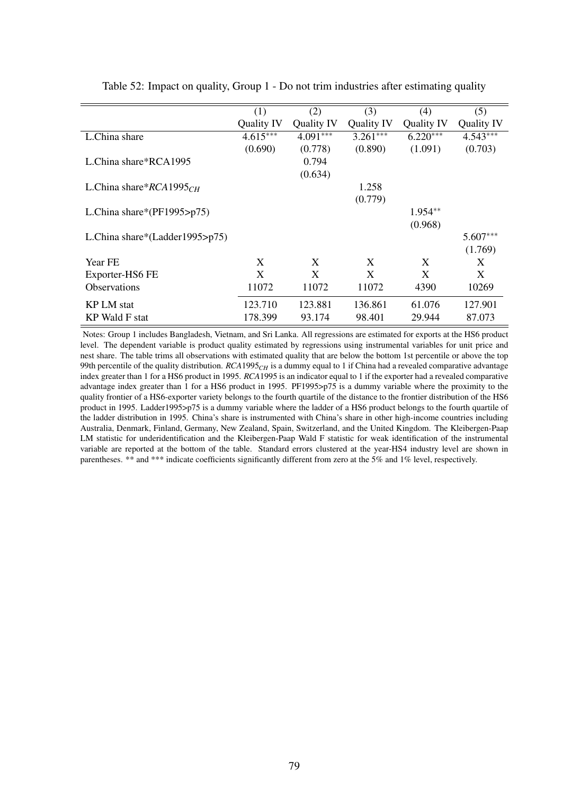|                                | (1)        | (2)        | (3)        | (4)        | (5)        |
|--------------------------------|------------|------------|------------|------------|------------|
|                                | Quality IV | Quality IV | Quality IV | Quality IV | Quality IV |
| L.China share                  | $4.615***$ | $4.091***$ | $3.261***$ | $6.220***$ | $4.543***$ |
|                                | (0.690)    | (0.778)    | (0.890)    | (1.091)    | (0.703)    |
| L.China share*RCA1995          |            | 0.794      |            |            |            |
|                                |            | (0.634)    |            |            |            |
| L.China share* $RCA1995CH$     |            |            | 1.258      |            |            |
|                                |            |            | (0.779)    |            |            |
| L.China share*( $PF1995$ >p75) |            |            |            | $1.954**$  |            |
|                                |            |            |            | (0.968)    |            |
| L.China share*(Ladder1995>p75) |            |            |            |            | $5.607***$ |
|                                |            |            |            |            | (1.769)    |
| Year FE                        | X          | X          | X          | X          | X          |
| Exporter-HS6 FE                | X          | X          | X          | X          | X          |
| <b>Observations</b>            | 11072      | 11072      | 11072      | 4390       | 10269      |
| <b>KP LM</b> stat              | 123.710    | 123.881    | 136.861    | 61.076     | 127.901    |
| <b>KP Wald F stat</b>          | 178.399    | 93.174     | 98.401     | 29.944     | 87.073     |

Table 52: Impact on quality, Group 1 - Do not trim industries after estimating quality

Notes: Group 1 includes Bangladesh, Vietnam, and Sri Lanka. All regressions are estimated for exports at the HS6 product level. The dependent variable is product quality estimated by regressions using instrumental variables for unit price and nest share. The table trims all observations with estimated quality that are below the bottom 1st percentile or above the top 99th percentile of the quality distribution.  $RCA$ 1995<sub>*CH*</sub> is a dummy equal to 1 if China had a revealed comparative advantage index greater than 1 for a HS6 product in 1995. *RCA*1995 is an indicator equal to 1 if the exporter had a revealed comparative advantage index greater than 1 for a HS6 product in 1995. PF1995>p75 is a dummy variable where the proximity to the quality frontier of a HS6-exporter variety belongs to the fourth quartile of the distance to the frontier distribution of the HS6 product in 1995. Ladder1995>p75 is a dummy variable where the ladder of a HS6 product belongs to the fourth quartile of the ladder distribution in 1995. China's share is instrumented with China's share in other high-income countries including Australia, Denmark, Finland, Germany, New Zealand, Spain, Switzerland, and the United Kingdom. The Kleibergen-Paap LM statistic for underidentification and the Kleibergen-Paap Wald F statistic for weak identification of the instrumental variable are reported at the bottom of the table. Standard errors clustered at the year-HS4 industry level are shown in parentheses. \*\* and \*\*\* indicate coefficients significantly different from zero at the 5% and 1% level, respectively.